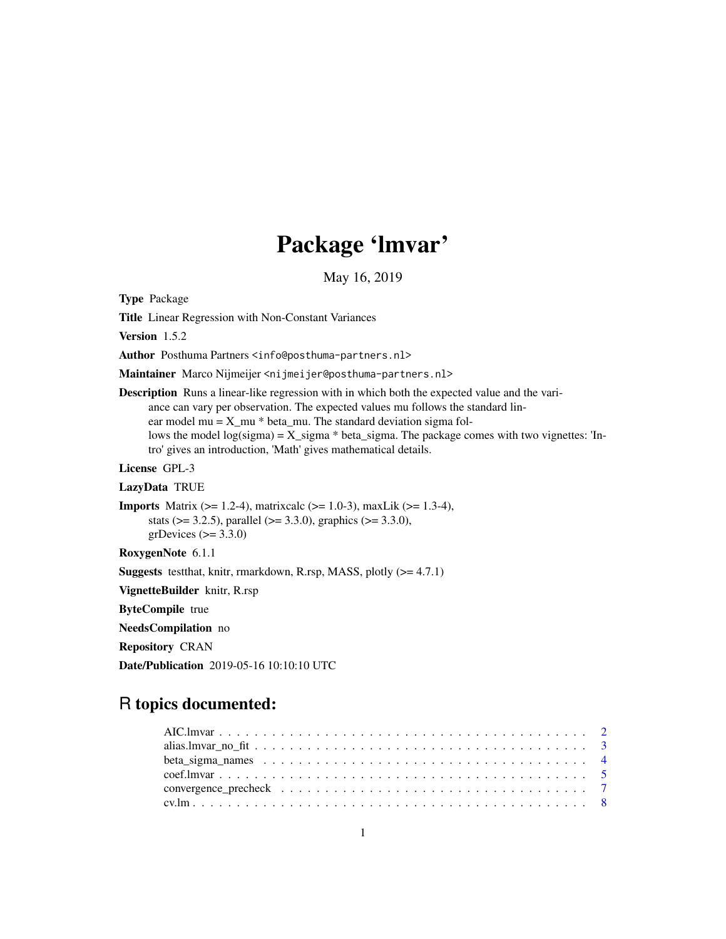# Package 'lmvar'

May 16, 2019

<span id="page-0-0"></span>Type Package

Title Linear Regression with Non-Constant Variances

Version 1.5.2

Author Posthuma Partners <info@posthuma-partners.nl>

Maintainer Marco Nijmeijer <nijmeijer@posthuma-partners.nl>

Description Runs a linear-like regression with in which both the expected value and the variance can vary per observation. The expected values mu follows the standard linear model mu =  $X$ <sub>mu</sub>  $*$  beta\_mu. The standard deviation sigma follows the model  $log(sigma) = X_sigma * beta_sigma$ . The package comes with two vignettes: 'Intro' gives an introduction, 'Math' gives mathematical details.

License GPL-3

LazyData TRUE

**Imports** Matrix ( $>= 1.2-4$ ), matrixcalc ( $>= 1.0-3$ ), maxLik ( $>= 1.3-4$ ), stats ( $> = 3.2.5$ ), parallel ( $> = 3.3.0$ ), graphics ( $> = 3.3.0$ ), grDevices  $(>= 3.3.0)$ 

RoxygenNote 6.1.1

**Suggests** testthat, knitr, rmarkdown, R.rsp, MASS, plotly  $(>= 4.7.1)$ 

VignetteBuilder knitr, R.rsp

ByteCompile true

NeedsCompilation no

Repository CRAN

Date/Publication 2019-05-16 10:10:10 UTC

# R topics documented: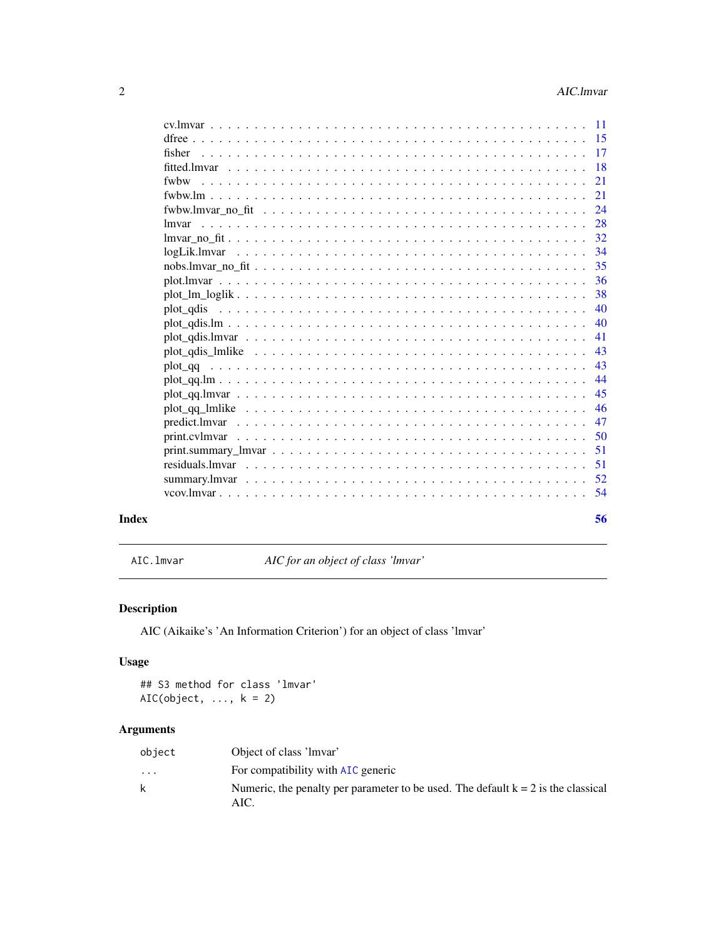<span id="page-1-0"></span>

|       |                                                                                                           | - 15 |
|-------|-----------------------------------------------------------------------------------------------------------|------|
|       | fisher                                                                                                    |      |
|       | fitted.lmvar                                                                                              | -18  |
|       | fwhw                                                                                                      | 21   |
|       |                                                                                                           | 21   |
|       |                                                                                                           | 24   |
|       | lmvar                                                                                                     | 28   |
|       |                                                                                                           | 32   |
|       |                                                                                                           | -34  |
|       |                                                                                                           | 35   |
|       |                                                                                                           | 36   |
|       |                                                                                                           | 38   |
|       |                                                                                                           | 40   |
|       | $plot\_qdis.lm$                                                                                           | 40   |
|       |                                                                                                           | 41   |
|       |                                                                                                           | 43   |
|       |                                                                                                           | 43   |
|       |                                                                                                           | 44   |
|       |                                                                                                           | 45   |
|       |                                                                                                           | 46   |
|       |                                                                                                           | 47   |
|       |                                                                                                           | 50   |
|       | $print.summary_lmvar \dots \dots \dots \dots \dots \dots \dots \dots \dots \dots \dots \dots \dots \dots$ | 51   |
|       |                                                                                                           | 51   |
|       |                                                                                                           |      |
|       |                                                                                                           | - 54 |
| Index |                                                                                                           | 56   |

<span id="page-1-1"></span>AIC.lmvar *AIC for an object of class 'lmvar'*

# Description

AIC (Aikaike's 'An Information Criterion') for an object of class 'lmvar'

# Usage

## S3 method for class 'lmvar' AIC(object,  $\dots$ ,  $k = 2$ )

# Arguments

| object                  | Object of class 'lmvar'                                                                     |
|-------------------------|---------------------------------------------------------------------------------------------|
| $\cdot$ $\cdot$ $\cdot$ | For compatibility with AIC generic                                                          |
|                         | Numeric, the penalty per parameter to be used. The default $k = 2$ is the classical<br>AIC. |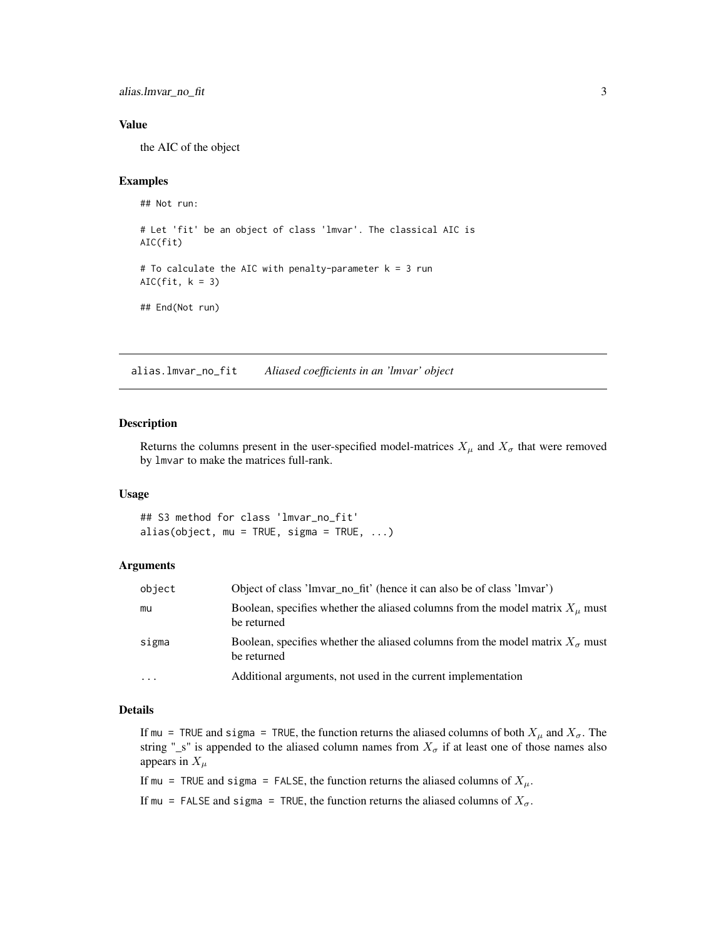<span id="page-2-0"></span>alias.lmvar\_no\_fit 3

# Value

the AIC of the object

# Examples

```
## Not run:
# Let 'fit' be an object of class 'lmvar'. The classical AIC is
AIC(fit)
# To calculate the AIC with penalty-parameter k = 3 run
AIC(fit, k = 3)
## End(Not run)
```
<span id="page-2-1"></span>alias.lmvar\_no\_fit *Aliased coefficients in an 'lmvar' object*

# Description

Returns the columns present in the user-specified model-matrices  $X_\mu$  and  $X_\sigma$  that were removed by lmvar to make the matrices full-rank.

# Usage

## S3 method for class 'lmvar\_no\_fit' alias(object, mu = TRUE, sigma = TRUE,  $\ldots$ )

# Arguments

| object    | Object of class 'lmvar_no_fit' (hence it can also be of class 'lmvar')                                |
|-----------|-------------------------------------------------------------------------------------------------------|
| mu        | Boolean, specifies whether the aliased columns from the model matrix $X_u$ must<br>be returned        |
| sigma     | Boolean, specifies whether the aliased columns from the model matrix $X_{\sigma}$ must<br>be returned |
| $\ddotsc$ | Additional arguments, not used in the current implementation                                          |

# Details

If mu = TRUE and sigma = TRUE, the function returns the aliased columns of both  $X_\mu$  and  $X_\sigma$ . The string "\_s" is appended to the aliased column names from  $X_{\sigma}$  if at least one of those names also appears in  $X_\mu$ 

If mu = TRUE and sigma = FALSE, the function returns the aliased columns of  $X_\mu$ .

If mu = FALSE and sigma = TRUE, the function returns the aliased columns of  $X_{\sigma}$ .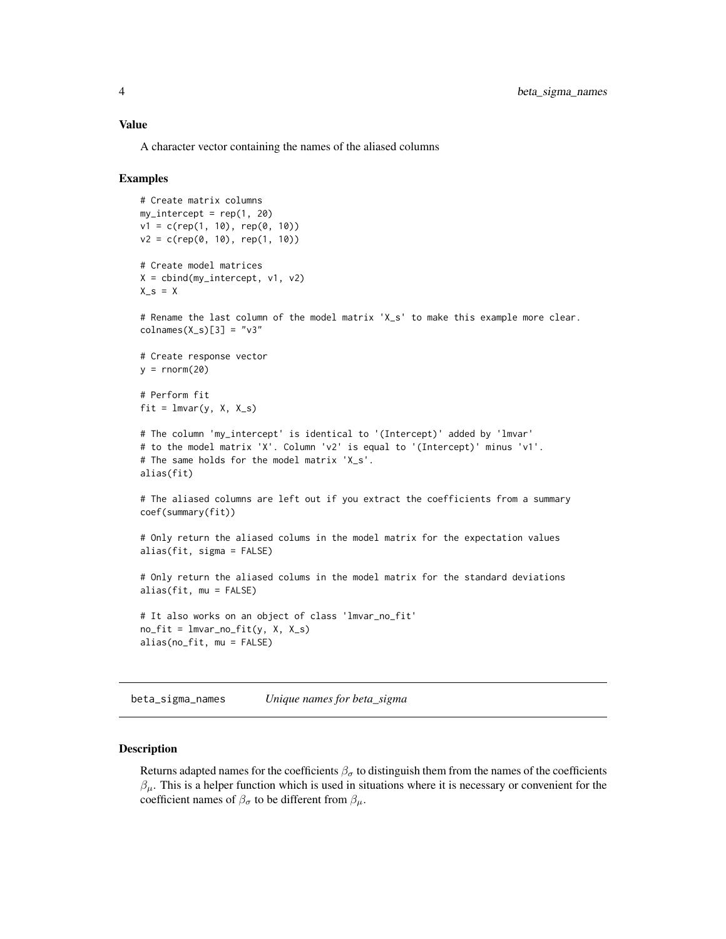#### <span id="page-3-0"></span>Value

A character vector containing the names of the aliased columns

# Examples

```
# Create matrix columns
my_intercept = rep(1, 20)
v1 = c(rep(1, 10), rep(0, 10))v2 = c(rep(\theta, 10), rep(1, 10))# Create model matrices
X = \text{cbind(my_interestcept}, v1, v2)X_s = X# Rename the last column of the model matrix 'X_s' to make this example more clear.
colnames(X_s)[3] = "v3"# Create response vector
y = rnorm(20)# Perform fit
fit = lmvar(y, X, X_s)# The column 'my_intercept' is identical to '(Intercept)' added by 'lmvar'
# to the model matrix 'X'. Column 'v2' is equal to '(Intercept)' minus 'v1'.
# The same holds for the model matrix 'X_s'.
alias(fit)
# The aliased columns are left out if you extract the coefficients from a summary
coef(summary(fit))
# Only return the aliased colums in the model matrix for the expectation values
alias(fit, sigma = FALSE)
# Only return the aliased colums in the model matrix for the standard deviations
alias(fit, mu = FALSE)
# It also works on an object of class 'lmvar_no_fit'
no\_fit = Imvar\_no\_fit(y, X, X_s)alias(no_fit, mu = FALSE)
```
<span id="page-3-1"></span>beta\_sigma\_names *Unique names for beta\_sigma*

#### **Description**

Returns adapted names for the coefficients  $\beta_{\sigma}$  to distinguish them from the names of the coefficients  $\beta_{\mu}$ . This is a helper function which is used in situations where it is necessary or convenient for the coefficient names of  $\beta_{\sigma}$  to be different from  $\beta_{\mu}$ .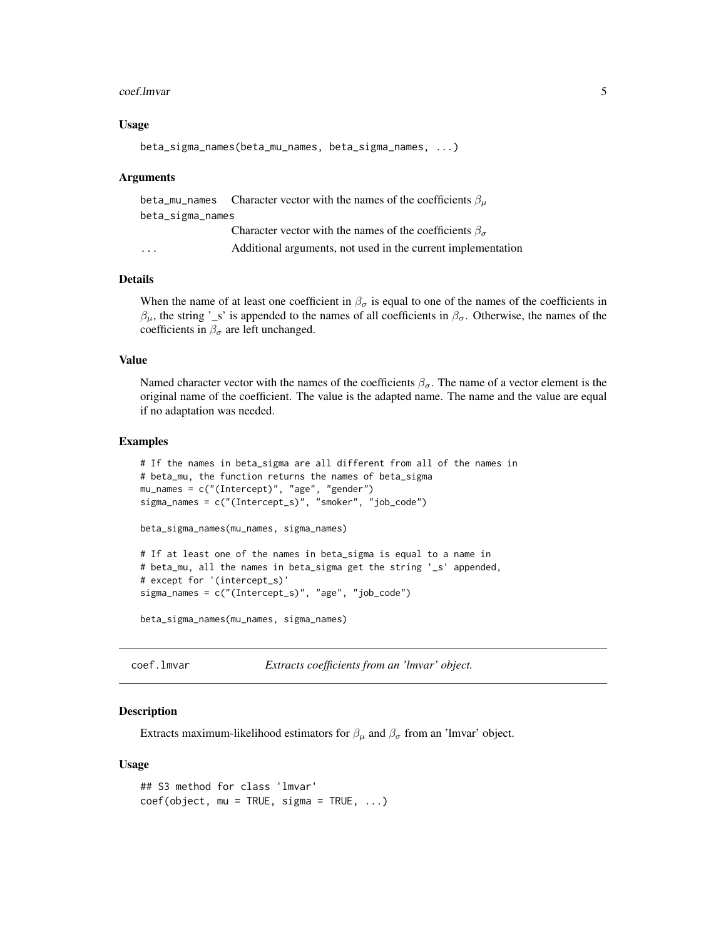#### <span id="page-4-0"></span>coef.lmvar 5

# Usage

```
beta_sigma_names(beta_mu_names, beta_sigma_names, ...)
```
# Arguments

|                         | beta_mu_names Character vector with the names of the coefficients $\beta_{\mu}$ |
|-------------------------|---------------------------------------------------------------------------------|
| beta_sigma_names        |                                                                                 |
|                         | Character vector with the names of the coefficients $\beta_{\sigma}$            |
| $\cdot$ $\cdot$ $\cdot$ | Additional arguments, not used in the current implementation                    |
|                         |                                                                                 |

# Details

When the name of at least one coefficient in  $\beta_{\sigma}$  is equal to one of the names of the coefficients in  $β<sub>μ</sub>$ , the string '\_s' is appended to the names of all coefficients in  $β<sub>σ</sub>$ . Otherwise, the names of the coefficients in  $\beta_{\sigma}$  are left unchanged.

# Value

Named character vector with the names of the coefficients  $\beta_{\sigma}$ . The name of a vector element is the original name of the coefficient. The value is the adapted name. The name and the value are equal if no adaptation was needed.

#### Examples

```
# If the names in beta_sigma are all different from all of the names in
# beta_mu, the function returns the names of beta_sigma
mu_names = c("(Intercept)", "age", "gender")
sigma_names = c("(Intercept_s)", "smoker", "job_code")
beta_sigma_names(mu_names, sigma_names)
# If at least one of the names in beta_sigma is equal to a name in
# beta_mu, all the names in beta_sigma get the string '_s' appended,
# except for '(intercept_s)'
sigma_names = c("(Intercept_s)", "age", "job_code")
```
beta\_sigma\_names(mu\_names, sigma\_names)

<span id="page-4-1"></span>coef.lmvar *Extracts coefficients from an 'lmvar' object.*

#### Description

Extracts maximum-likelihood estimators for  $\beta_{\mu}$  and  $\beta_{\sigma}$  from an 'lmvar' object.

# Usage

```
## S3 method for class 'lmvar'
coef(object, mu = TRUE, sigma = TRUE, ...)
```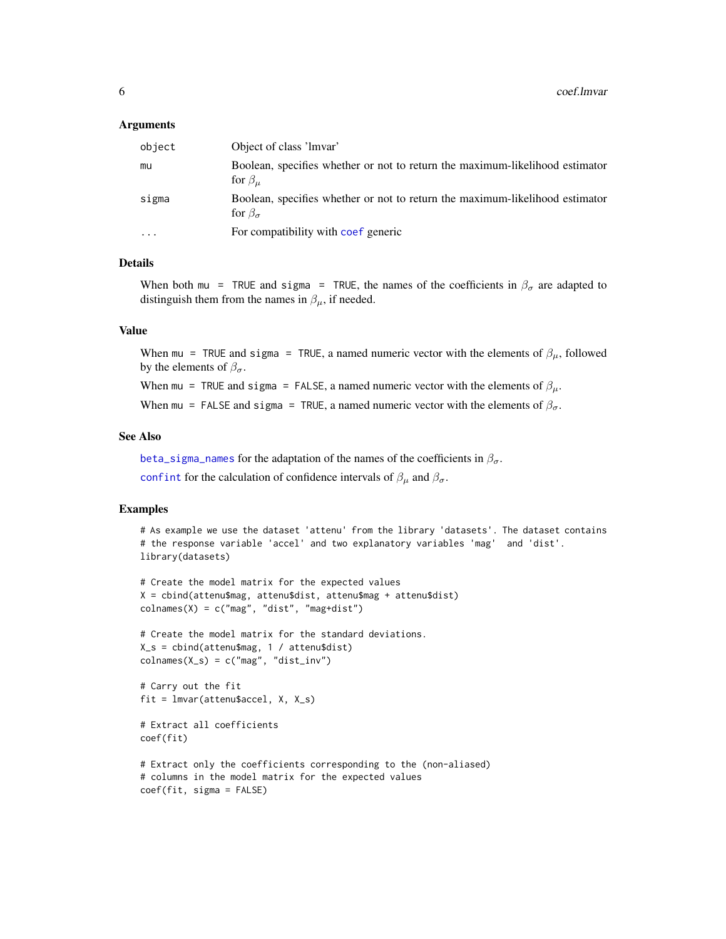# <span id="page-5-0"></span>Arguments

| object                  | Object of class 'lmvar'                                                                              |
|-------------------------|------------------------------------------------------------------------------------------------------|
| mu                      | Boolean, specifies whether or not to return the maximum-likelihood estimator<br>for $\beta_{\mu}$    |
| sigma                   | Boolean, specifies whether or not to return the maximum-likelihood estimator<br>for $\beta_{\sigma}$ |
| $\cdot$ $\cdot$ $\cdot$ | For compatibility with coef generic                                                                  |

# Details

When both mu = TRUE and sigma = TRUE, the names of the coefficients in  $\beta_{\sigma}$  are adapted to distinguish them from the names in  $\beta_{\mu}$ , if needed.

### Value

When mu = TRUE and sigma = TRUE, a named numeric vector with the elements of  $\beta_{\mu}$ , followed by the elements of  $\beta_{\sigma}$ .

When mu = TRUE and sigma = FALSE, a named numeric vector with the elements of  $\beta_{\mu}$ .

When mu = FALSE and sigma = TRUE, a named numeric vector with the elements of  $\beta_{\sigma}$ .

# See Also

[beta\\_sigma\\_names](#page-3-1) for the adaptation of the names of the coefficients in  $\beta_{\sigma}$ .

[confint](#page-0-0) for the calculation of confidence intervals of  $\beta_{\mu}$  and  $\beta_{\sigma}$ .

# Examples

```
# As example we use the dataset 'attenu' from the library 'datasets'. The dataset contains
# the response variable 'accel' and two explanatory variables 'mag' and 'dist'.
library(datasets)
```

```
# Create the model matrix for the expected values
X = cbind(attenu$mag, attenu$dist, attenu$mag + attenu$dist)
colnames(X) = c("mag", "dist", "mag+dist")
```

```
# Create the model matrix for the standard deviations.
X_s = cbind(attenu$mag, 1 / attenu$dist)
colnames(X_s) = c("mag", "dist_inv")
```

```
# Carry out the fit
fit = lmvar(attenu$accel, X, X_s)
```

```
# Extract all coefficients
coef(fit)
```

```
# Extract only the coefficients corresponding to the (non-aliased)
# columns in the model matrix for the expected values
coef(fit, sigma = FALSE)
```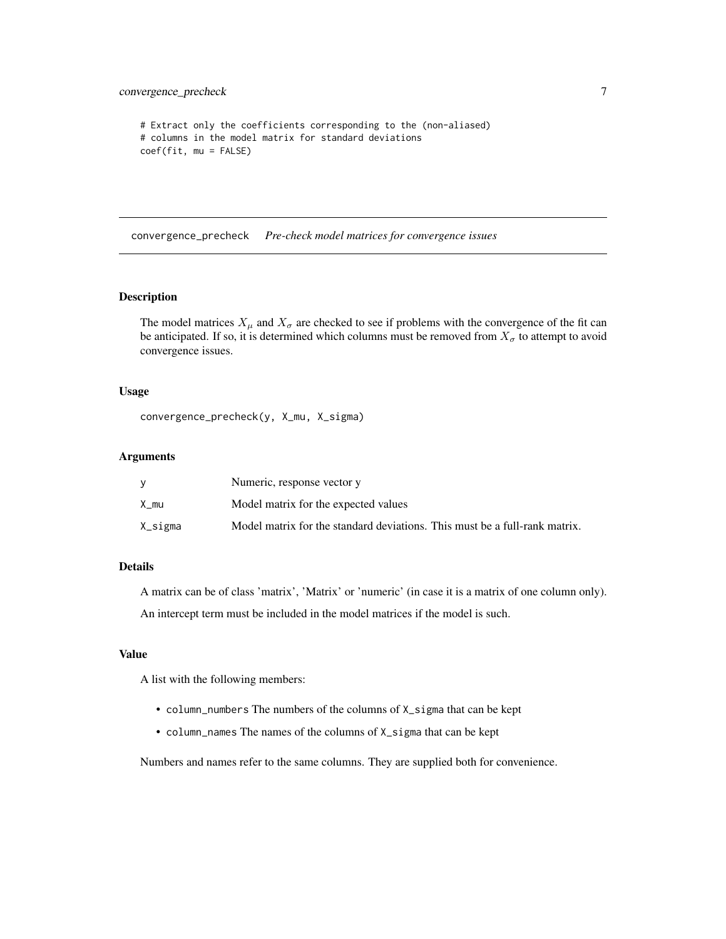```
# Extract only the coefficients corresponding to the (non-aliased)
# columns in the model matrix for standard deviations
coef(fit, mu = FALSE)
```
convergence\_precheck *Pre-check model matrices for convergence issues*

# Description

The model matrices  $X_\mu$  and  $X_\sigma$  are checked to see if problems with the convergence of the fit can be anticipated. If so, it is determined which columns must be removed from  $X_{\sigma}$  to attempt to avoid convergence issues.

# Usage

convergence\_precheck(y, X\_mu, X\_sigma)

# Arguments

|         | Numeric, response vector y                                                 |
|---------|----------------------------------------------------------------------------|
| X mu    | Model matrix for the expected values                                       |
| X_sigma | Model matrix for the standard deviations. This must be a full-rank matrix. |

# Details

A matrix can be of class 'matrix', 'Matrix' or 'numeric' (in case it is a matrix of one column only).

An intercept term must be included in the model matrices if the model is such.

#### Value

A list with the following members:

- column\_numbers The numbers of the columns of X\_sigma that can be kept
- column\_names The names of the columns of X\_sigma that can be kept

Numbers and names refer to the same columns. They are supplied both for convenience.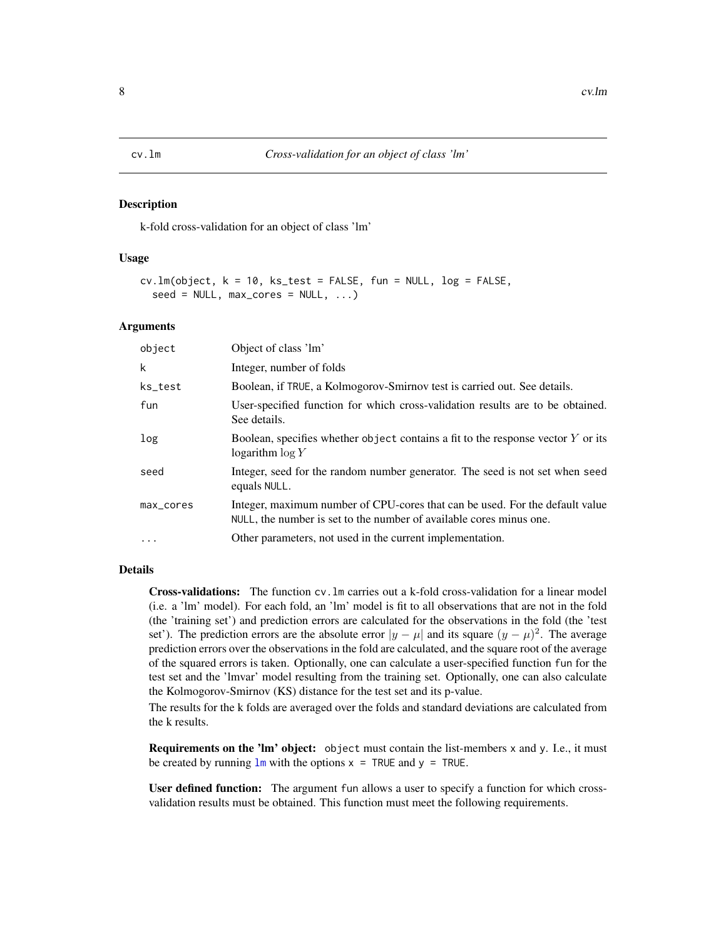#### <span id="page-7-1"></span><span id="page-7-0"></span>Description

k-fold cross-validation for an object of class 'lm'

#### Usage

```
cv.lm(object, k = 10, ks_test = FALSE, fun = NULL, log = FALSE,
  seed = NULL, max\_cores = NULL, ...)
```
# Arguments

| object    | Object of class 'lm'                                                                                                                                |
|-----------|-----------------------------------------------------------------------------------------------------------------------------------------------------|
| k         | Integer, number of folds                                                                                                                            |
| ks_test   | Boolean, if TRUE, a Kolmogorov-Smirnov test is carried out. See details.                                                                            |
| fun       | User-specified function for which cross-validation results are to be obtained.<br>See details.                                                      |
| log       | Boolean, specifies whether object contains a fit to the response vector $Y$ or its<br>logarithm $\log Y$                                            |
| seed      | Integer, seed for the random number generator. The seed is not set when seed<br>equals NULL.                                                        |
| max_cores | Integer, maximum number of CPU-cores that can be used. For the default value<br>NULL, the number is set to the number of available cores minus one. |
| $\ddotsc$ | Other parameters, not used in the current implementation.                                                                                           |

# Details

Cross-validations: The function cv.lm carries out a k-fold cross-validation for a linear model (i.e. a 'lm' model). For each fold, an 'lm' model is fit to all observations that are not in the fold (the 'training set') and prediction errors are calculated for the observations in the fold (the 'test set'). The prediction errors are the absolute error  $|y - \mu|$  and its square  $(y - \mu)^2$ . The average prediction errors over the observations in the fold are calculated, and the square root of the average of the squared errors is taken. Optionally, one can calculate a user-specified function fun for the test set and the 'lmvar' model resulting from the training set. Optionally, one can also calculate the Kolmogorov-Smirnov (KS) distance for the test set and its p-value.

The results for the k folds are averaged over the folds and standard deviations are calculated from the k results.

Requirements on the 'lm' object: object must contain the list-members x and y. I.e., it must be created by running  $lm$  with the options  $x = TRUE$  and  $y = TRUE$ .

User defined function: The argument fun allows a user to specify a function for which crossvalidation results must be obtained. This function must meet the following requirements.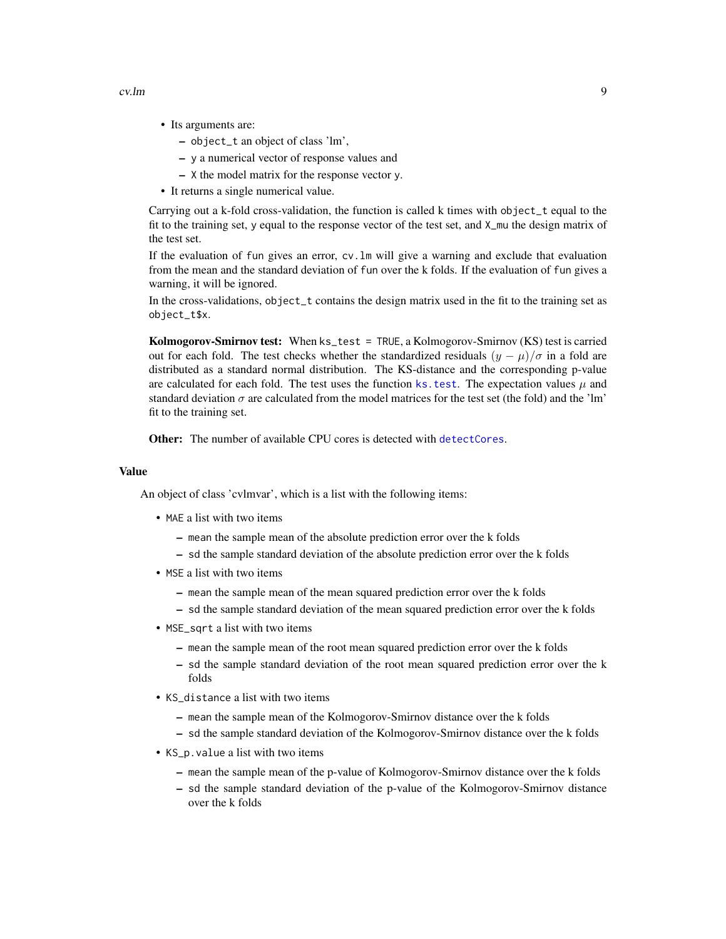<span id="page-8-0"></span>

- Its arguments are:
	- object\_t an object of class 'lm',
	- y a numerical vector of response values and
	- X the model matrix for the response vector y.
- It returns a single numerical value.

Carrying out a k-fold cross-validation, the function is called k times with object\_t equal to the fit to the training set, y equal to the response vector of the test set, and X\_mu the design matrix of the test set.

If the evaluation of fun gives an error, cv.lm will give a warning and exclude that evaluation from the mean and the standard deviation of fun over the k folds. If the evaluation of fun gives a warning, it will be ignored.

In the cross-validations, object\_t contains the design matrix used in the fit to the training set as object\_t\$x.

Kolmogorov-Smirnov test: When ks\_test = TRUE, a Kolmogorov-Smirnov (KS) test is carried out for each fold. The test checks whether the standardized residuals  $(\gamma - \mu)/\sigma$  in a fold are distributed as a standard normal distribution. The KS-distance and the corresponding p-value are calculated for each fold. The test uses the function ks. test. The expectation values  $\mu$  and standard deviation  $\sigma$  are calculated from the model matrices for the test set (the fold) and the 'lm' fit to the training set.

**Other:** The number of available CPU cores is detected with [detectCores](#page-0-0).

# Value

An object of class 'cvlmvar', which is a list with the following items:

- MAE a list with two items
	- mean the sample mean of the absolute prediction error over the k folds
	- sd the sample standard deviation of the absolute prediction error over the k folds
- MSE a list with two items
	- mean the sample mean of the mean squared prediction error over the k folds
	- sd the sample standard deviation of the mean squared prediction error over the k folds
- MSE\_sqrt a list with two items
	- mean the sample mean of the root mean squared prediction error over the k folds
	- sd the sample standard deviation of the root mean squared prediction error over the k folds
- KS\_distance a list with two items
	- mean the sample mean of the Kolmogorov-Smirnov distance over the k folds
	- sd the sample standard deviation of the Kolmogorov-Smirnov distance over the k folds
- KS\_p.value a list with two items
	- mean the sample mean of the p-value of Kolmogorov-Smirnov distance over the k folds
	- sd the sample standard deviation of the p-value of the Kolmogorov-Smirnov distance over the k folds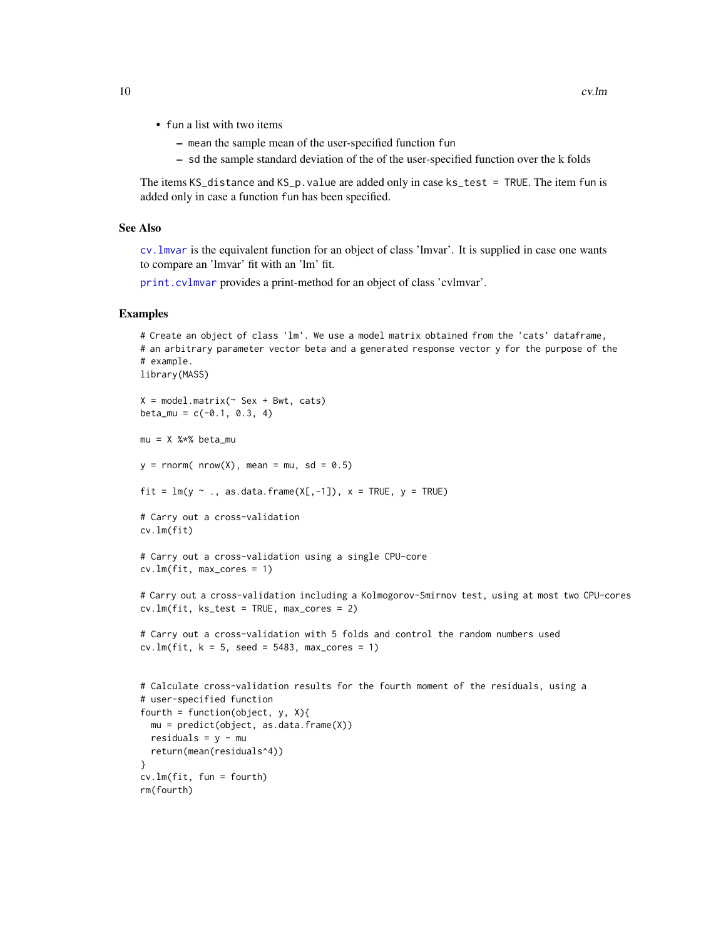- <span id="page-9-0"></span>• fun a list with two items
	- mean the sample mean of the user-specified function fun
	- sd the sample standard deviation of the of the user-specified function over the k folds

The items KS\_distance and KS\_p.value are added only in case ks\_test = TRUE. The item fun is added only in case a function fun has been specified.

# See Also

[cv.lmvar](#page-10-1) is the equivalent function for an object of class 'lmvar'. It is supplied in case one wants to compare an 'lmvar' fit with an 'lm' fit.

[print.cvlmvar](#page-49-1) provides a print-method for an object of class 'cvlmvar'.

# Examples

```
# Create an object of class 'lm'. We use a model matrix obtained from the 'cats' dataframe,
# an arbitrary parameter vector beta and a generated response vector y for the purpose of the
# example.
library(MASS)
X = model.matrix(~ Sex + Bwt, cats)
beta_mu = c(-0.1, 0.3, 4)mu = X %*% beta_mu
y = rnorm( nrow(X), mean = mu, sd = 0.5)
fit = lm(y \sim ., \text{ as.data frame}(X[, -1]), x = TRUE, y = TRUE)# Carry out a cross-validation
cv.lm(fit)
# Carry out a cross-validation using a single CPU-core
cv.lm(fit, max_cores = 1)
# Carry out a cross-validation including a Kolmogorov-Smirnov test, using at most two CPU-cores
cv.lm(fit, ks_test = TRUE, max_cores = 2)
# Carry out a cross-validation with 5 folds and control the random numbers used
cv.lm(fit, k = 5, seed = 5483, max_cores = 1)# Calculate cross-validation results for the fourth moment of the residuals, using a
# user-specified function
fourth = function(object, y, X){
  mu = predict(object, as.data-frame(X))residuals = y - mureturn(mean(residuals^4))
}
cv.lm(fit, fun = fourth)
rm(fourth)
```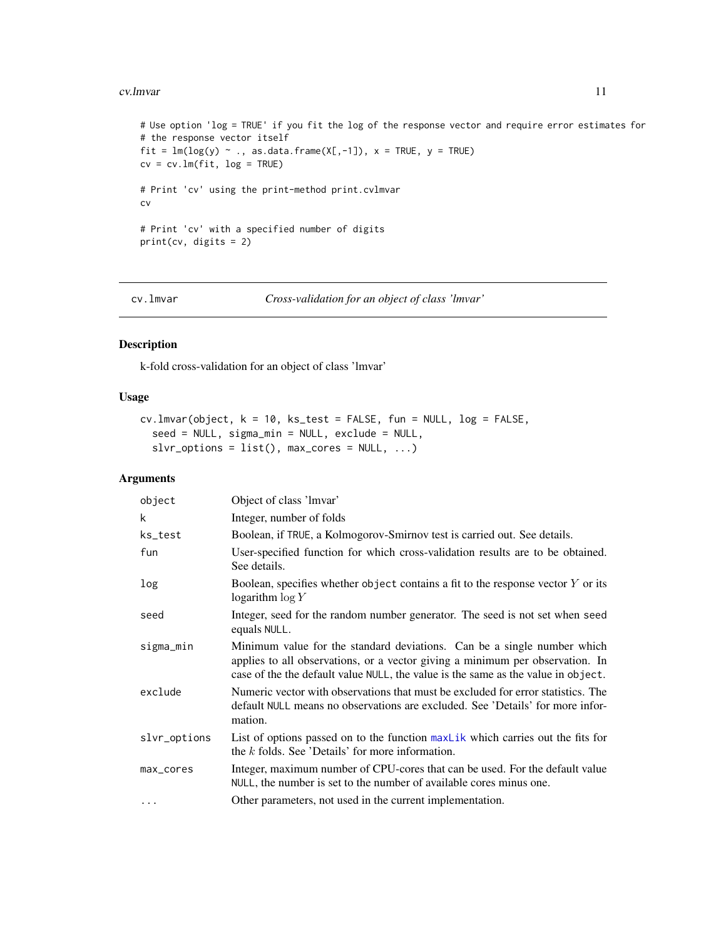#### <span id="page-10-0"></span>cv.lmvar 11

```
# Use option 'log = TRUE' if you fit the log of the response vector and require error estimates for
# the response vector itself
fit = lm(log(y) ~ ~ ., as.data.frame(X[, -1]), x = TRUE, y = TRUE)
cv = cv.lm(fit, log = TRUE)# Print 'cv' using the print-method print.cvlmvar
cv
# Print 'cv' with a specified number of digits
print(cv, digits = 2)
```
<span id="page-10-1"></span>cv.lmvar *Cross-validation for an object of class 'lmvar'*

# Description

k-fold cross-validation for an object of class 'lmvar'

# Usage

```
cv.lmvar(object, k = 10, ks_test = FALSE, fun = NULL, log = FALSE,
  seed = NULL, sigma_min = NULL, exclude = NULL,
  slvr\_options = list(), max\_cores = NULL, ...)
```
### Arguments

| object       | Object of class 'Imvar'                                                                                                                                                                                                                       |
|--------------|-----------------------------------------------------------------------------------------------------------------------------------------------------------------------------------------------------------------------------------------------|
| k            | Integer, number of folds                                                                                                                                                                                                                      |
| ks_test      | Boolean, if TRUE, a Kolmogorov-Smirnov test is carried out. See details.                                                                                                                                                                      |
| fun          | User-specified function for which cross-validation results are to be obtained.<br>See details.                                                                                                                                                |
| log          | Boolean, specifies whether object contains a fit to the response vector $Y$ or its<br>logarithm $\log Y$                                                                                                                                      |
| seed         | Integer, seed for the random number generator. The seed is not set when seed<br>equals NULL.                                                                                                                                                  |
| sigma_min    | Minimum value for the standard deviations. Can be a single number which<br>applies to all observations, or a vector giving a minimum per observation. In<br>case of the the default value NULL, the value is the same as the value in object. |
| exclude      | Numeric vector with observations that must be excluded for error statistics. The<br>default NULL means no observations are excluded. See 'Details' for more infor-<br>mation.                                                                 |
| slvr_options | List of options passed on to the function max Lik which carries out the fits for<br>the $k$ folds. See 'Details' for more information.                                                                                                        |
| max_cores    | Integer, maximum number of CPU-cores that can be used. For the default value<br>NULL, the number is set to the number of available cores minus one.                                                                                           |
| $\cdots$     | Other parameters, not used in the current implementation.                                                                                                                                                                                     |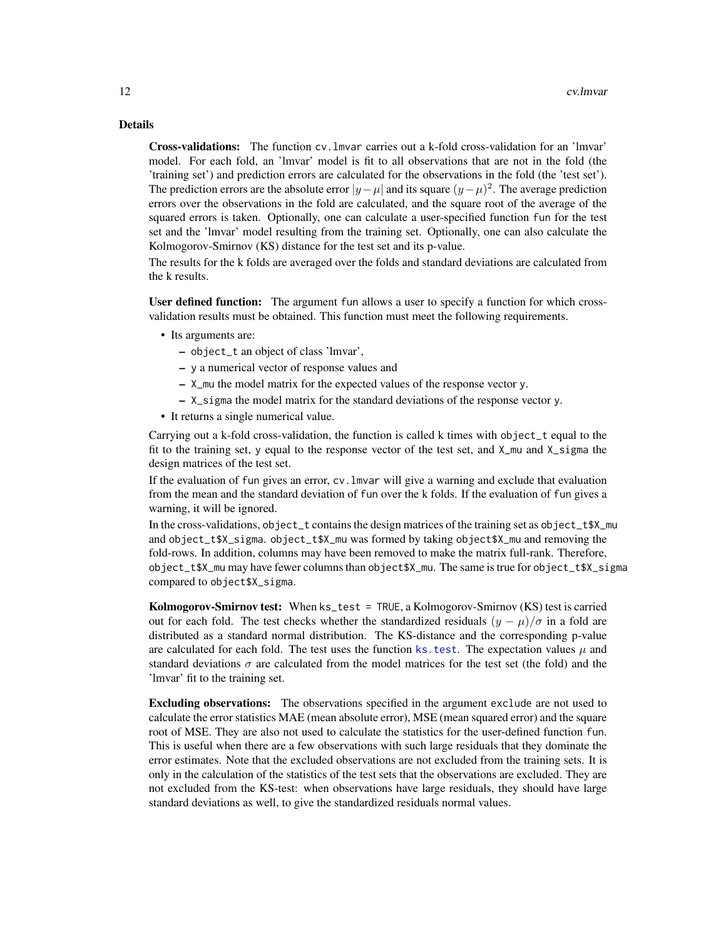# <span id="page-11-0"></span>Details

Cross-validations: The function cv.lmvar carries out a k-fold cross-validation for an 'lmvar' model. For each fold, an 'lmvar' model is fit to all observations that are not in the fold (the 'training set') and prediction errors are calculated for the observations in the fold (the 'test set'). The prediction errors are the absolute error  $|y - \mu|$  and its square  $(y - \mu)^2$ . The average prediction errors over the observations in the fold are calculated, and the square root of the average of the squared errors is taken. Optionally, one can calculate a user-specified function fun for the test set and the 'lmvar' model resulting from the training set. Optionally, one can also calculate the Kolmogorov-Smirnov (KS) distance for the test set and its p-value.

The results for the k folds are averaged over the folds and standard deviations are calculated from the k results.

User defined function: The argument fun allows a user to specify a function for which crossvalidation results must be obtained. This function must meet the following requirements.

- Its arguments are:
	- object\_t an object of class 'lmvar',
	- y a numerical vector of response values and
	- X\_mu the model matrix for the expected values of the response vector y.
	- X\_sigma the model matrix for the standard deviations of the response vector y.
- It returns a single numerical value.

Carrying out a k-fold cross-validation, the function is called k times with object\_t equal to the fit to the training set, y equal to the response vector of the test set, and X\_mu and X\_sigma the design matrices of the test set.

If the evaluation of fun gives an error, cv.lmvar will give a warning and exclude that evaluation from the mean and the standard deviation of fun over the k folds. If the evaluation of fun gives a warning, it will be ignored.

In the cross-validations, object\_t contains the design matrices of the training set as object\_t\$X\_mu and object\_t\$X\_sigma. object\_t\$X\_mu was formed by taking object\$X\_mu and removing the fold-rows. In addition, columns may have been removed to make the matrix full-rank. Therefore, object\_t\$X\_mu may have fewer columns than object\$X\_mu. The same is true for object\_t\$X\_sigma compared to object\$X\_sigma.

Kolmogorov-Smirnov test: When ks\_test = TRUE, a Kolmogorov-Smirnov (KS) test is carried out for each fold. The test checks whether the standardized residuals  $(y - \mu)/\sigma$  in a fold are distributed as a standard normal distribution. The KS-distance and the corresponding p-value are calculated for each fold. The test uses the function ks. test. The expectation values  $\mu$  and standard deviations  $\sigma$  are calculated from the model matrices for the test set (the fold) and the 'lmvar' fit to the training set.

Excluding observations: The observations specified in the argument exclude are not used to calculate the error statistics MAE (mean absolute error), MSE (mean squared error) and the square root of MSE. They are also not used to calculate the statistics for the user-defined function fun. This is useful when there are a few observations with such large residuals that they dominate the error estimates. Note that the excluded observations are not excluded from the training sets. It is only in the calculation of the statistics of the test sets that the observations are excluded. They are not excluded from the KS-test: when observations have large residuals, they should have large standard deviations as well, to give the standardized residuals normal values.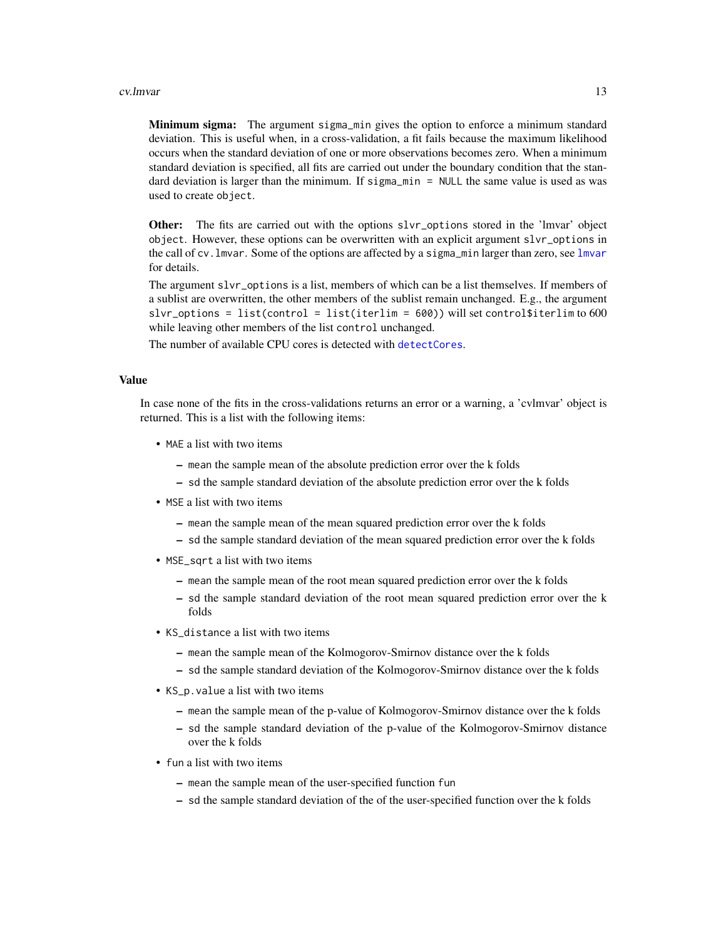#### <span id="page-12-0"></span>cv.lmvar 13

Minimum sigma: The argument sigma\_min gives the option to enforce a minimum standard deviation. This is useful when, in a cross-validation, a fit fails because the maximum likelihood occurs when the standard deviation of one or more observations becomes zero. When a minimum standard deviation is specified, all fits are carried out under the boundary condition that the standard deviation is larger than the minimum. If sigma\_min = NULL the same value is used as was used to create object.

Other: The fits are carried out with the options slvr\_options stored in the 'lmvar' object object. However, these options can be overwritten with an explicit argument slvr\_options in the call of cv.lmvar. Some of the options are affected by a sigma\_min larger than zero, see [lmvar](#page-27-1) for details.

The argument slvr\_options is a list, members of which can be a list themselves. If members of a sublist are overwritten, the other members of the sublist remain unchanged. E.g., the argument slvr\_options = list(control = list(iterlim = 600)) will set control\$iterlim to 600 while leaving other members of the list control unchanged.

The number of available CPU cores is detected with [detectCores](#page-0-0).

# Value

In case none of the fits in the cross-validations returns an error or a warning, a 'cvlmvar' object is returned. This is a list with the following items:

- MAE a list with two items
	- mean the sample mean of the absolute prediction error over the k folds
	- sd the sample standard deviation of the absolute prediction error over the k folds
- MSE a list with two items
	- mean the sample mean of the mean squared prediction error over the k folds
	- sd the sample standard deviation of the mean squared prediction error over the k folds
- MSE\_sqrt a list with two items
	- mean the sample mean of the root mean squared prediction error over the k folds
	- sd the sample standard deviation of the root mean squared prediction error over the k folds
- KS\_distance a list with two items
	- mean the sample mean of the Kolmogorov-Smirnov distance over the k folds
	- sd the sample standard deviation of the Kolmogorov-Smirnov distance over the k folds
- KS\_p.value a list with two items
	- mean the sample mean of the p-value of Kolmogorov-Smirnov distance over the k folds
	- sd the sample standard deviation of the p-value of the Kolmogorov-Smirnov distance over the k folds
- fun a list with two items
	- mean the sample mean of the user-specified function fun
	- sd the sample standard deviation of the of the user-specified function over the k folds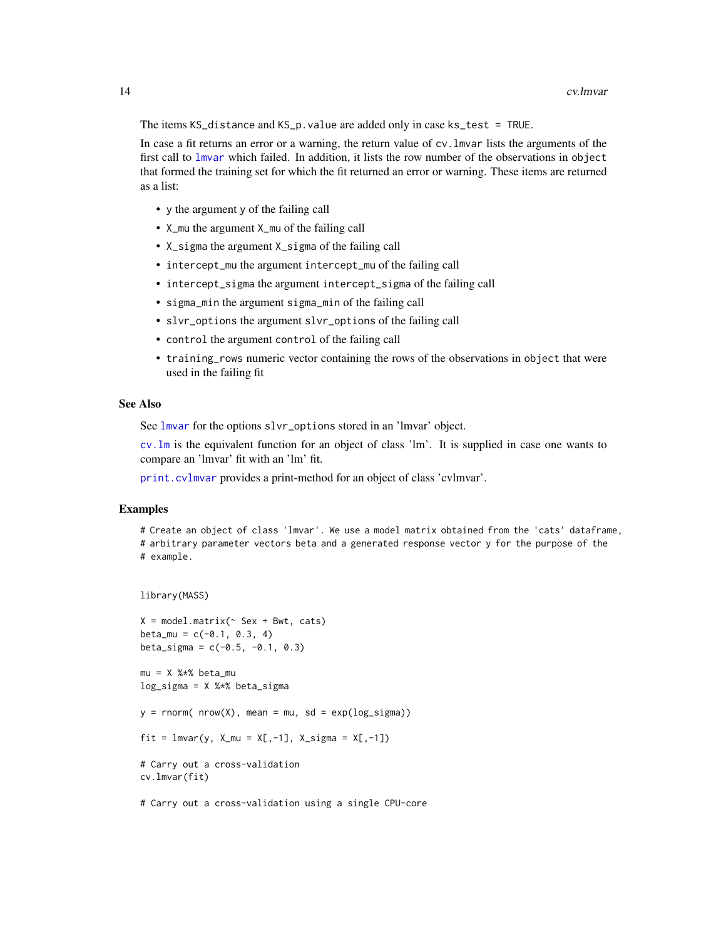The items KS\_distance and KS\_p.value are added only in case ks\_test = TRUE.

In case a fit returns an error or a warning, the return value of cv.lmvar lists the arguments of the first call to [lmvar](#page-27-1) which failed. In addition, it lists the row number of the observations in object that formed the training set for which the fit returned an error or warning. These items are returned as a list:

- y the argument y of the failing call
- X\_mu the argument X\_mu of the failing call
- X\_sigma the argument X\_sigma of the failing call
- intercept\_mu the argument intercept\_mu of the failing call
- intercept\_sigma the argument intercept\_sigma of the failing call
- sigma\_min the argument sigma\_min of the failing call
- slvr\_options the argument slvr\_options of the failing call
- control the argument control of the failing call
- training\_rows numeric vector containing the rows of the observations in object that were used in the failing fit

# See Also

See [lmvar](#page-27-1) for the options slvr\_options stored in an 'lmvar' object.

[cv.lm](#page-7-1) is the equivalent function for an object of class 'lm'. It is supplied in case one wants to compare an 'lmvar' fit with an 'lm' fit.

[print.cvlmvar](#page-49-1) provides a print-method for an object of class 'cvlmvar'.

# Examples

```
# Create an object of class 'lmvar'. We use a model matrix obtained from the 'cats' dataframe,
# arbitrary parameter vectors beta and a generated response vector y for the purpose of the
# example.
```

```
library(MASS)
```

```
X = model.matrix(~ Sex + Bwt, cats)
beta_mu = c(-0.1, 0.3, 4)beta_sigma = c(-0.5, -0.1, 0.3)mu = X %*% beta_mu
log_s{igma} = X %*% beta_sigma
y = \text{rnorm}( \text{nrow}(X), \text{mean} = \text{mu}, \text{sd} = \exp(\log_s i)fit = lmvar(y, X_mu = X[, -1], X_sigma = X[, -1])# Carry out a cross-validation
cv.lmvar(fit)
```
# Carry out a cross-validation using a single CPU-core

<span id="page-13-0"></span>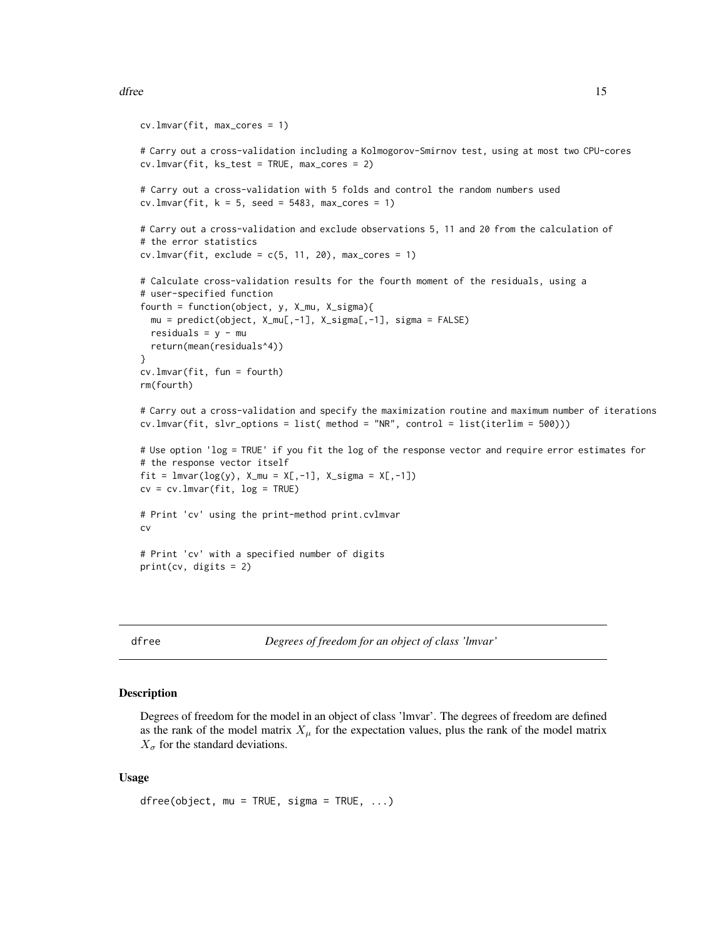```
cv.lmvar(fit, max_cores = 1)
# Carry out a cross-validation including a Kolmogorov-Smirnov test, using at most two CPU-cores
cv.lmvar(fit, ks_test = TRUE, max_cores = 2)
# Carry out a cross-validation with 5 folds and control the random numbers used
cv. Imvar(fit, k = 5, seed = 5483, max\_cores = 1)# Carry out a cross-validation and exclude observations 5, 11 and 20 from the calculation of
# the error statistics
cv.lmvar(fit, exclude = c(5, 11, 20), max_cores = 1)# Calculate cross-validation results for the fourth moment of the residuals, using a
# user-specified function
fourth = function(object, y, X_mu, X_sigma){
  mu = predict(object, X_mu[,-1], X_sigma[,-1], sigma = FALSE)
  residuals = y - mu
  return(mean(residuals^4))
}
cv.lmvar(fit, fun = fourth)
rm(fourth)
# Carry out a cross-validation and specify the maximization routine and maximum number of iterations
cv.lmvar(fit, slvr_options = list( method = "NR", control = list(iterlim = 500)))
# Use option 'log = TRUE' if you fit the log of the response vector and require error estimates for
# the response vector itself
fit = lmvar(log(y), X_mu = X[, -1], X_sigma = X[, -1])cv = cv.lmvar(fit, log = TRUE)
# Print 'cv' using the print-method print.cvlmvar
cv
# Print 'cv' with a specified number of digits
print(cv, digits = 2)
```
dfree *Degrees of freedom for an object of class 'lmvar'*

# **Description**

Degrees of freedom for the model in an object of class 'lmvar'. The degrees of freedom are defined as the rank of the model matrix  $X_{\mu}$  for the expectation values, plus the rank of the model matrix  $X_{\sigma}$  for the standard deviations.

#### Usage

```
dfree(object, mu = TRUE, sigma = TRUE, \ldots)
```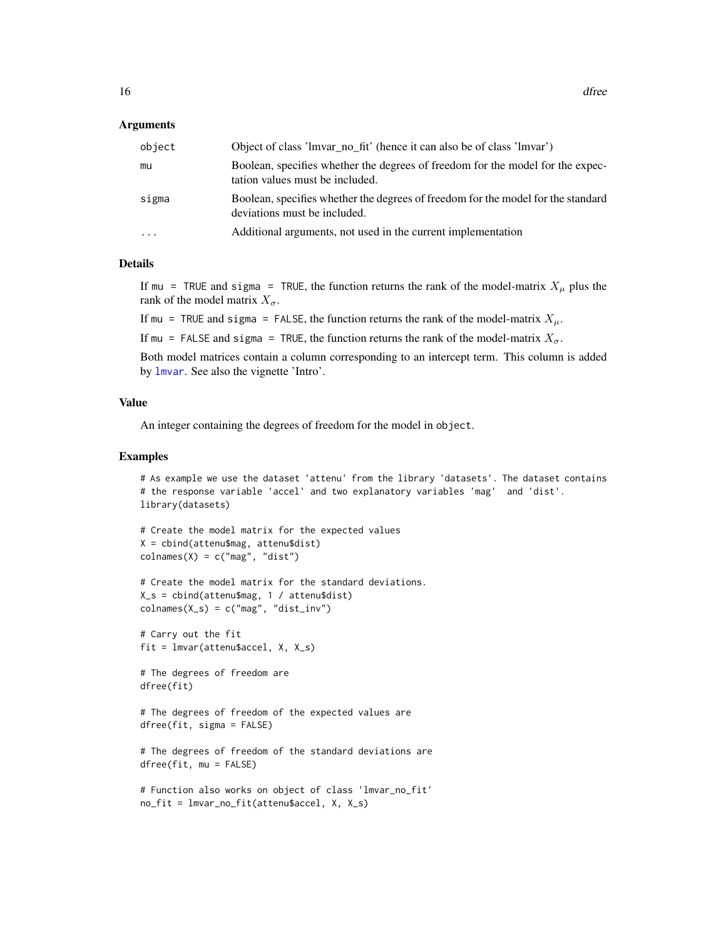# <span id="page-15-0"></span>Arguments

| object    | Object of class 'lmvar_no_fit' (hence it can also be of class 'lmvar')                                            |
|-----------|-------------------------------------------------------------------------------------------------------------------|
| mu        | Boolean, specifies whether the degrees of freedom for the model for the expec-<br>tation values must be included. |
| sigma     | Boolean, specifies whether the degrees of freedom for the model for the standard<br>deviations must be included.  |
| $\ddotsc$ | Additional arguments, not used in the current implementation                                                      |

# **Details**

If mu = TRUE and sigma = TRUE, the function returns the rank of the model-matrix  $X_{\mu}$  plus the rank of the model matrix  $X_{\sigma}$ .

If mu = TRUE and sigma = FALSE, the function returns the rank of the model-matrix  $X_{\mu}$ .

If mu = FALSE and sigma = TRUE, the function returns the rank of the model-matrix  $X_{\sigma}$ .

Both model matrices contain a column corresponding to an intercept term. This column is added by [lmvar](#page-27-1). See also the vignette 'Intro'.

#### Value

An integer containing the degrees of freedom for the model in object.

# Examples

```
# As example we use the dataset 'attenu' from the library 'datasets'. The dataset contains
# the response variable 'accel' and two explanatory variables 'mag' and 'dist'.
library(datasets)
```

```
# Create the model matrix for the expected values
X = cbind(attenu$mag, attenu$dist)
colnames(X) = c("mag", "dist")
```

```
# Create the model matrix for the standard deviations.
X_s = cbind(attenu$mag, 1 / attenu$dist)
colnames(X_s) = c("mag", "dist_inv")
```
# Carry out the fit fit = lmvar(attenu\$accel, X, X\_s)

# The degrees of freedom are dfree(fit)

# The degrees of freedom of the expected values are dfree(fit, sigma = FALSE)

```
# The degrees of freedom of the standard deviations are
dfree(fit, mu = FALSE)
```

```
# Function also works on object of class 'lmvar_no_fit'
no_fit = lmvar_no_fit(attenu$accel, X, X_s)
```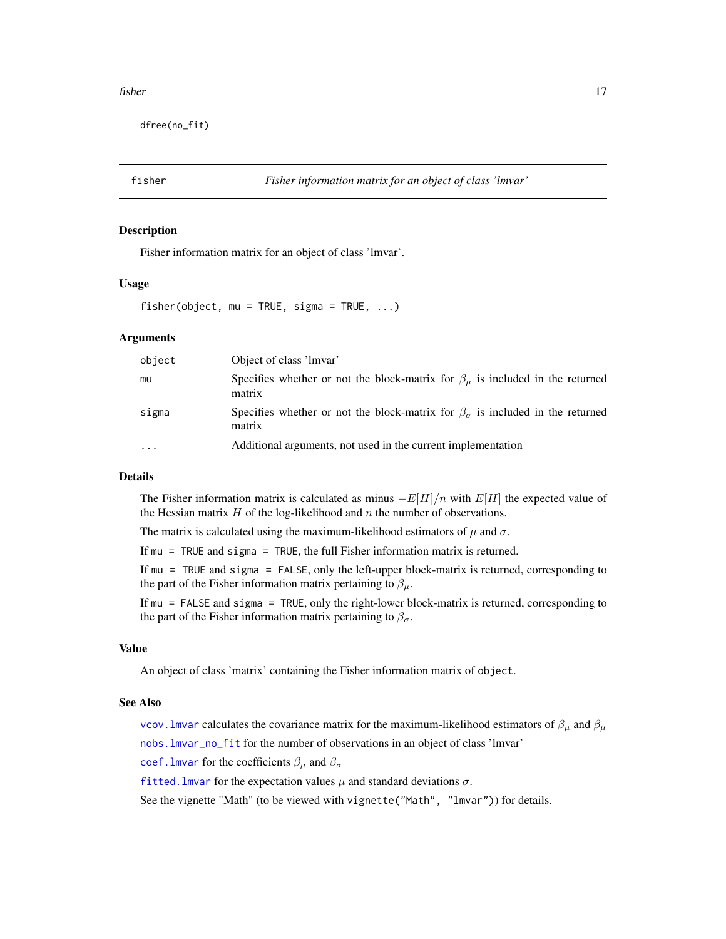#### <span id="page-16-0"></span>fisher that the state of the state of the state of the state of the state of the state of the state of the state of the state of the state of the state of the state of the state of the state of the state of the state of th

dfree(no\_fit)

<span id="page-16-1"></span>

# Description

Fisher information matrix for an object of class 'lmvar'.

#### Usage

fisher(object, mu = TRUE, sigma = TRUE,  $\ldots$ )

# Arguments

| object   | Object of class 'lmvar'                                                                              |
|----------|------------------------------------------------------------------------------------------------------|
| mu       | Specifies whether or not the block-matrix for $\beta_{\mu}$ is included in the returned<br>matrix    |
| sigma    | Specifies whether or not the block-matrix for $\beta_{\sigma}$ is included in the returned<br>matrix |
| $\cdots$ | Additional arguments, not used in the current implementation                                         |

# Details

The Fisher information matrix is calculated as minus  $-E[H]/n$  with  $E[H]$  the expected value of the Hessian matrix  $H$  of the log-likelihood and  $n$  the number of observations.

The matrix is calculated using the maximum-likelihood estimators of  $\mu$  and  $\sigma$ .

If mu = TRUE and sigma = TRUE, the full Fisher information matrix is returned.

If mu = TRUE and sigma = FALSE, only the left-upper block-matrix is returned, corresponding to the part of the Fisher information matrix pertaining to  $\beta_{\mu}$ .

If mu = FALSE and sigma = TRUE, only the right-lower block-matrix is returned, corresponding to the part of the Fisher information matrix pertaining to  $\beta_{\sigma}$ .

# Value

An object of class 'matrix' containing the Fisher information matrix of object.

# See Also

vcov. lmvar calculates the covariance matrix for the maximum-likelihood estimators of  $\beta_{\mu}$  and  $\beta_{\mu}$ 

[nobs.lmvar\\_no\\_fit](#page-34-1) for the number of observations in an object of class 'lmvar'

coef. lmvar for the coefficients  $\beta_{\mu}$  and  $\beta_{\sigma}$ 

fitted. Imvar for the expectation values  $\mu$  and standard deviations  $\sigma$ .

See the vignette "Math" (to be viewed with vignette("Math", "lmvar")) for details.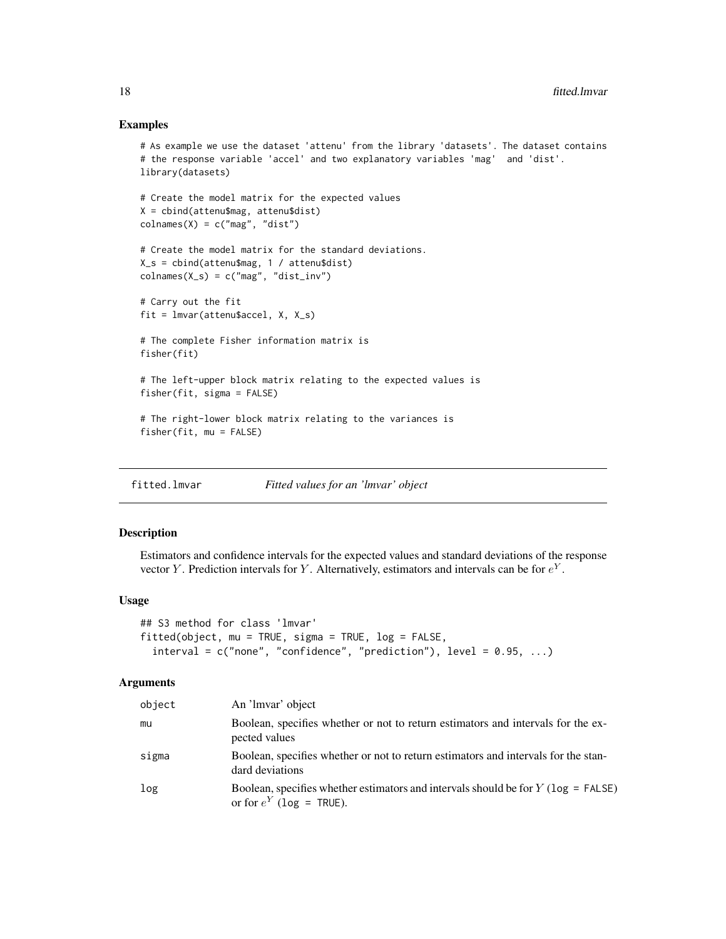# Examples

```
# As example we use the dataset 'attenu' from the library 'datasets'. The dataset contains
# the response variable 'accel' and two explanatory variables 'mag' and 'dist'.
library(datasets)
# Create the model matrix for the expected values
X = cbind(attenu$mag, attenu$dist)
colnames(X) = c("mag", "dist")# Create the model matrix for the standard deviations.
X_s = cbind(attenu$mag, 1 / attenu$dist)
colnames(X_s) = c("mag", "dist_inv")# Carry out the fit
fit = lmvar(attenu$accel, X, X_s)
# The complete Fisher information matrix is
fisher(fit)
# The left-upper block matrix relating to the expected values is
fisher(fit, sigma = FALSE)
# The right-lower block matrix relating to the variances is
fisher(fit, mu = FALSE)
```
<span id="page-17-1"></span>fitted.lmvar *Fitted values for an 'lmvar' object*

#### Description

Estimators and confidence intervals for the expected values and standard deviations of the response vector Y. Prediction intervals for Y. Alternatively, estimators and intervals can be for  $e^Y$ .

#### Usage

```
## S3 method for class 'lmvar'
fitted(object, mu = TRUE, sigma = TRUE, log = FALSE,
  interval = c("none", "confidence", "predicate", "prediction"), level = 0.95, ...)
```
### **Arguments**

| object | An 'Imvar' object                                                                                                    |
|--------|----------------------------------------------------------------------------------------------------------------------|
| mu     | Boolean, specifies whether or not to return estimators and intervals for the ex-<br>pected values                    |
| sigma  | Boolean, specifies whether or not to return estimators and intervals for the stan-<br>dard deviations                |
| log    | Boolean, specifies whether estimators and intervals should be for $Y$ ( $log =$ FALSE)<br>or for $e^Y$ (log = TRUE). |

<span id="page-17-0"></span>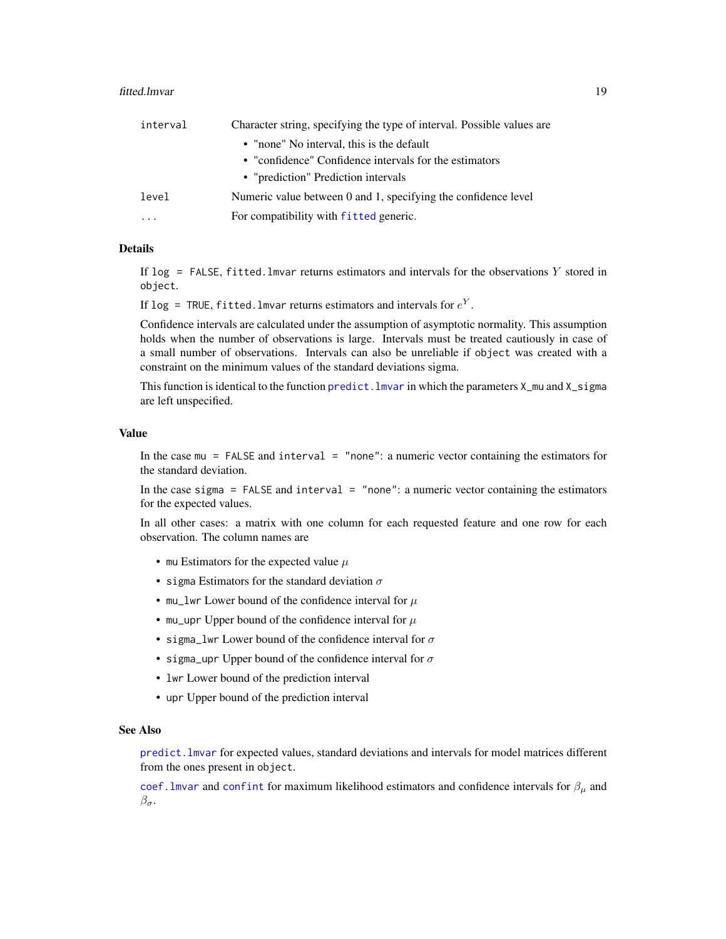#### <span id="page-18-0"></span>fitted.lmvar 19

| interval  | Character string, specifying the type of interval. Possible values are |  |
|-----------|------------------------------------------------------------------------|--|
|           | • "none" No interval, this is the default                              |  |
|           | • "confidence" Confidence intervals for the estimators                 |  |
|           | • "prediction" Prediction intervals                                    |  |
| level     | Numeric value between 0 and 1, specifying the confidence level         |  |
| $\ddotsc$ | For compatibility with fitted generic.                                 |  |

# Details

If  $\log$  = FALSE, fitted. Imvar returns estimators and intervals for the observations Y stored in object.

If log = TRUE, fitted.lmvar returns estimators and intervals for  $e^Y.$ 

Confidence intervals are calculated under the assumption of asymptotic normality. This assumption holds when the number of observations is large. Intervals must be treated cautiously in case of a small number of observations. Intervals can also be unreliable if object was created with a constraint on the minimum values of the standard deviations sigma.

This function is identical to the function predict. I mvar in which the parameters  $X_{\text{mu}}$  and  $X_{\text{mu}}$  and  $X_{\text{mu}}$ are left unspecified.

# Value

In the case mu = FALSE and interval = "none": a numeric vector containing the estimators for the standard deviation.

In the case sigma = FALSE and interval = "none": a numeric vector containing the estimators for the expected values.

In all other cases: a matrix with one column for each requested feature and one row for each observation. The column names are

- mu Estimators for the expected value  $\mu$
- sigma Estimators for the standard deviation  $\sigma$
- mu\_lwr Lower bound of the confidence interval for  $\mu$
- mu\_upr Upper bound of the confidence interval for  $\mu$
- sigma\_lwr Lower bound of the confidence interval for  $\sigma$
- sigma\_upr Upper bound of the confidence interval for  $\sigma$
- lwr Lower bound of the prediction interval
- upr Upper bound of the prediction interval

# See Also

[predict.lmvar](#page-46-1) for expected values, standard deviations and intervals for model matrices different from the ones present in object.

coef. Imvar and [confint](#page-0-0) for maximum likelihood estimators and confidence intervals for  $\beta_{\mu}$  and  $\beta_{\sigma}.$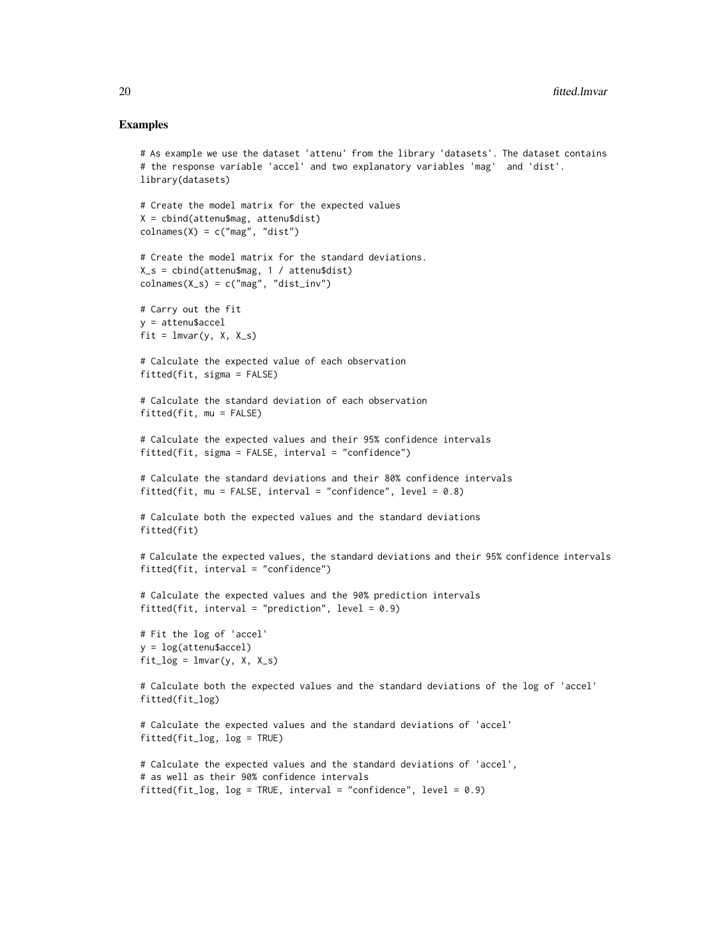# Examples

```
# As example we use the dataset 'attenu' from the library 'datasets'. The dataset contains
# the response variable 'accel' and two explanatory variables 'mag' and 'dist'.
library(datasets)
# Create the model matrix for the expected values
X = cbind(attenu$mag, attenu$dist)
colnames(X) = c("mag", "dist")# Create the model matrix for the standard deviations.
X_s = cbind(attenu$mag, 1 / attenu$dist)
colnames(X_s) = c("mag", "dist_inv")# Carry out the fit
y = attenu$accel
fit = lmvar(y, X, X_s)# Calculate the expected value of each observation
fitted(fit, sigma = FALSE)
# Calculate the standard deviation of each observation
fitted(fit, mu = FALSE)
# Calculate the expected values and their 95% confidence intervals
fitted(fit, sigma = FALSE, interval = "confidence")
# Calculate the standard deviations and their 80% confidence intervals
fitted(fit, mu = FALSE, interval = "confidence", level = 0.8)
# Calculate both the expected values and the standard deviations
fitted(fit)
# Calculate the expected values, the standard deviations and their 95% confidence intervals
fitted(fit, interval = "confidence")
# Calculate the expected values and the 90% prediction intervals
fitted(fit, interval = "prediction", level = 0.9)
# Fit the log of 'accel'
y = log(attenu$accel)
fit\_{log} = lmvar(y, X, X_s)# Calculate both the expected values and the standard deviations of the log of 'accel'
fitted(fit_log)
# Calculate the expected values and the standard deviations of 'accel'
fitted(fit_log, log = TRUE)
# Calculate the expected values and the standard deviations of 'accel',
# as well as their 90% confidence intervals
fitted(fit_log, log = TRUE, interval = "confidence", level = 0.9)
```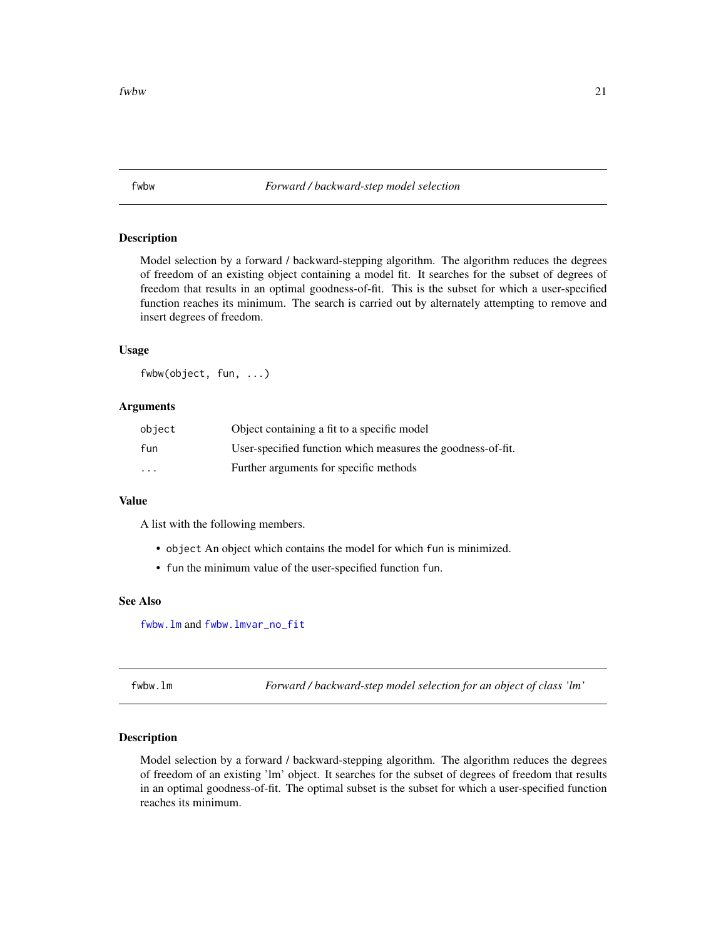<span id="page-20-2"></span><span id="page-20-0"></span>fwbw *Forward / backward-step model selection*

# Description

Model selection by a forward / backward-stepping algorithm. The algorithm reduces the degrees of freedom of an existing object containing a model fit. It searches for the subset of degrees of freedom that results in an optimal goodness-of-fit. This is the subset for which a user-specified function reaches its minimum. The search is carried out by alternately attempting to remove and insert degrees of freedom.

# Usage

fwbw(object, fun, ...)

# Arguments

| object   | Object containing a fit to a specific model                 |
|----------|-------------------------------------------------------------|
| fun      | User-specified function which measures the goodness-of-fit. |
| $\cdots$ | Further arguments for specific methods                      |

# Value

A list with the following members.

- object An object which contains the model for which fun is minimized.
- fun the minimum value of the user-specified function fun.

# See Also

[fwbw.lm](#page-20-1) and [fwbw.lmvar\\_no\\_fit](#page-23-1)

<span id="page-20-1"></span>fwbw.lm *Forward / backward-step model selection for an object of class 'lm'*

# Description

Model selection by a forward / backward-stepping algorithm. The algorithm reduces the degrees of freedom of an existing 'lm' object. It searches for the subset of degrees of freedom that results in an optimal goodness-of-fit. The optimal subset is the subset for which a user-specified function reaches its minimum.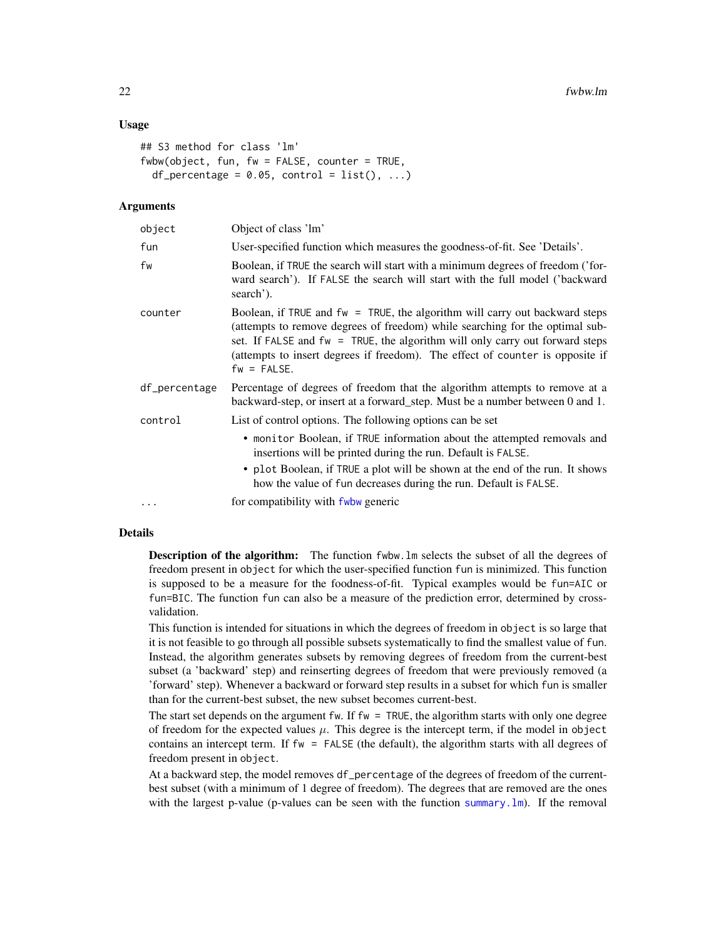# <span id="page-21-0"></span>Usage

```
## S3 method for class 'lm'
fwbw(object, fun, fw = FALSE, counter = TRUE,
 df_percentage = 0.05, control = list(), ...)
```
#### Arguments

| object        | Object of class 'lm'                                                                                                                                                                                                                                                                                                                             |
|---------------|--------------------------------------------------------------------------------------------------------------------------------------------------------------------------------------------------------------------------------------------------------------------------------------------------------------------------------------------------|
| fun           | User-specified function which measures the goodness-of-fit. See 'Details'.                                                                                                                                                                                                                                                                       |
| fw            | Boolean, if TRUE the search will start with a minimum degrees of freedom ('for-<br>ward search'). If FALSE the search will start with the full model ('backward<br>search').                                                                                                                                                                     |
| counter       | Boolean, if TRUE and fw = TRUE, the algorithm will carry out backward steps<br>(attempts to remove degrees of freedom) while searching for the optimal sub-<br>set. If FALSE and $fw = TRUE$ , the algorithm will only carry out forward steps<br>(attempts to insert degrees if freedom). The effect of counter is opposite if<br>$fw = FALSE.$ |
| df_percentage | Percentage of degrees of freedom that the algorithm attempts to remove at a<br>backward-step, or insert at a forward_step. Must be a number between 0 and 1.                                                                                                                                                                                     |
| control       | List of control options. The following options can be set                                                                                                                                                                                                                                                                                        |
|               | • monitor Boolean, if TRUE information about the attempted removals and<br>insertions will be printed during the run. Default is FALSE.                                                                                                                                                                                                          |
|               | • plot Boolean, if TRUE a plot will be shown at the end of the run. It shows<br>how the value of fun decreases during the run. Default is FALSE.                                                                                                                                                                                                 |
| $\cdots$      | for compatibility with fwbw generic                                                                                                                                                                                                                                                                                                              |

# Details

Description of the algorithm: The function fwbw.lm selects the subset of all the degrees of freedom present in object for which the user-specified function fun is minimized. This function is supposed to be a measure for the foodness-of-fit. Typical examples would be fun=AIC or fun=BIC. The function fun can also be a measure of the prediction error, determined by crossvalidation.

This function is intended for situations in which the degrees of freedom in object is so large that it is not feasible to go through all possible subsets systematically to find the smallest value of fun. Instead, the algorithm generates subsets by removing degrees of freedom from the current-best subset (a 'backward' step) and reinserting degrees of freedom that were previously removed (a 'forward' step). Whenever a backward or forward step results in a subset for which fun is smaller than for the current-best subset, the new subset becomes current-best.

The start set depends on the argument fw. If  $fw = TRUE$ , the algorithm starts with only one degree of freedom for the expected values  $\mu$ . This degree is the intercept term, if the model in object contains an intercept term. If fw = FALSE (the default), the algorithm starts with all degrees of freedom present in object.

At a backward step, the model removes df\_percentage of the degrees of freedom of the currentbest subset (with a minimum of 1 degree of freedom). The degrees that are removed are the ones with the largest p-value (p-values can be seen with the function summary. lm). If the removal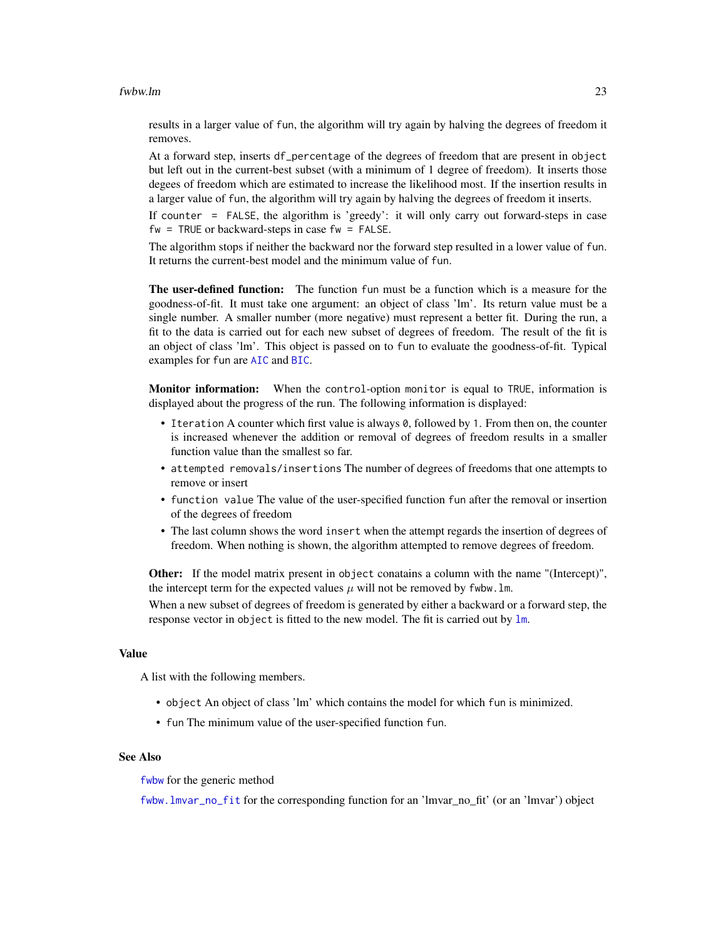#### <span id="page-22-0"></span>fwbw.lm 23

results in a larger value of fun, the algorithm will try again by halving the degrees of freedom it removes.

At a forward step, inserts df\_percentage of the degrees of freedom that are present in object but left out in the current-best subset (with a minimum of 1 degree of freedom). It inserts those degees of freedom which are estimated to increase the likelihood most. If the insertion results in a larger value of fun, the algorithm will try again by halving the degrees of freedom it inserts.

If counter = FALSE, the algorithm is 'greedy': it will only carry out forward-steps in case  $fw = TRUE$  or backward-steps in case  $fw = FALSE$ .

The algorithm stops if neither the backward nor the forward step resulted in a lower value of fun. It returns the current-best model and the minimum value of fun.

The user-defined function: The function fun must be a function which is a measure for the goodness-of-fit. It must take one argument: an object of class 'lm'. Its return value must be a single number. A smaller number (more negative) must represent a better fit. During the run, a fit to the data is carried out for each new subset of degrees of freedom. The result of the fit is an object of class 'lm'. This object is passed on to fun to evaluate the goodness-of-fit. Typical examples for fun are [AIC](#page-0-0) and [BIC](#page-0-0).

Monitor information: When the control-option monitor is equal to TRUE, information is displayed about the progress of the run. The following information is displayed:

- I teration A counter which first value is always 0, followed by 1. From then on, the counter is increased whenever the addition or removal of degrees of freedom results in a smaller function value than the smallest so far.
- attempted removals/insertions The number of degrees of freedoms that one attempts to remove or insert
- function value The value of the user-specified function fun after the removal or insertion of the degrees of freedom
- The last column shows the word insert when the attempt regards the insertion of degrees of freedom. When nothing is shown, the algorithm attempted to remove degrees of freedom.

Other: If the model matrix present in object conatains a column with the name "(Intercept)", the intercept term for the expected values  $\mu$  will not be removed by fwbw. 1m.

When a new subset of degrees of freedom is generated by either a backward or a forward step, the response vector in object is fitted to the new model. The fit is carried out by [lm](#page-0-0).

### Value

A list with the following members.

- object An object of class 'lm' which contains the model for which fun is minimized.
- fun The minimum value of the user-specified function fun.

# See Also

[fwbw](#page-20-2) for the generic method

[fwbw.lmvar\\_no\\_fit](#page-23-1) for the corresponding function for an 'lmvar\_no\_fit' (or an 'lmvar') object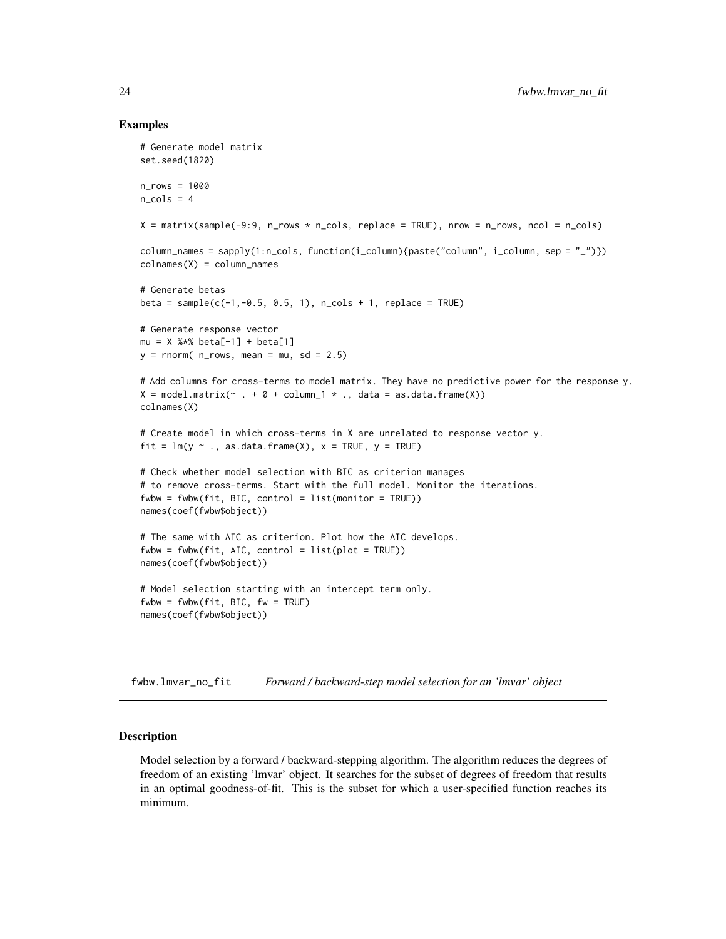# Examples

```
# Generate model matrix
set.seed(1820)
n_rows = 1000
n_{cols} = 4X = \text{matrix}(\text{sample}(-9:9, n\_rows * n\_cols, \text{replace} = \text{TRUE}), \text{now} = n\_rows, \text{ncol} = n\_cols)column_names = sapply(1:n_cols, function(i_column){paste("column", i_column, sep = "_")})
colnames(X) = column_names# Generate betas
beta = sample(c(-1, -0.5, 0.5, 1), n_{cols + 1, replace = TRUE)# Generate response vector
mu = X %*% beta[-1] + beta[1]
y = rnorm( n_rows, mean = mu, sd = 2.5)# Add columns for cross-terms to model matrix. They have no predictive power for the response y.
X = model_matrix(\sim . + 0 + column_1 *, ., data = as.data-frame(X))colnames(X)
# Create model in which cross-terms in X are unrelated to response vector y.
fit = lm(y \sim ., as.data-frame(X), x = TRUE, y = TRUE)# Check whether model selection with BIC as criterion manages
# to remove cross-terms. Start with the full model. Monitor the iterations.
fwbw = fwbw(fit, BIC, control = list(monitor = TRUE))names(coef(fwbw$object))
# The same with AIC as criterion. Plot how the AIC develops.
fwbw = fwbw(fit, AIC, control = list(plot = TRUE))names(coef(fwbw$object))
# Model selection starting with an intercept term only.
fwbw = fwbw(fit, BIC, fw = TRUE)names(coef(fwbw$object))
```
<span id="page-23-1"></span>fwbw.lmvar\_no\_fit *Forward / backward-step model selection for an 'lmvar' object*

# **Description**

Model selection by a forward / backward-stepping algorithm. The algorithm reduces the degrees of freedom of an existing 'lmvar' object. It searches for the subset of degrees of freedom that results in an optimal goodness-of-fit. This is the subset for which a user-specified function reaches its minimum.

<span id="page-23-0"></span>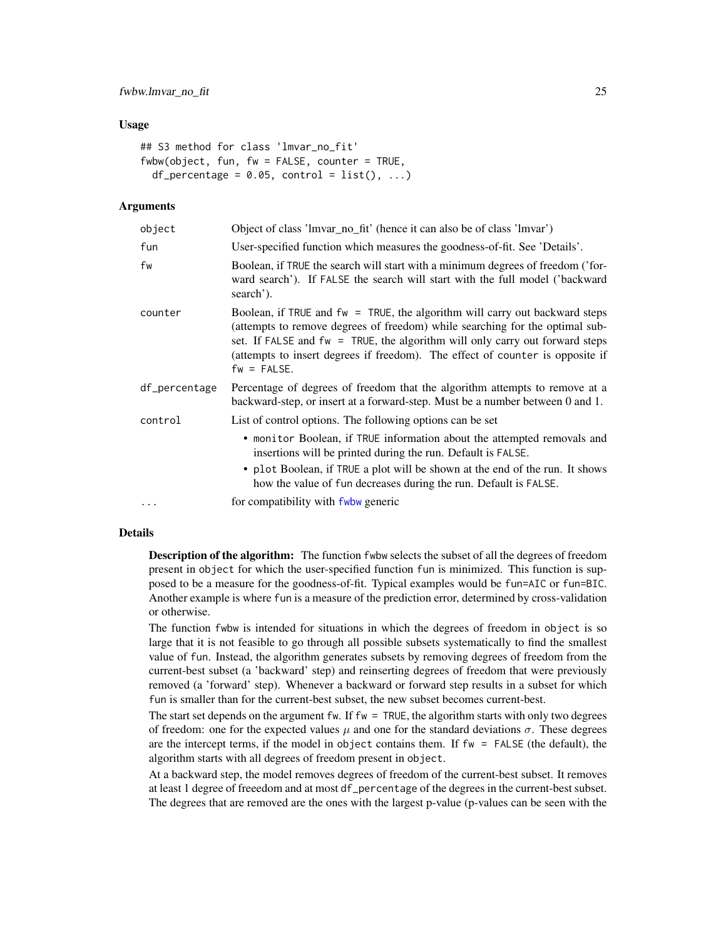# <span id="page-24-0"></span>Usage

```
## S3 method for class 'lmvar_no_fit'
fwbw(object, fun, fw = FALSE, counter = TRUE,
  df_percentage = 0.05, control = list(), ...)
```
#### Arguments

| object        | Object of class 'lmvar_no_fit' (hence it can also be of class 'lmvar')                                                                                                                                                                                                                                                                              |  |
|---------------|-----------------------------------------------------------------------------------------------------------------------------------------------------------------------------------------------------------------------------------------------------------------------------------------------------------------------------------------------------|--|
| fun           | User-specified function which measures the goodness-of-fit. See 'Details'.                                                                                                                                                                                                                                                                          |  |
| fw            | Boolean, if TRUE the search will start with a minimum degrees of freedom ('for-<br>ward search'). If FALSE the search will start with the full model ('backward<br>search').                                                                                                                                                                        |  |
| counter       | Boolean, if TRUE and $fw = TRUE$ , the algorithm will carry out backward steps<br>(attempts to remove degrees of freedom) while searching for the optimal sub-<br>set. If FALSE and $fw = TRUE$ , the algorithm will only carry out forward steps<br>(attempts to insert degrees if freedom). The effect of counter is opposite if<br>$fw = FALSE.$ |  |
| df_percentage | Percentage of degrees of freedom that the algorithm attempts to remove at a<br>backward-step, or insert at a forward-step. Must be a number between 0 and 1.                                                                                                                                                                                        |  |
| control       | List of control options. The following options can be set                                                                                                                                                                                                                                                                                           |  |
|               | • monitor Boolean, if TRUE information about the attempted removals and<br>insertions will be printed during the run. Default is FALSE.                                                                                                                                                                                                             |  |
|               | • plot Boolean, if TRUE a plot will be shown at the end of the run. It shows<br>how the value of fun decreases during the run. Default is FALSE.                                                                                                                                                                                                    |  |
| $\cdots$      | for compatibility with fwbw generic                                                                                                                                                                                                                                                                                                                 |  |

# Details

Description of the algorithm: The function fwbw selects the subset of all the degrees of freedom present in object for which the user-specified function fun is minimized. This function is supposed to be a measure for the goodness-of-fit. Typical examples would be fun=AIC or fun=BIC. Another example is where fun is a measure of the prediction error, determined by cross-validation or otherwise.

The function fwbw is intended for situations in which the degrees of freedom in object is so large that it is not feasible to go through all possible subsets systematically to find the smallest value of fun. Instead, the algorithm generates subsets by removing degrees of freedom from the current-best subset (a 'backward' step) and reinserting degrees of freedom that were previously removed (a 'forward' step). Whenever a backward or forward step results in a subset for which fun is smaller than for the current-best subset, the new subset becomes current-best.

The start set depends on the argument  $f_w$ . If  $f_w = TRUE$ , the algorithm starts with only two degrees of freedom: one for the expected values  $\mu$  and one for the standard deviations  $\sigma$ . These degrees are the intercept terms, if the model in object contains them. If fw = FALSE (the default), the algorithm starts with all degrees of freedom present in object.

At a backward step, the model removes degrees of freedom of the current-best subset. It removes at least 1 degree of freeedom and at most df\_percentage of the degrees in the current-best subset. The degrees that are removed are the ones with the largest p-value (p-values can be seen with the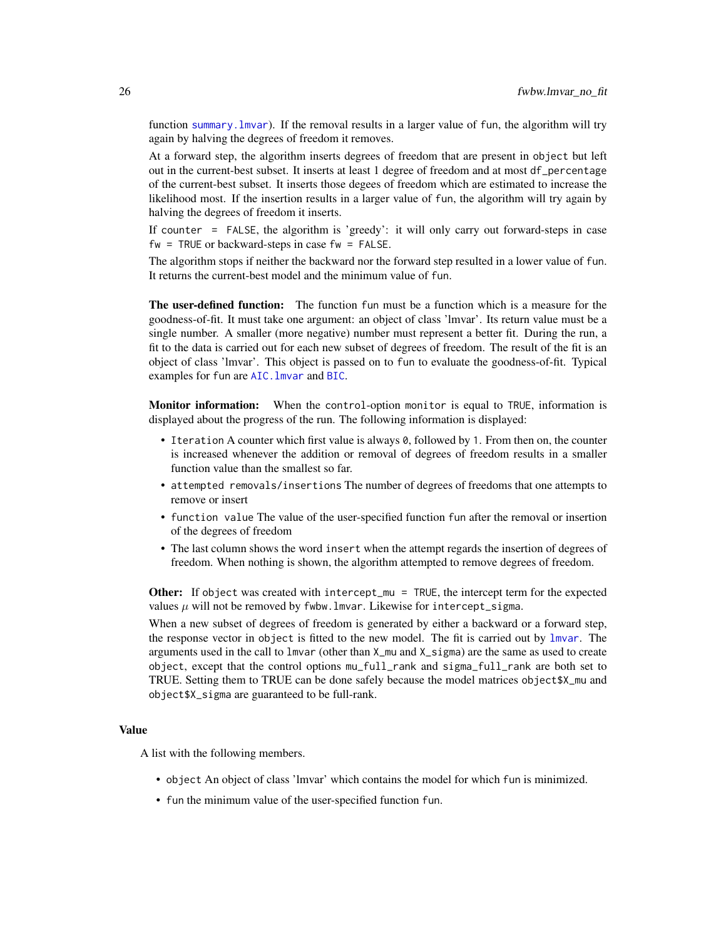function summary. Imvar). If the removal results in a larger value of fun, the algorithm will try again by halving the degrees of freedom it removes.

At a forward step, the algorithm inserts degrees of freedom that are present in object but left out in the current-best subset. It inserts at least 1 degree of freedom and at most df\_percentage of the current-best subset. It inserts those degees of freedom which are estimated to increase the likelihood most. If the insertion results in a larger value of fun, the algorithm will try again by halving the degrees of freedom it inserts.

If counter = FALSE, the algorithm is 'greedy': it will only carry out forward-steps in case  $fw = TRUE$  or backward-steps in case  $fw = FALSE$ .

The algorithm stops if neither the backward nor the forward step resulted in a lower value of fun. It returns the current-best model and the minimum value of fun.

The user-defined function: The function fun must be a function which is a measure for the goodness-of-fit. It must take one argument: an object of class 'lmvar'. Its return value must be a single number. A smaller (more negative) number must represent a better fit. During the run, a fit to the data is carried out for each new subset of degrees of freedom. The result of the fit is an object of class 'lmvar'. This object is passed on to fun to evaluate the goodness-of-fit. Typical examples for fun are [AIC.lmvar](#page-1-1) and [BIC](#page-0-0).

Monitor information: When the control-option monitor is equal to TRUE, information is displayed about the progress of the run. The following information is displayed:

- Iteration A counter which first value is always 0, followed by 1. From then on, the counter is increased whenever the addition or removal of degrees of freedom results in a smaller function value than the smallest so far.
- attempted removals/insertions The number of degrees of freedoms that one attempts to remove or insert
- function value The value of the user-specified function fun after the removal or insertion of the degrees of freedom
- The last column shows the word insert when the attempt regards the insertion of degrees of freedom. When nothing is shown, the algorithm attempted to remove degrees of freedom.

Other: If object was created with intercept\_mu = TRUE, the intercept term for the expected values  $\mu$  will not be removed by fwbw. Imvar. Likewise for intercept\_sigma.

When a new subset of degrees of freedom is generated by either a backward or a forward step, the response vector in object is fitted to the new model. The fit is carried out by [lmvar](#page-27-1). The arguments used in the call to lmvar (other than X\_mu and X\_sigma) are the same as used to create object, except that the control options mu\_full\_rank and sigma\_full\_rank are both set to TRUE. Setting them to TRUE can be done safely because the model matrices object\$X\_mu and object\$X\_sigma are guaranteed to be full-rank.

# Value

A list with the following members.

- object An object of class 'lmvar' which contains the model for which fun is minimized.
- fun the minimum value of the user-specified function fun.

<span id="page-25-0"></span>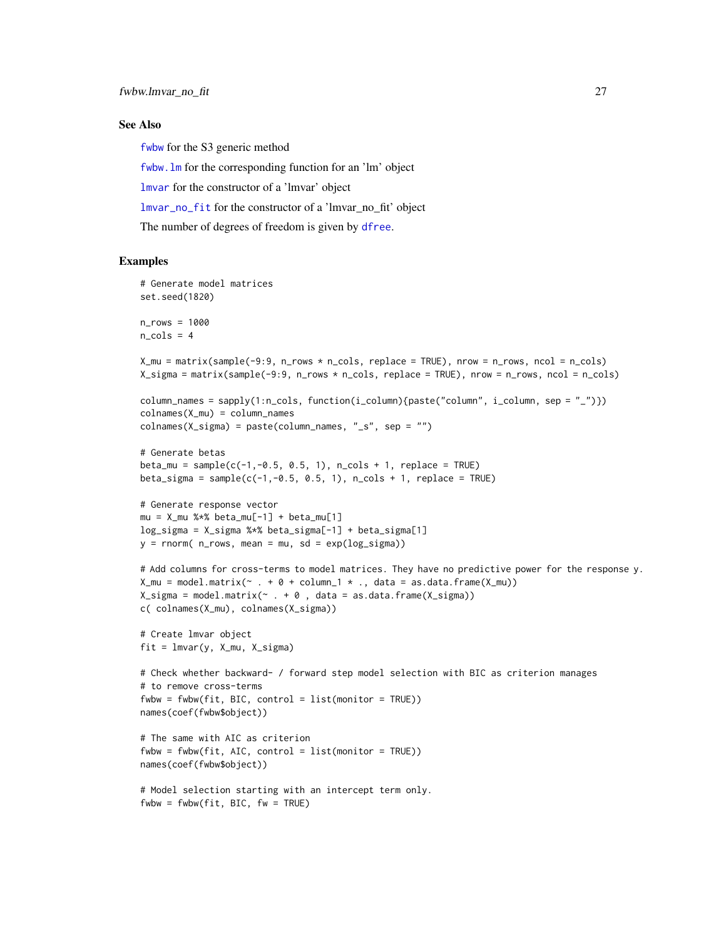# <span id="page-26-0"></span>See Also

[fwbw](#page-20-2) for the S3 generic method

[fwbw.lm](#page-20-1) for the corresponding function for an 'lm' object

[lmvar](#page-27-1) for the constructor of a 'lmvar' object

[lmvar\\_no\\_fit](#page-31-1) for the constructor of a 'lmvar\_no\_fit' object

The number of degrees of freedom is given by [dfree](#page-14-1).

# Examples

```
# Generate model matrices
set.seed(1820)
n_rows = 1000
n cols = 4
X_mmu = matrix(sample(-9:9, n_rows * n_cols, replace = TRUE), nrow = n_rows, ncol = n_cols)
X_sigma = matrix(sample(-9:9, n_rows * n_cols, replace = TRUE), nrow = n_rows, ncol = n_cols)
column_names = sapply(1:n_cols, function(i_column){paste("column", i_column, sep = "_")})
colnames(X_mu) = column_names
colnames(X_sigma) = paste(column_names, "_s", sep = "")
# Generate betas
beta_m = sample(c(-1, -0.5, 0.5, 1), n_{cols + 1, replace = TRUE)beta_sigma = sample(c(-1, -0.5, 0.5, 1), n_cols + 1, replace = TRUE)# Generate response vector
mu = X_mu %*% beta_mu[-1] + beta_mu[1]
log_sigma = X_sigma %*% beta_sigma[-1] + beta_sigma[1]
y = rnorm( n_rows, mean = mu, sd = exp(log_sigma))# Add columns for cross-terms to model matrices. They have no predictive power for the response y.
X_mu = model.matrix (~ + 0 + column_1 * ., data = as.data-frame(X_mu))X_sigma = model.matrix(\sim . + 0, data = as.data.frame(X_sigma))
c( colnames(X_mu), colnames(X_sigma))
# Create lmvar object
fit = lmvar(y, X_mu, X_sigma)# Check whether backward- / forward step model selection with BIC as criterion manages
# to remove cross-terms
fwbw = fwbw(fit, BIC, control = list(monitor = TRUE))
names(coef(fwbw$object))
# The same with AIC as criterion
fwbw = fwbw(fit, AIC, control = list(monitor = TRUE))names(coef(fwbw$object))
# Model selection starting with an intercept term only.
fwbw = fwbw(fit, BIC, fw = TRUE)
```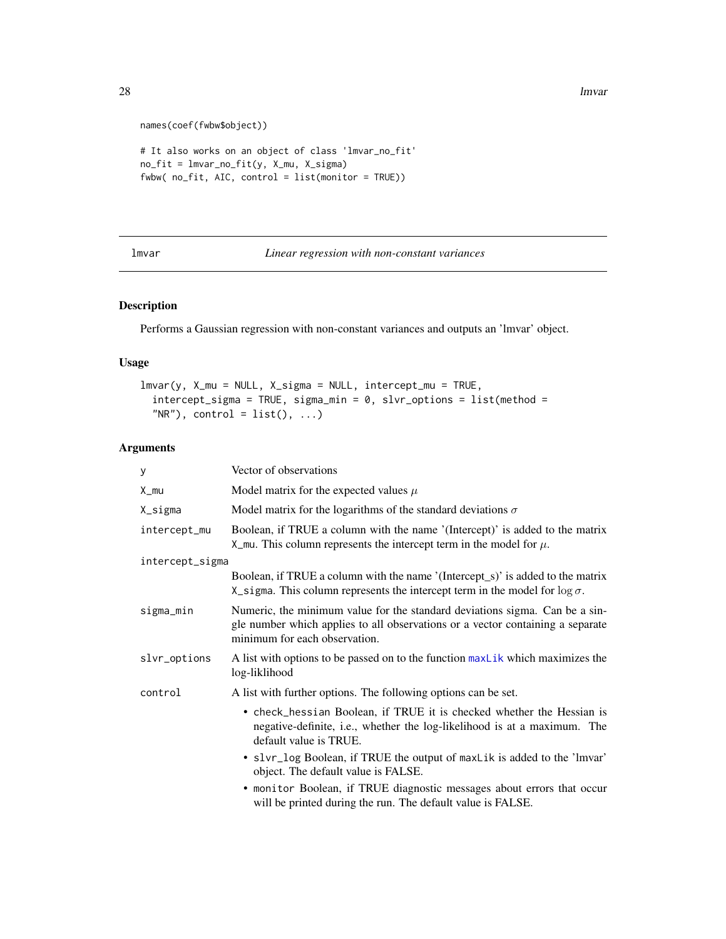28 lmvar under the control of the control of the control of the control of the control of the control of the control of the control of the control of the control of the control of the control of the control of the control

```
names(coef(fwbw$object))
# It also works on an object of class 'lmvar_no_fit'
no_fit = lmvar_no_fit(y, X_mu, X_sigma)
fwbw( no_fit, AIC, control = list(monitor = TRUE))
```
<span id="page-27-1"></span>lmvar *Linear regression with non-constant variances*

# Description

Performs a Gaussian regression with non-constant variances and outputs an 'lmvar' object.

# Usage

```
lmvar(y, X_mu = NULL, X_sigma = NULL, intercept_mu = TRUE,
  intercept\_sigma = TRUE, sigma_min = 0, slvr_options = list(method =
  "NR"), control = list(), ...)
```
# Arguments

| у               | Vector of observations                                                                                                                                                                         |  |
|-----------------|------------------------------------------------------------------------------------------------------------------------------------------------------------------------------------------------|--|
| X_mu            | Model matrix for the expected values $\mu$                                                                                                                                                     |  |
| X_sigma         | Model matrix for the logarithms of the standard deviations $\sigma$                                                                                                                            |  |
| intercept_mu    | Boolean, if TRUE a column with the name '(Intercept)' is added to the matrix<br>X_mu. This column represents the intercept term in the model for $\mu$ .                                       |  |
| intercept_sigma |                                                                                                                                                                                                |  |
|                 | Boolean, if TRUE a column with the name '(Intercept_s)' is added to the matrix<br>X_sigma. This column represents the intercept term in the model for $\log \sigma$ .                          |  |
| sigma_min       | Numeric, the minimum value for the standard deviations sigma. Can be a sin-<br>gle number which applies to all observations or a vector containing a separate<br>minimum for each observation. |  |
| slvr_options    | A list with options to be passed on to the function maxlik which maximizes the<br>log-liklihood                                                                                                |  |
| control         | A list with further options. The following options can be set.                                                                                                                                 |  |
|                 | • check_hessian Boolean, if TRUE it is checked whether the Hessian is<br>negative-definite, i.e., whether the log-likelihood is at a maximum. The<br>default value is TRUE.                    |  |
|                 | • slvr_log Boolean, if TRUE the output of maxLik is added to the 'lmvar'<br>object. The default value is FALSE.                                                                                |  |
|                 | • monitor Boolean, if TRUE diagnostic messages about errors that occur<br>will be printed during the run. The default value is FALSE.                                                          |  |

<span id="page-27-0"></span>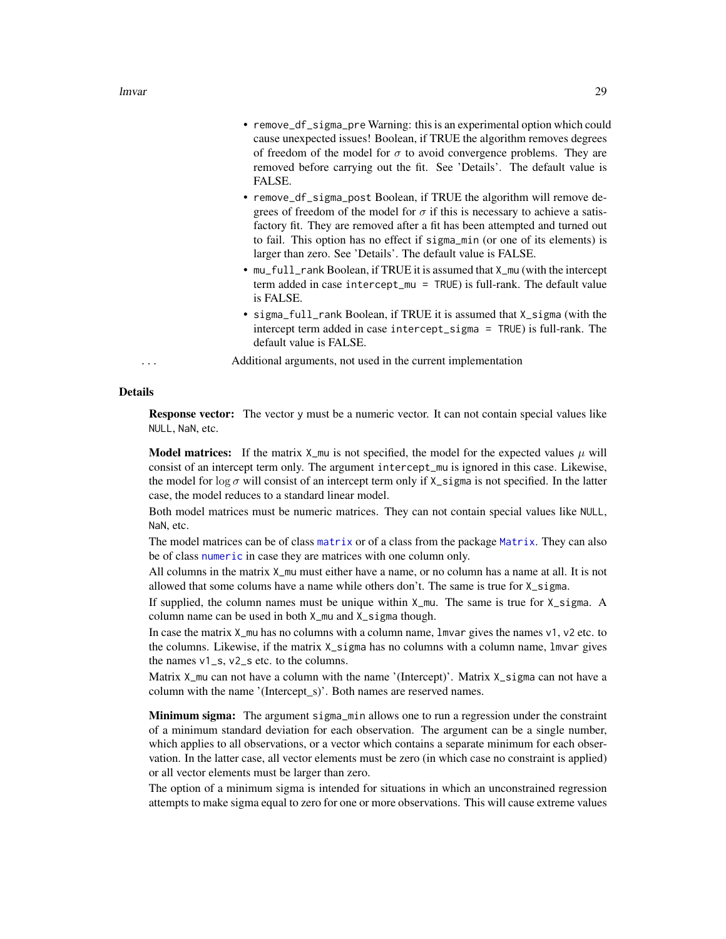- <span id="page-28-0"></span>• remove\_df\_sigma\_pre Warning: this is an experimental option which could cause unexpected issues! Boolean, if TRUE the algorithm removes degrees of freedom of the model for  $\sigma$  to avoid convergence problems. They are removed before carrying out the fit. See 'Details'. The default value is FALSE.
- remove\_df\_sigma\_post Boolean, if TRUE the algorithm will remove degrees of freedom of the model for  $\sigma$  if this is necessary to achieve a satisfactory fit. They are removed after a fit has been attempted and turned out to fail. This option has no effect if sigma\_min (or one of its elements) is larger than zero. See 'Details'. The default value is FALSE.
- mu\_full\_rank Boolean, if TRUE it is assumed that X\_mu (with the intercept term added in case intercept\_mu = TRUE) is full-rank. The default value is FALSE.
- sigma\_full\_rank Boolean, if TRUE it is assumed that X\_sigma (with the intercept term added in case intercept\_sigma = TRUE) is full-rank. The default value is FALSE.
- ... Additional arguments, not used in the current implementation

#### Details

Response vector: The vector y must be a numeric vector. It can not contain special values like NULL, NaN, etc.

**Model matrices:** If the matrix  $X_{\text{mu}}$  is not specified, the model for the expected values  $\mu$  will consist of an intercept term only. The argument intercept\_mu is ignored in this case. Likewise, the model for log  $\sigma$  will consist of an intercept term only if X\_sigma is not specified. In the latter case, the model reduces to a standard linear model.

Both model matrices must be numeric matrices. They can not contain special values like NULL, NaN, etc.

The model matrices can be of class [matrix](#page-0-0) or of a class from the package [Matrix](#page-0-0). They can also be of class [numeric](#page-0-0) in case they are matrices with one column only.

All columns in the matrix  $X_{\text{mu}}$  must either have a name, or no column has a name at all. It is not allowed that some colums have a name while others don't. The same is true for X\_sigma.

If supplied, the column names must be unique within X\_mu. The same is true for X\_sigma. A column name can be used in both X\_mu and X\_sigma though.

In case the matrix  $X_{\text{mu}}$  has no columns with a column name, lmvar gives the names v1, v2 etc. to the columns. Likewise, if the matrix X\_sigma has no columns with a column name, lmvar gives the names v1\_s, v2\_s etc. to the columns.

Matrix X\_mu can not have a column with the name '(Intercept)'. Matrix X\_sigma can not have a column with the name '(Intercept\_s)'. Both names are reserved names.

Minimum sigma: The argument sigma\_min allows one to run a regression under the constraint of a minimum standard deviation for each observation. The argument can be a single number, which applies to all observations, or a vector which contains a separate minimum for each observation. In the latter case, all vector elements must be zero (in which case no constraint is applied) or all vector elements must be larger than zero.

The option of a minimum sigma is intended for situations in which an unconstrained regression attempts to make sigma equal to zero for one or more observations. This will cause extreme values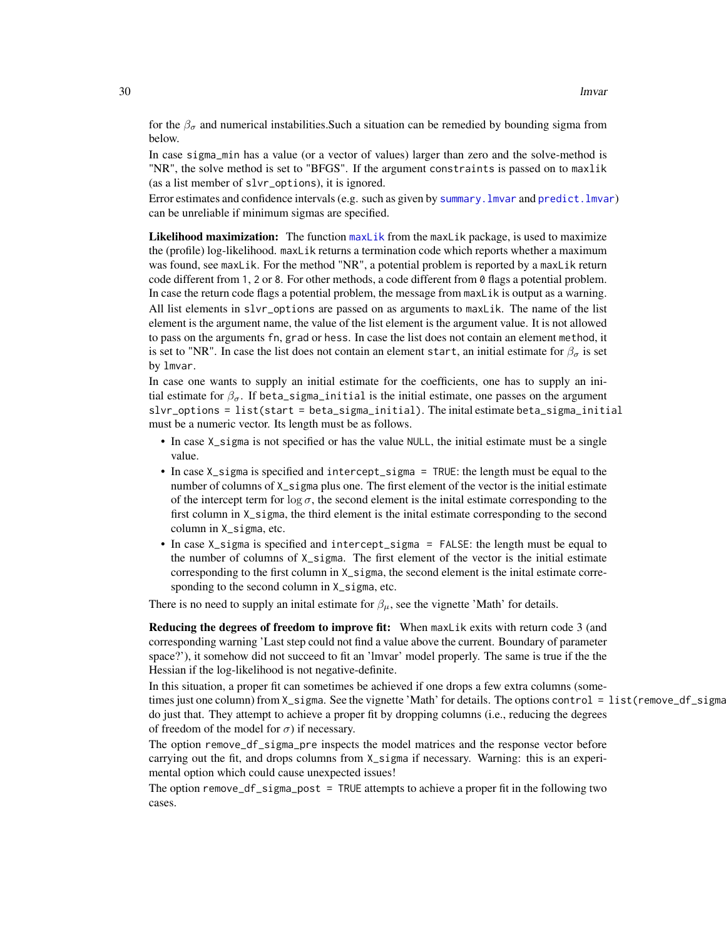<span id="page-29-0"></span>for the  $\beta_{\sigma}$  and numerical instabilities. Such a situation can be remedied by bounding sigma from below.

In case sigma\_min has a value (or a vector of values) larger than zero and the solve-method is "NR", the solve method is set to "BFGS". If the argument constraints is passed on to maxlik (as a list member of slvr\_options), it is ignored.

Error estimates and confidence intervals (e.g. such as given by summary. Imvar and predict. Imvar) can be unreliable if minimum sigmas are specified.

Likelihood maximization: The function [maxLik](#page-0-0) from the maxLik package, is used to maximize the (profile) log-likelihood. maxLik returns a termination code which reports whether a maximum was found, see maxLik. For the method "NR", a potential problem is reported by a maxLik return code different from 1, 2 or 8. For other methods, a code different from 0 flags a potential problem. In case the return code flags a potential problem, the message from maxLik is output as a warning. All list elements in slvr\_options are passed on as arguments to maxLik. The name of the list element is the argument name, the value of the list element is the argument value. It is not allowed to pass on the arguments fn, grad or hess. In case the list does not contain an element method, it is set to "NR". In case the list does not contain an element start, an initial estimate for  $\beta_{\sigma}$  is set by lmvar.

In case one wants to supply an initial estimate for the coefficients, one has to supply an initial estimate for  $\beta_{\sigma}$ . If beta\_sigma\_initial is the initial estimate, one passes on the argument slvr\_options = list(start = beta\_sigma\_initial). The inital estimate beta\_sigma\_initial must be a numeric vector. Its length must be as follows.

- In case X\_sigma is not specified or has the value NULL, the initial estimate must be a single value.
- In case X\_sigma is specified and intercept\_sigma = TRUE: the length must be equal to the number of columns of X\_sigma plus one. The first element of the vector is the initial estimate of the intercept term for  $\log \sigma$ , the second element is the initial estimate corresponding to the first column in X\_sigma, the third element is the inital estimate corresponding to the second column in X\_sigma, etc.
- In case X\_sigma is specified and intercept\_sigma = FALSE: the length must be equal to the number of columns of X\_sigma. The first element of the vector is the initial estimate corresponding to the first column in X\_sigma, the second element is the inital estimate corresponding to the second column in X\_sigma, etc.

There is no need to supply an inital estimate for  $\beta_{\mu}$ , see the vignette 'Math' for details.

Reducing the degrees of freedom to improve fit: When maxLik exits with return code 3 (and corresponding warning 'Last step could not find a value above the current. Boundary of parameter space?'), it somehow did not succeed to fit an 'lmvar' model properly. The same is true if the the Hessian if the log-likelihood is not negative-definite.

In this situation, a proper fit can sometimes be achieved if one drops a few extra columns (sometimes just one column) from  $X_s$  sigma. See the vignette 'Math' for details. The options control =  $list$  (remove $df_s$ sigma do just that. They attempt to achieve a proper fit by dropping columns (i.e., reducing the degrees of freedom of the model for  $\sigma$ ) if necessary.

The option remove\_df\_sigma\_pre inspects the model matrices and the response vector before carrying out the fit, and drops columns from X\_sigma if necessary. Warning: this is an experimental option which could cause unexpected issues!

The option remove\_df\_sigma\_post = TRUE attempts to achieve a proper fit in the following two cases.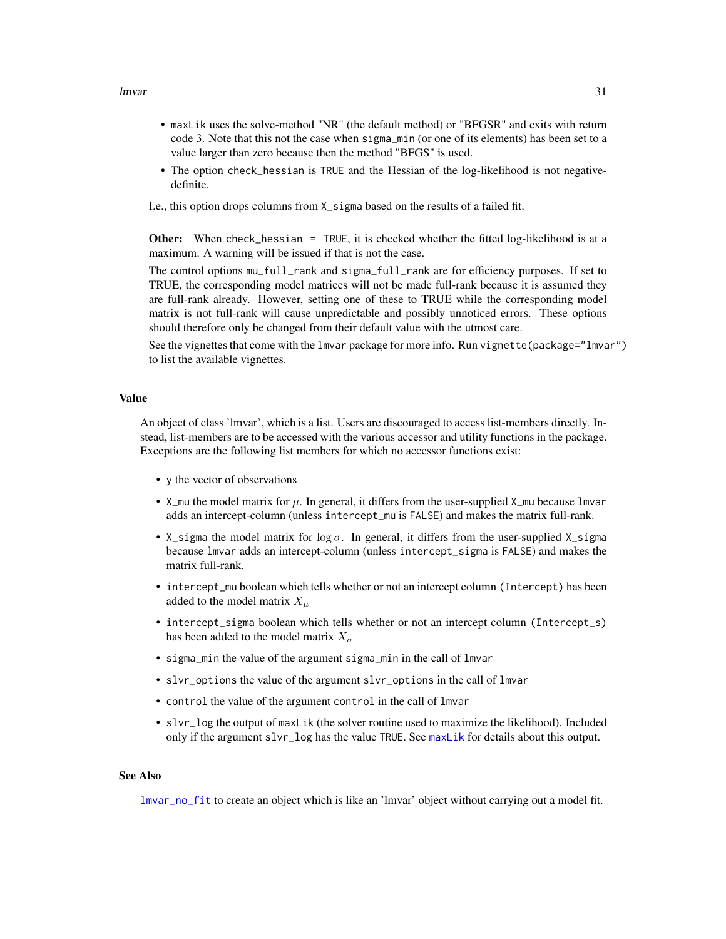- <span id="page-30-0"></span>• maxLik uses the solve-method "NR" (the default method) or "BFGSR" and exits with return code 3. Note that this not the case when sigma\_min (or one of its elements) has been set to a value larger than zero because then the method "BFGS" is used.
- The option check\_hessian is TRUE and the Hessian of the log-likelihood is not negativedefinite.
- I.e., this option drops columns from X\_sigma based on the results of a failed fit.

Other: When check\_hessian = TRUE, it is checked whether the fitted log-likelihood is at a maximum. A warning will be issued if that is not the case.

The control options mu\_full\_rank and sigma\_full\_rank are for efficiency purposes. If set to TRUE, the corresponding model matrices will not be made full-rank because it is assumed they are full-rank already. However, setting one of these to TRUE while the corresponding model matrix is not full-rank will cause unpredictable and possibly unnoticed errors. These options should therefore only be changed from their default value with the utmost care.

See the vignettes that come with the lmvar package for more info. Run vignette(package="lmvar") to list the available vignettes.

# Value

An object of class 'lmvar', which is a list. Users are discouraged to access list-members directly. Instead, list-members are to be accessed with the various accessor and utility functions in the package. Exceptions are the following list members for which no accessor functions exist:

- y the vector of observations
- X\_mu the model matrix for  $\mu$ . In general, it differs from the user-supplied X\_mu because lmvar adds an intercept-column (unless intercept\_mu is FALSE) and makes the matrix full-rank.
- X\_sigma the model matrix for  $\log \sigma$ . In general, it differs from the user-supplied X\_sigma because lmvar adds an intercept-column (unless intercept\_sigma is FALSE) and makes the matrix full-rank.
- intercept\_mu boolean which tells whether or not an intercept column (Intercept) has been added to the model matrix  $X_{\mu}$
- intercept\_sigma boolean which tells whether or not an intercept column (Intercept\_s) has been added to the model matrix  $X_{\sigma}$
- sigma\_min the value of the argument sigma\_min in the call of lmvar
- slvr\_options the value of the argument slvr\_options in the call of lmvar
- control the value of the argument control in the call of lmvar
- slvr\_log the output of maxLik (the solver routine used to maximize the likelihood). Included only if the argument slvr\_log has the value TRUE. See [maxLik](#page-0-0) for details about this output.

# See Also

[lmvar\\_no\\_fit](#page-31-1) to create an object which is like an 'lmvar' object without carrying out a model fit.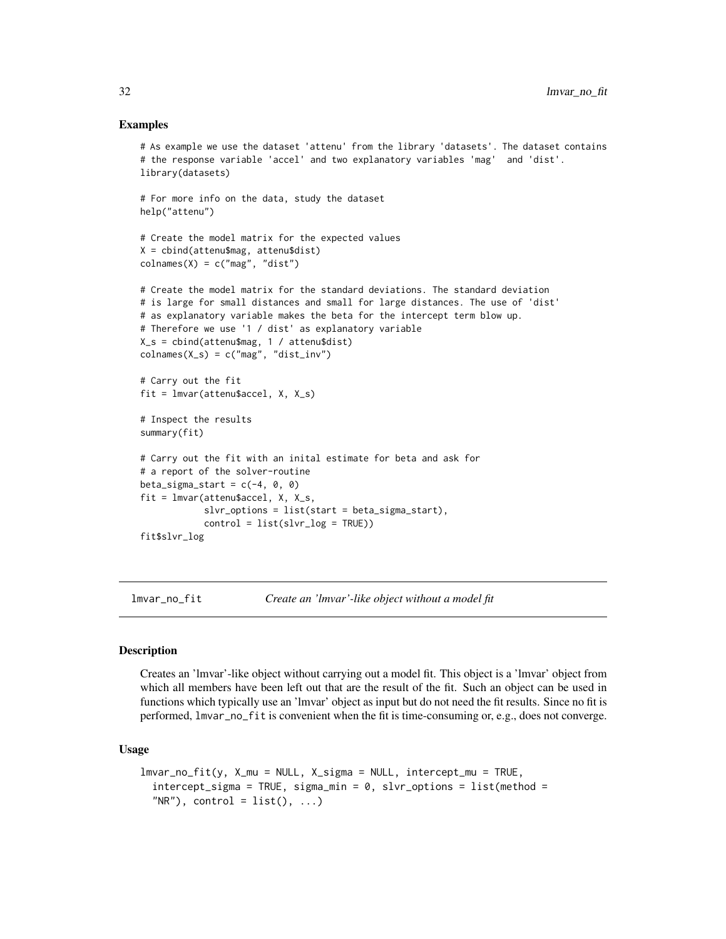# Examples

```
# As example we use the dataset 'attenu' from the library 'datasets'. The dataset contains
# the response variable 'accel' and two explanatory variables 'mag' and 'dist'.
library(datasets)
# For more info on the data, study the dataset
help("attenu")
# Create the model matrix for the expected values
X = cbind(attenu$mag, attenu$dist)
colnames(X) = c("mag", "dist")# Create the model matrix for the standard deviations. The standard deviation
# is large for small distances and small for large distances. The use of 'dist'
# as explanatory variable makes the beta for the intercept term blow up.
# Therefore we use '1 / dist' as explanatory variable
X_s = cbind(attenu$mag, 1 / attenu$dist)
colnames(X_s) = c("mag", "dist_inv")# Carry out the fit
fit = Imvar(attenu$accel, X, X_s)# Inspect the results
summary(fit)
# Carry out the fit with an inital estimate for beta and ask for
# a report of the solver-routine
beta_sigma_start = c(-4, 0, 0)fit = Imvar(attenu$accel, X, X_s,slvr_options = list(start = beta_sigma_start),
            control = list(slvr_log = TRUE))
fit$slvr_log
```
<span id="page-31-1"></span>lmvar\_no\_fit *Create an 'lmvar'-like object without a model fit*

# Description

Creates an 'lmvar'-like object without carrying out a model fit. This object is a 'lmvar' object from which all members have been left out that are the result of the fit. Such an object can be used in functions which typically use an 'lmvar' object as input but do not need the fit results. Since no fit is performed, lmvar\_no\_fit is convenient when the fit is time-consuming or, e.g., does not converge.

# Usage

```
lmvar-no_ffit(y, X_mu = NULL, X_sigma = NULL, interept_mu = TRUE,intercept\_sigma = TRUE, sigma_min = 0, slvr_options = list(method =
  "NR"), control = list(), ...)
```
<span id="page-31-0"></span>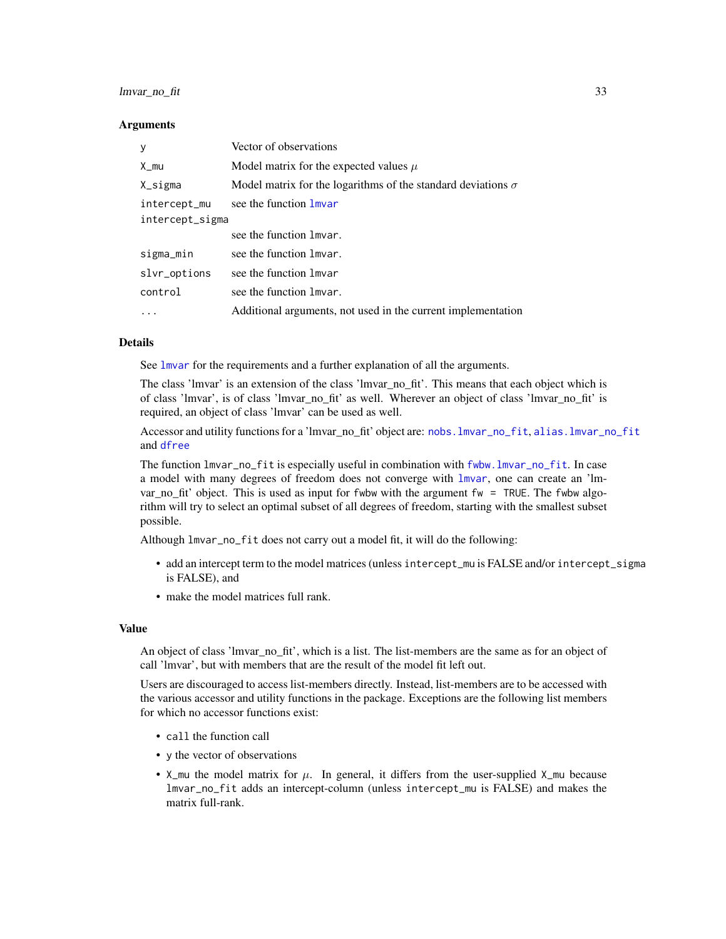# <span id="page-32-0"></span>lmvar\_no\_fit 33

#### **Arguments**

| y               | Vector of observations                                              |  |
|-----------------|---------------------------------------------------------------------|--|
| X_mu            | Model matrix for the expected values $\mu$                          |  |
| X_sigma         | Model matrix for the logarithms of the standard deviations $\sigma$ |  |
| intercept_mu    | see the function lmvar                                              |  |
| intercept_sigma |                                                                     |  |
|                 | see the function lmvar.                                             |  |
| sigma_min       | see the function lmvar.                                             |  |
| slvr_options    | see the function lmvar                                              |  |
| control         | see the function lmvar.                                             |  |
|                 | Additional arguments, not used in the current implementation        |  |

#### Details

See [lmvar](#page-27-1) for the requirements and a further explanation of all the arguments.

The class 'lmvar' is an extension of the class 'lmvar\_no\_fit'. This means that each object which is of class 'lmvar', is of class 'lmvar\_no\_fit' as well. Wherever an object of class 'lmvar\_no\_fit' is required, an object of class 'lmvar' can be used as well.

Accessor and utility functions for a 'lmvar\_no\_fit' object are: [nobs.lmvar\\_no\\_fit](#page-34-1), [alias.lmvar\\_no\\_fit](#page-2-1) and [dfree](#page-14-1)

The function lmvar\_no\_fit is especially useful in combination with [fwbw.lmvar\\_no\\_fit](#page-23-1). In case a model with many degrees of freedom does not converge with [lmvar](#page-27-1), one can create an 'lmvar no fit' object. This is used as input for fwbw with the argument fw = TRUE. The fwbw algorithm will try to select an optimal subset of all degrees of freedom, starting with the smallest subset possible.

Although lmvar\_no\_fit does not carry out a model fit, it will do the following:

- add an intercept term to the model matrices (unless intercept\_mu is FALSE and/or intercept\_sigma is FALSE), and
- make the model matrices full rank.

#### Value

An object of class 'lmvar\_no\_fit', which is a list. The list-members are the same as for an object of call 'lmvar', but with members that are the result of the model fit left out.

Users are discouraged to access list-members directly. Instead, list-members are to be accessed with the various accessor and utility functions in the package. Exceptions are the following list members for which no accessor functions exist:

- call the function call
- y the vector of observations
- X\_mu the model matrix for  $\mu$ . In general, it differs from the user-supplied X\_mu because lmvar\_no\_fit adds an intercept-column (unless intercept\_mu is FALSE) and makes the matrix full-rank.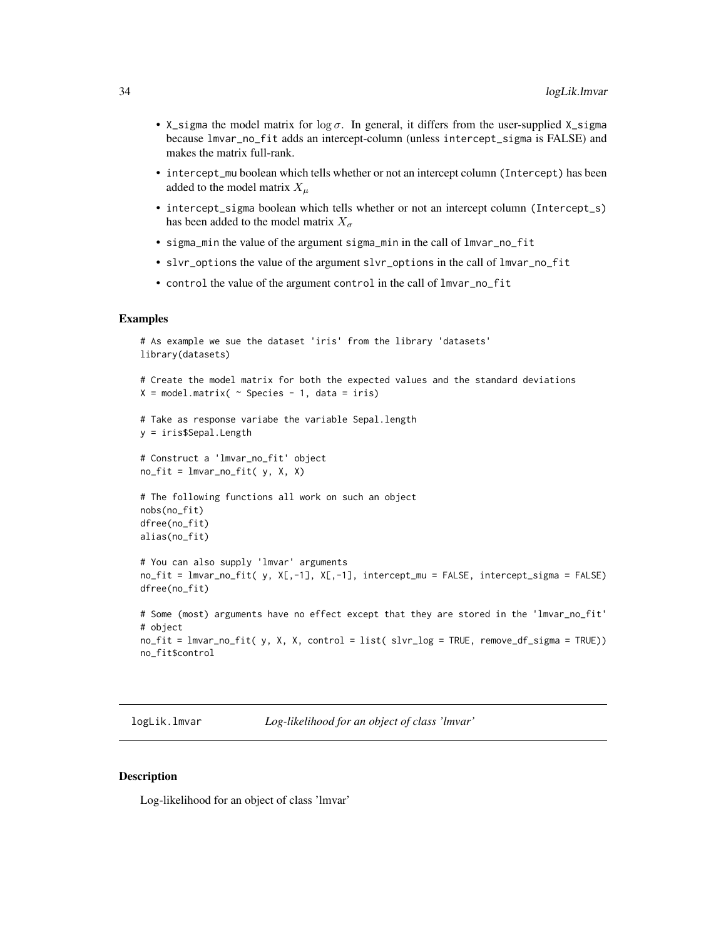- <span id="page-33-0"></span>• X\_sigma the model matrix for  $\log \sigma$ . In general, it differs from the user-supplied X\_sigma because lmvar\_no\_fit adds an intercept-column (unless intercept\_sigma is FALSE) and makes the matrix full-rank.
- intercept\_mu boolean which tells whether or not an intercept column (Intercept) has been added to the model matrix  $X_\mu$
- intercept\_sigma boolean which tells whether or not an intercept column (Intercept\_s) has been added to the model matrix  $X_{\sigma}$
- sigma\_min the value of the argument sigma\_min in the call of lmvar\_no\_fit
- slvr\_options the value of the argument slvr\_options in the call of lmvar\_no\_fit
- control the value of the argument control in the call of lmvar\_no\_fit

# Examples

```
# As example we sue the dataset 'iris' from the library 'datasets'
library(datasets)
# Create the model matrix for both the expected values and the standard deviations
X = model.matrix \sim Species - 1, data = iris)
# Take as response variabe the variable Sepal.length
y = iris$Sepal.Length
# Construct a 'lmvar_no_fit' object
no\_fit = 1mvar_no_fit( y, X, X)
# The following functions all work on such an object
nobs(no_fit)
dfree(no_fit)
alias(no_fit)
# You can also supply 'lmvar' arguments
no_fit = lmvar_no_fit( y, X[,-1], X[,-1], intercept_mu = FALSE, intercept_sigma = FALSE)
dfree(no_fit)
# Some (most) arguments have no effect except that they are stored in the 'lmvar_no_fit'
# object
no_fit = lmvar_no_fit( y, X, X, control = list( slvr_log = TRUE, remove_df_sigma = TRUE))
no_fit$control
```
<span id="page-33-1"></span>logLik.lmvar *Log-likelihood for an object of class 'lmvar'*

# Description

Log-likelihood for an object of class 'lmvar'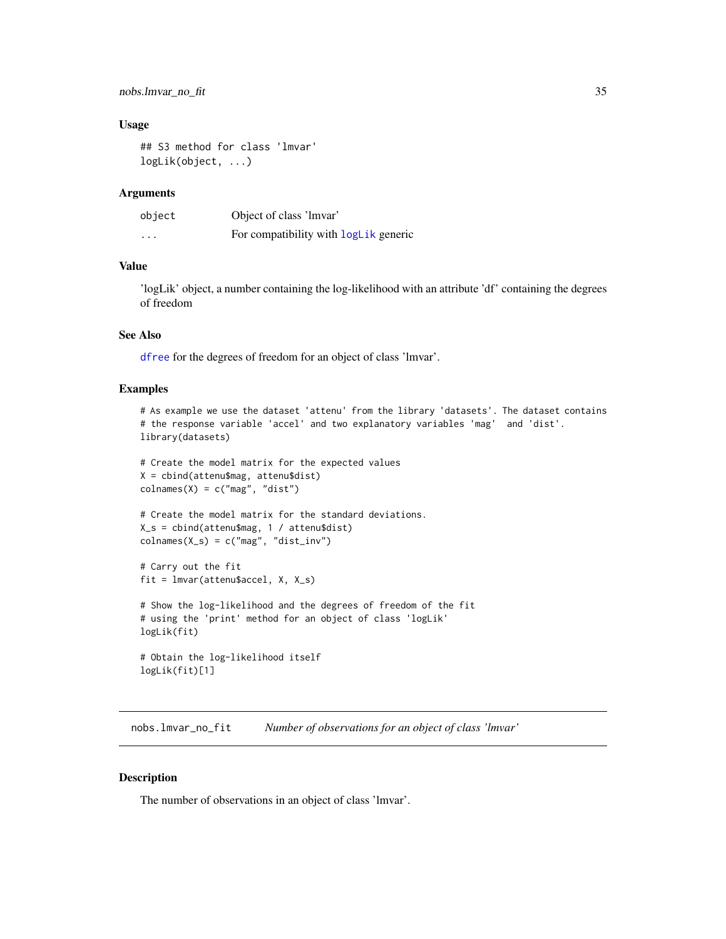# <span id="page-34-0"></span>nobs.lmvar\_no\_fit 35

# Usage

```
## S3 method for class 'lmvar'
logLik(object, ...)
```
# **Arguments**

| object   | Object of class 'lmvar'               |
|----------|---------------------------------------|
| $\cdots$ | For compatibility with logLik generic |

# Value

'logLik' object, a number containing the log-likelihood with an attribute 'df' containing the degrees of freedom

#### See Also

[dfree](#page-14-1) for the degrees of freedom for an object of class 'lmvar'.

### Examples

```
# As example we use the dataset 'attenu' from the library 'datasets'. The dataset contains
# the response variable 'accel' and two explanatory variables 'mag' and 'dist'.
library(datasets)
```

```
# Create the model matrix for the expected values
X = cbind(attenu$mag, attenu$dist)
colnames(X) = c("mag", "dist")
```

```
# Create the model matrix for the standard deviations.
X_s = cbind(attenu$mag, 1 / attenu$dist)
colnames(X_s) = c("mag", "dist_inv")
```

```
# Carry out the fit
fit = lmvar(attenu$accel, X, X_s)
```

```
# Show the log-likelihood and the degrees of freedom of the fit
# using the 'print' method for an object of class 'logLik'
logLik(fit)
```

```
# Obtain the log-likelihood itself
logLik(fit)[1]
```
<span id="page-34-1"></span>nobs.lmvar\_no\_fit *Number of observations for an object of class 'lmvar'*

# Description

The number of observations in an object of class 'lmvar'.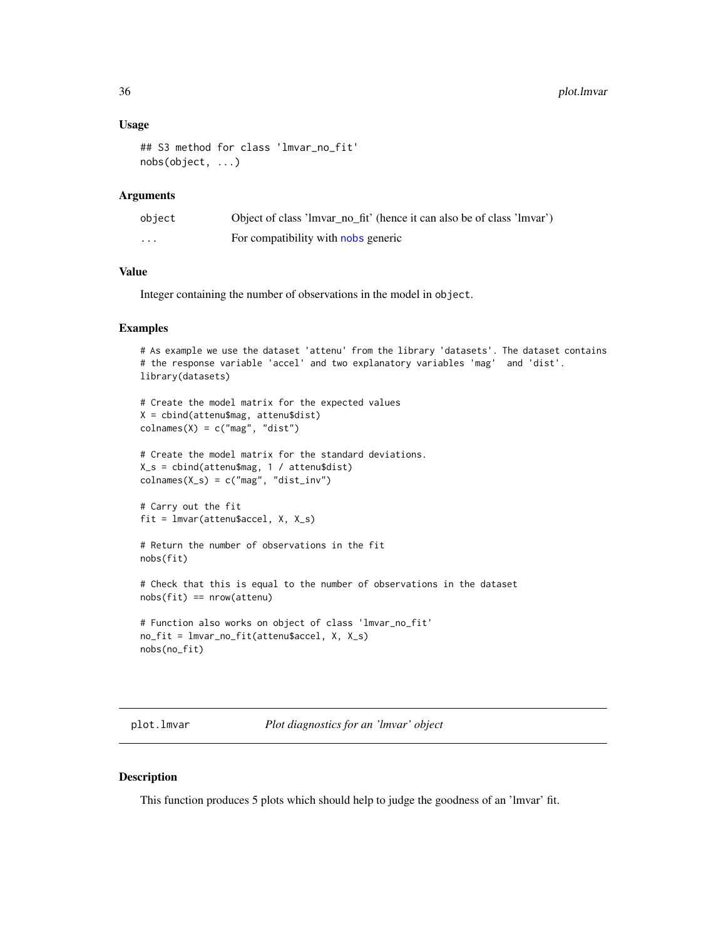#### Usage

```
## S3 method for class 'lmvar_no_fit'
nobs(object, ...)
```
# Arguments

| object  | Object of class 'lmvar_no_fit' (hence it can also be of class 'lmvar') |
|---------|------------------------------------------------------------------------|
| $\cdot$ | For compatibility with nobs generic                                    |

# Value

Integer containing the number of observations in the model in object.

#### Examples

```
# As example we use the dataset 'attenu' from the library 'datasets'. The dataset contains
# the response variable 'accel' and two explanatory variables 'mag' and 'dist'.
library(datasets)
# Create the model matrix for the expected values
X = cbind(attenu$mag, attenu$dist)
colnames(X) = c("mag", "dist")# Create the model matrix for the standard deviations.
X_s = cbind(attenu$mag, 1 / attenu$dist)
colnames(X_s) = c("mag", "dist_inv")# Carry out the fit
fit = lmvar(attenu$accel, X, X_s)
# Return the number of observations in the fit
nobs(fit)
# Check that this is equal to the number of observations in the dataset
nobs(fit) == nrow(attenu)
# Function also works on object of class 'lmvar_no_fit'
no_fit = lmvar_no_fit(attenu$accel, X, X_s)
nobs(no_fit)
```
plot.lmvar *Plot diagnostics for an 'lmvar' object*

# Description

This function produces 5 plots which should help to judge the goodness of an 'lmvar' fit.

<span id="page-35-0"></span>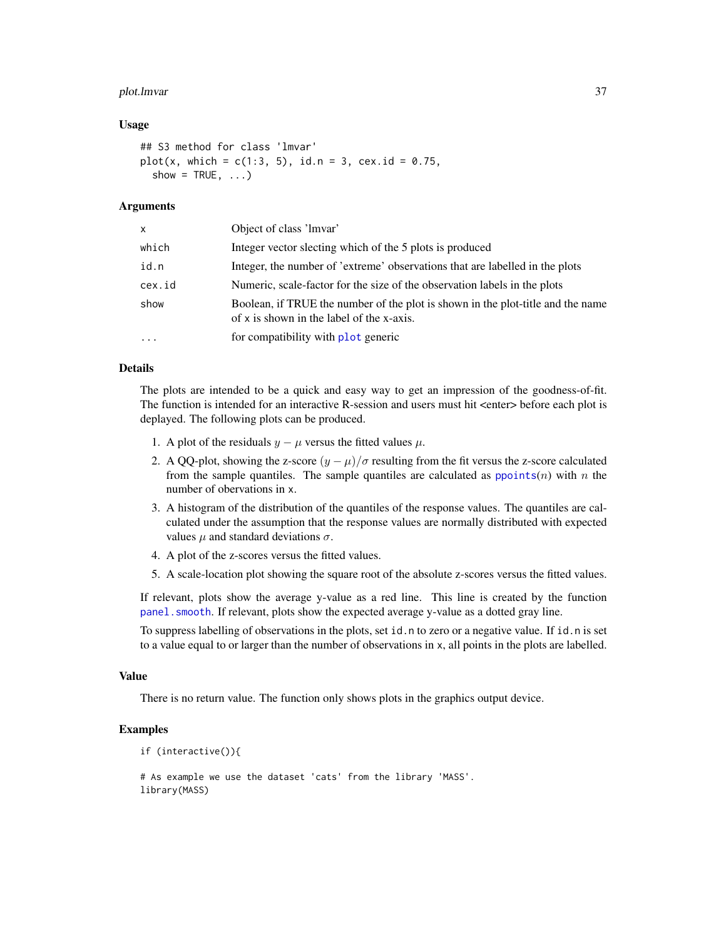#### <span id="page-36-0"></span>plot.lmvar 37

# Usage

```
## S3 method for class 'lmvar'
plot(x, which = c(1:3, 5), id.n = 3, cex.id = 0.75,show = TRUE, \ldots)
```
# Arguments

| X         | Object of class 'Imvar'                                                                                                      |
|-----------|------------------------------------------------------------------------------------------------------------------------------|
| which     | Integer vector slecting which of the 5 plots is produced                                                                     |
| id.n      | Integer, the number of 'extreme' observations that are labelled in the plots                                                 |
| cex.id    | Numeric, scale-factor for the size of the observation labels in the plots                                                    |
| show      | Boolean, if TRUE the number of the plot is shown in the plot-title and the name<br>of x is shown in the label of the x-axis. |
| $\ddotsc$ | for compatibility with plot generic                                                                                          |

### Details

The plots are intended to be a quick and easy way to get an impression of the goodness-of-fit. The function is intended for an interactive R-session and users must hit <enter> before each plot is deplayed. The following plots can be produced.

- 1. A plot of the residuals  $y \mu$  versus the fitted values  $\mu$ .
- 2. A QQ-plot, showing the z-score  $(y \mu)/\sigma$  resulting from the fit versus the z-score calculated from the sample quantiles. The sample quantiles are calculated as  $ppoints(n)$  $ppoints(n)$  with n the number of obervations in x.
- 3. A histogram of the distribution of the quantiles of the response values. The quantiles are calculated under the assumption that the response values are normally distributed with expected values  $\mu$  and standard deviations  $\sigma$ .
- 4. A plot of the z-scores versus the fitted values.
- 5. A scale-location plot showing the square root of the absolute z-scores versus the fitted values.

If relevant, plots show the average y-value as a red line. This line is created by the function [panel.smooth](#page-0-0). If relevant, plots show the expected average y-value as a dotted gray line.

To suppress labelling of observations in the plots, set id.n to zero or a negative value. If id.n is set to a value equal to or larger than the number of observations in x, all points in the plots are labelled.

#### Value

There is no return value. The function only shows plots in the graphics output device.

# Examples

```
if (interactive()){
```

```
# As example we use the dataset 'cats' from the library 'MASS'.
library(MASS)
```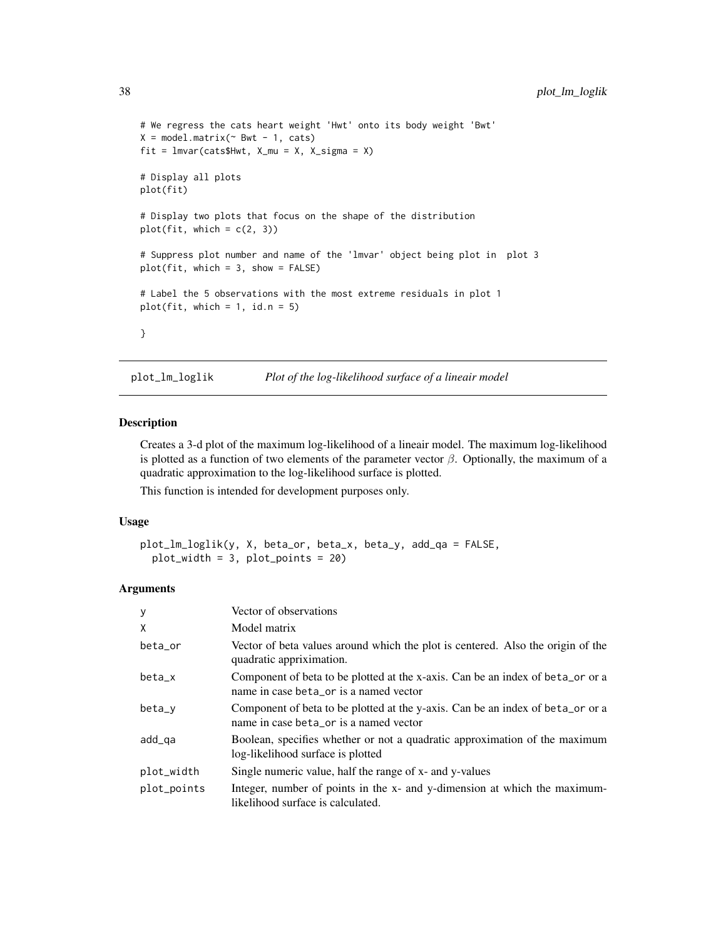```
# We regress the cats heart weight 'Hwt' onto its body weight 'Bwt'
X = model.matrix(\sim Bwt - 1, cats)fit = Imvar(cats$Hwt, X_mu = X, X_sigma = X)# Display all plots
plot(fit)
# Display two plots that focus on the shape of the distribution
plot(fit, which = c(2, 3))# Suppress plot number and name of the 'lmvar' object being plot in plot 3
plot(fit, which = 3, show = FALSE)# Label the 5 observations with the most extreme residuals in plot 1
plot(fit, which = 1, id.n = 5)}
```
plot\_lm\_loglik *Plot of the log-likelihood surface of a lineair model*

# Description

Creates a 3-d plot of the maximum log-likelihood of a lineair model. The maximum log-likelihood is plotted as a function of two elements of the parameter vector  $\beta$ . Optionally, the maximum of a quadratic approximation to the log-likelihood surface is plotted.

This function is intended for development purposes only.

### Usage

```
plot_lm_loglik(y, X, beta_or, beta_x, beta_y, add_qa = FALSE,
 plot_width = 3, plot_points = 20)
```
# Arguments

| y           | Vector of observations                                                                                                   |
|-------------|--------------------------------------------------------------------------------------------------------------------------|
| X           | Model matrix                                                                                                             |
| beta_or     | Vector of beta values around which the plot is centered. Also the origin of the<br>quadratic appriximation.              |
| $beta_x$    | Component of beta to be plotted at the x-axis. Can be an index of beta_or or a<br>name in case beta_or is a named vector |
| beta_y      | Component of beta to be plotted at the y-axis. Can be an index of beta_or or a<br>name in case beta_or is a named vector |
| add_ga      | Boolean, specifies whether or not a quadratic approximation of the maximum<br>log-likelihood surface is plotted          |
| plot_width  | Single numeric value, half the range of x- and y-values                                                                  |
| plot_points | Integer, number of points in the x- and y-dimension at which the maximum-<br>likelihood surface is calculated.           |

<span id="page-37-0"></span>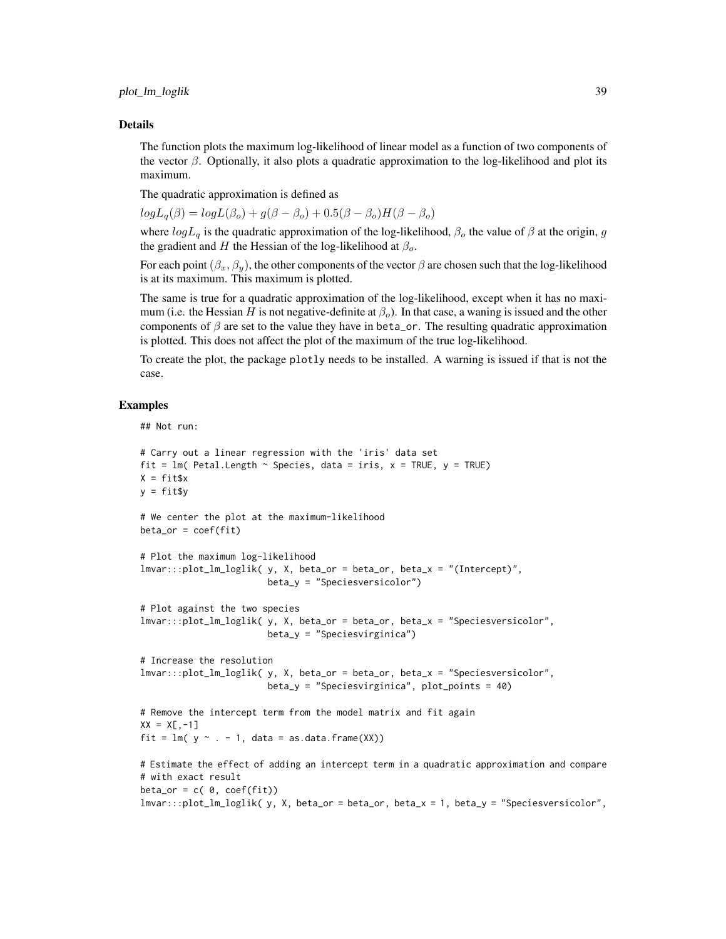#### Details

The function plots the maximum log-likelihood of linear model as a function of two components of the vector  $\beta$ . Optionally, it also plots a quadratic approximation to the log-likelihood and plot its maximum.

The quadratic approximation is defined as

 $log L_q(\beta) = log L(\beta_o) + g(\beta - \beta_o) + 0.5(\beta - \beta_o)H(\beta - \beta_o)$ 

where  $logL_q$  is the quadratic approximation of the log-likelihood,  $\beta_o$  the value of  $\beta$  at the origin, g the gradient and H the Hessian of the log-likelihood at  $\beta_o$ .

For each point  $(\beta_x, \beta_y)$ , the other components of the vector  $\beta$  are chosen such that the log-likelihood is at its maximum. This maximum is plotted.

The same is true for a quadratic approximation of the log-likelihood, except when it has no maximum (i.e. the Hessian H is not negative-definite at  $\beta_0$ ). In that case, a waning is issued and the other components of  $\beta$  are set to the value they have in beta\_or. The resulting quadratic approximation is plotted. This does not affect the plot of the maximum of the true log-likelihood.

To create the plot, the package plotly needs to be installed. A warning is issued if that is not the case.

# Examples

## Not run:

```
# Carry out a linear regression with the 'iris' data set
fit = lm( Petal.Length \sim Species, data = iris, x = TRUE, y = TRUE)
X = fitsxy = fit$y
# We center the plot at the maximum-likelihood
beta_0r = coef(fit)# Plot the maximum log-likelihood
lmvar:::plot_lm_loglik( y, X, beta_or = beta_or, beta_x = "(Intercept)",
                        beta_y = "Speciesversicolor")
# Plot against the two species
lmvar:::plot_lm_loglik( y, X, beta_or = beta_or, beta_x = "Speciesversicolor",
                        beta_y = "Speciesvirginica")
# Increase the resolution
lmvar:::plot_lm_loglik( y, X, beta_or = beta_or, beta_x = "Speciesversicolor",
                        beta_y = "Speciesvirginica", plot_points = 40)
# Remove the intercept term from the model matrix and fit again
XX = X[, -1]fit = lm(y \sim . - 1, data = as.data-frame(XX))# Estimate the effect of adding an intercept term in a quadratic approximation and compare
# with exact result
beta\_or = c( 0, coef(fit))lmvar:::plot_lm_loglik( y, X, beta_or = beta_or, beta_x = 1, beta_y = "Speciesversicolor",
```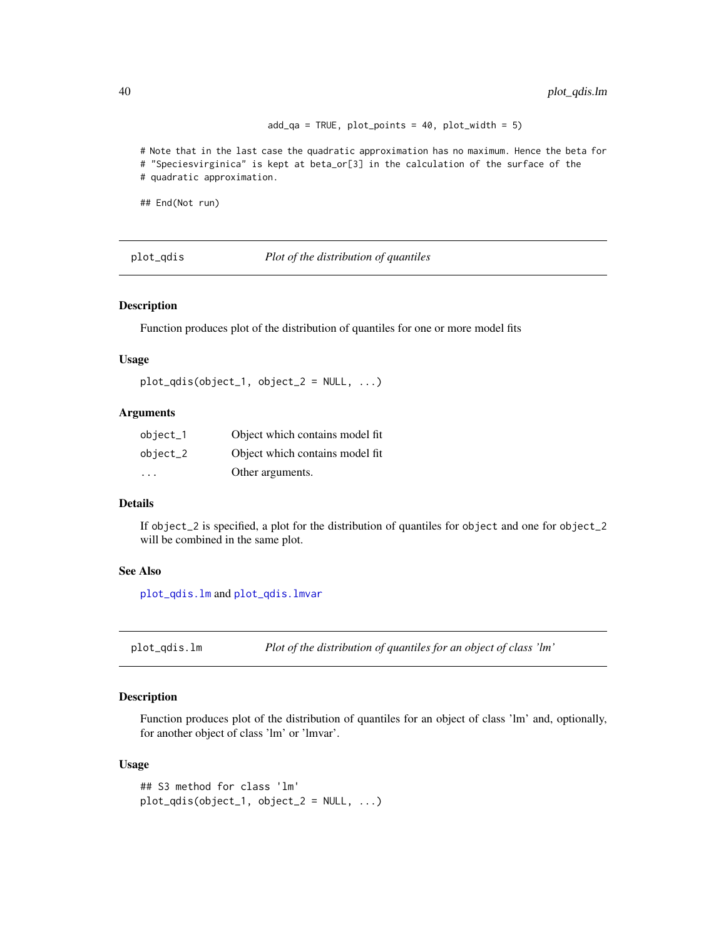```
add_qa = TRUE, plot_points = 40, plot_width = 5)
```
<span id="page-39-0"></span># Note that in the last case the quadratic approximation has no maximum. Hence the beta for # "Speciesvirginica" is kept at beta\_or[3] in the calculation of the surface of the # quadratic approximation.

## End(Not run)

<span id="page-39-2"></span>plot\_qdis *Plot of the distribution of quantiles*

# Description

Function produces plot of the distribution of quantiles for one or more model fits

# Usage

```
plot_qdis(object_1, object_2 = NULL, ...)
```
# Arguments

| $object_1$ | Object which contains model fit. |
|------------|----------------------------------|
| $object_2$ | Object which contains model fit. |
| $\cdots$   | Other arguments.                 |

#### Details

If object\_2 is specified, a plot for the distribution of quantiles for object and one for object\_2 will be combined in the same plot.

#### See Also

[plot\\_qdis.lm](#page-39-1) and [plot\\_qdis.lmvar](#page-40-1)

<span id="page-39-1"></span>plot\_qdis.lm *Plot of the distribution of quantiles for an object of class 'lm'*

# Description

Function produces plot of the distribution of quantiles for an object of class 'lm' and, optionally, for another object of class 'lm' or 'lmvar'.

# Usage

```
## S3 method for class 'lm'
plot_qdis(object_1, object_2 = NULL, ...)
```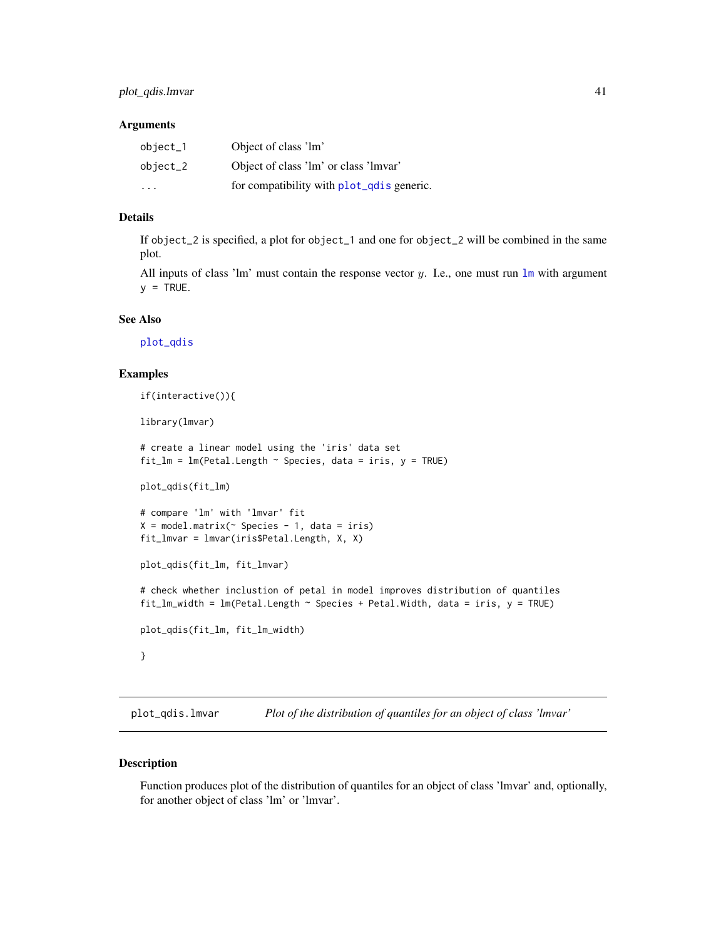#### <span id="page-40-0"></span>**Arguments**

| $object_1$ | Object of class 'lm'                      |
|------------|-------------------------------------------|
| $object_2$ | Object of class 'lm' or class 'lmvar'     |
| $\cdot$    | for compatibility with plot_qdis generic. |

# Details

If object\_2 is specified, a plot for object\_1 and one for object\_2 will be combined in the same plot.

All inputs of class '[lm](#page-0-0)' must contain the response vector  $y$ . I.e., one must run  $\text{lm}$  with argument  $y = TRUE$ .

# See Also

[plot\\_qdis](#page-39-2)

# Examples

```
if(interactive()){
library(lmvar)
# create a linear model using the 'iris' data set
fit_lm = lm(Petal.Length ~ Species, data = iris, y = TRUE)
plot_qdis(fit_lm)
# compare 'lm' with 'lmvar' fit
X = model.matrix( ~ ~ Species ~ - 1, data = iris)fit_lmvar = lmvar(iris$Petal.Length, X, X)
plot_qdis(fit_lm, fit_lmvar)
# check whether inclustion of petal in model improves distribution of quantiles
fit\_lm\_width = lm(Petal.Length ~ Species + Petal.Width, data = iris, y = TRUE)plot_qdis(fit_lm, fit_lm_width)
}
```
<span id="page-40-1"></span>plot\_qdis.lmvar *Plot of the distribution of quantiles for an object of class 'lmvar'*

# Description

Function produces plot of the distribution of quantiles for an object of class 'lmvar' and, optionally, for another object of class 'lm' or 'lmvar'.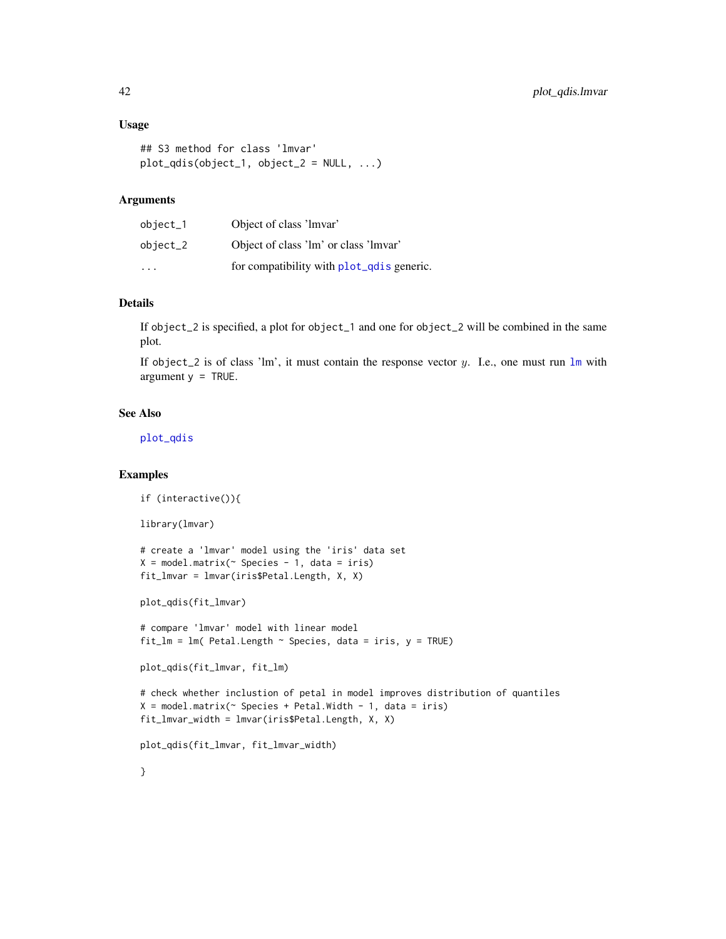# <span id="page-41-0"></span>Usage

```
## S3 method for class 'lmvar'
plot_qdis(object_1, object_2 = NULL, ...)
```
# Arguments

| $object_1$ | Object of class 'lmvar'                   |
|------------|-------------------------------------------|
| $object_2$ | Object of class 'lm' or class 'lmvar'     |
| .          | for compatibility with plot_qdis generic. |

# Details

If object\_2 is specified, a plot for object\_1 and one for object\_2 will be combined in the same plot.

If object  $2$  is of class '[lm](#page-0-0)', it must contain the response vector y. I.e., one must run  $\text{Im}$  with argument  $y = TRUE$ .

# See Also

[plot\\_qdis](#page-39-2)

# Examples

```
if (interactive()){
library(lmvar)
# create a 'lmvar' model using the 'iris' data set
X = model_matrix(^{\sim} Species - 1, data = iris)fit_lmvar = lmvar(iris$Petal.Length, X, X)
plot_qdis(fit_lmvar)
# compare 'lmvar' model with linear model
fit_lm = lm( Petal.Length \sim Species, data = iris, y = TRUE)
plot_qdis(fit_lmvar, fit_lm)
# check whether inclustion of petal in model improves distribution of quantiles
X = model_matrix(^{\sim} Species + Petal.Width - 1, data = iris)fit_lmvar_width = lmvar(iris$Petal.Length, X, X)
plot_qdis(fit_lmvar, fit_lmvar_width)
}
```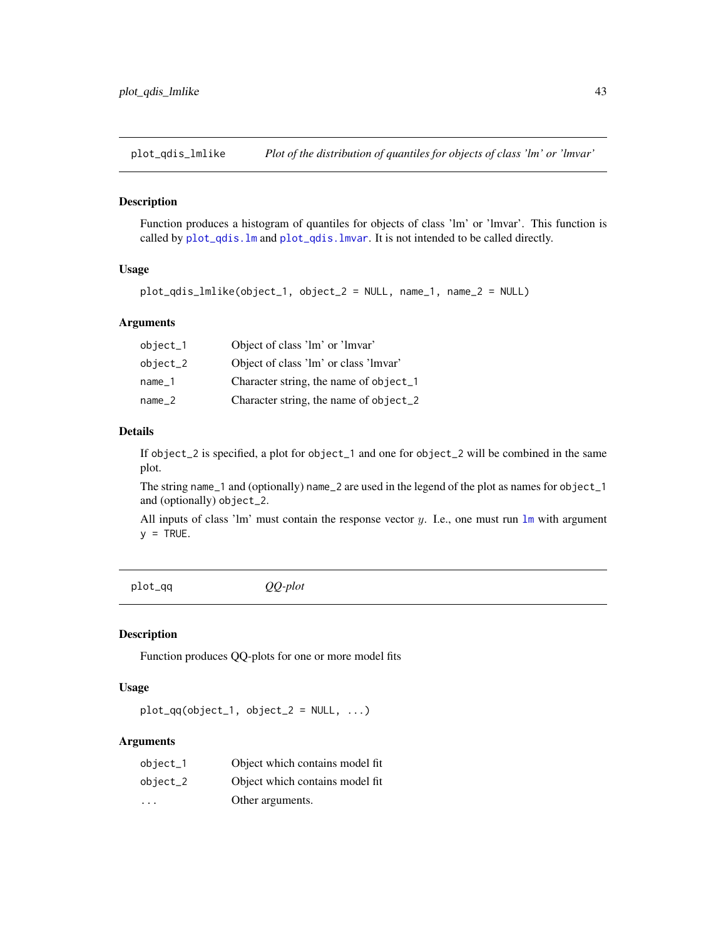<span id="page-42-0"></span>plot\_qdis\_lmlike *Plot of the distribution of quantiles for objects of class 'lm' or 'lmvar'*

# Description

Function produces a histogram of quantiles for objects of class 'lm' or 'lmvar'. This function is called by [plot\\_qdis.lm](#page-39-1) and [plot\\_qdis.lmvar](#page-40-1). It is not intended to be called directly.

# Usage

```
plot_qdis_lmlike(object_1, object_2 = NULL, name_1, name_2 = NULL)
```
# **Arguments**

| $object_1$ | Object of class 'lm' or 'lmvar'        |
|------------|----------------------------------------|
| object_2   | Object of class 'lm' or class 'lmvar'  |
| name 1     | Character string, the name of object_1 |
| name 2     | Character string, the name of object_2 |

# Details

If object\_2 is specified, a plot for object\_1 and one for object\_2 will be combined in the same plot.

The string name\_1 and (optionally) name\_2 are used in the legend of the plot as names for object\_1 and (optionally) object\_2.

All inputs of class '[lm](#page-0-0)' must contain the response vector y. I.e., one must run  $\text{Im}$  with argument  $y = TRUE$ .

<span id="page-42-1"></span>

| н | Ω |  |
|---|---|--|
|   |   |  |

plot\_qq *QQ-plot*

# Description

Function produces QQ-plots for one or more model fits

# Usage

 $plot_qq(object_1, object_2 = NULL, ...)$ 

### Arguments

| $object_1$ | Object which contains model fit. |
|------------|----------------------------------|
| $object_2$ | Object which contains model fit. |
| .          | Other arguments.                 |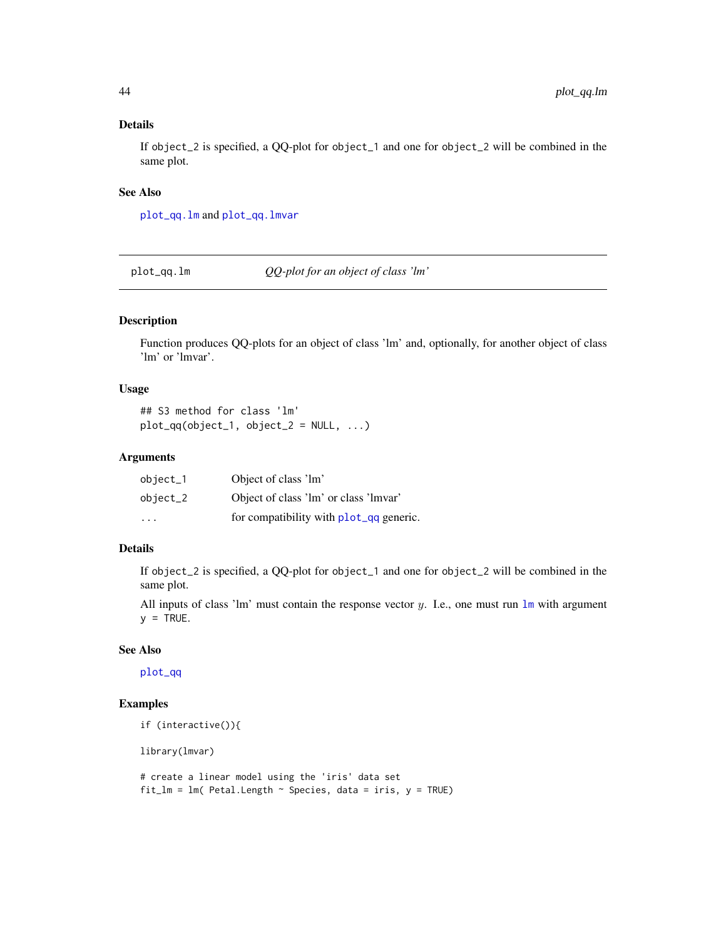# <span id="page-43-0"></span>Details

If object\_2 is specified, a QQ-plot for object\_1 and one for object\_2 will be combined in the same plot.

# See Also

[plot\\_qq.lm](#page-43-1) and [plot\\_qq.lmvar](#page-44-1)

<span id="page-43-1"></span>plot\_qq.lm *QQ-plot for an object of class 'lm'*

# Description

Function produces QQ-plots for an object of class 'lm' and, optionally, for another object of class 'lm' or 'lmvar'.

# Usage

## S3 method for class 'lm'  $plot_qq(object_1, object_2 = NULL, ...)$ 

# Arguments

| object_1                | Object of class 'lm'                    |
|-------------------------|-----------------------------------------|
| object_2                | Object of class 'lm' or class 'lmvar'   |
| $\cdot$ $\cdot$ $\cdot$ | for compatibility with plot_qq generic. |

# Details

If object\_2 is specified, a QQ-plot for object\_1 and one for object\_2 will be combined in the same plot.

All inputs of class '[lm](#page-0-0)' must contain the response vector  $y$ . I.e., one must run  $\text{lm}$  with argument  $y = TRUE$ .

# See Also

[plot\\_qq](#page-42-1)

# Examples

```
if (interactive()){
```
library(lmvar)

# create a linear model using the 'iris' data set  $fit\_lm = lm( Petal.Length ~ Species, data = iris, y = TRUE)$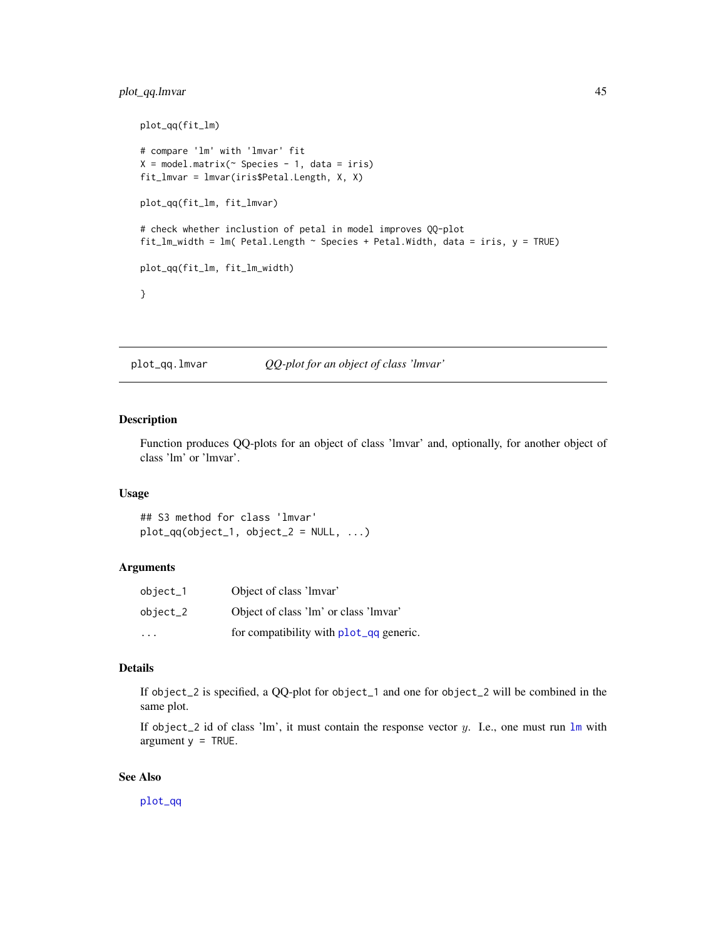# <span id="page-44-0"></span>plot\_qq.lmvar 45

```
plot_qq(fit_lm)
# compare 'lm' with 'lmvar' fit
X = model.matrix<sup>\sim</sup> Species - 1, data = iris)
fit_lmvar = lmvar(iris$Petal.Length, X, X)
plot_qq(fit_lm, fit_lmvar)
# check whether inclustion of petal in model improves QQ-plot
fit_lm_width = lm( Petal.Length \sim Species + Petal.Width, data = iris, y = TRUE)
plot_qq(fit_lm, fit_lm_width)
}
```
<span id="page-44-1"></span>plot\_qq.lmvar *QQ-plot for an object of class 'lmvar'*

# Description

Function produces QQ-plots for an object of class 'lmvar' and, optionally, for another object of class 'lm' or 'lmvar'.

# Usage

## S3 method for class 'lmvar'  $plot_qq(object_1, object_2 = NULL, ...)$ 

# Arguments

| $object_1$              | Object of class 'lmvar'                 |
|-------------------------|-----------------------------------------|
| $object_2$              | Object of class 'lm' or class 'lmvar'   |
| $\cdot$ $\cdot$ $\cdot$ | for compatibility with plot_qq generic. |

# Details

If object\_2 is specified, a QQ-plot for object\_1 and one for object\_2 will be combined in the same plot.

If object\_2 id of class '[lm](#page-0-0)', it must contain the response vector y. I.e., one must run  $\text{lm}$  with argument  $y = TRUE$ .

# See Also

[plot\\_qq](#page-42-1)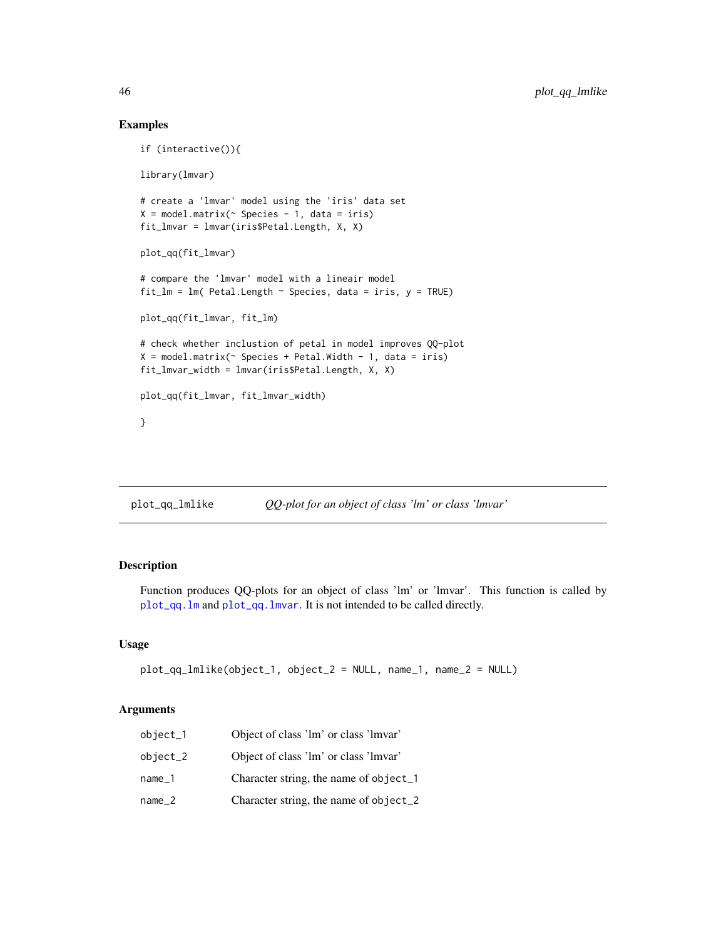# Examples

```
if (interactive()){
library(lmvar)
# create a 'lmvar' model using the 'iris' data set
X = model.matrix( ~ ~ Species ~ - 1, data = iris)fit_lmvar = lmvar(iris$Petal.Length, X, X)
plot_qq(fit_lmvar)
# compare the 'lmvar' model with a lineair model
fit_lm = lm( Petal.Length \sim Species, data = iris, y = TRUE)
plot_qq(fit_lmvar, fit_lm)
# check whether inclustion of petal in model improves QQ-plot
X = model.matrix(~) Species + Petal.Width - 1, data = iris)
fit_lmvar_width = lmvar(iris$Petal.Length, X, X)
plot_qq(fit_lmvar, fit_lmvar_width)
}
```
plot\_qq\_lmlike *QQ-plot for an object of class 'lm' or class 'lmvar'*

# Description

Function produces QQ-plots for an object of class 'lm' or 'lmvar'. This function is called by [plot\\_qq.lm](#page-43-1) and [plot\\_qq.lmvar](#page-44-1). It is not intended to be called directly.

# Usage

```
plot_qq_lmlike(object_1, object_2 = NULL, name_1, name_2 = NULL)
```
#### Arguments

| $object_1$ | Object of class 'lm' or class 'lmvar'  |
|------------|----------------------------------------|
| object_2   | Object of class 'lm' or class 'lmvar'  |
| name 1     | Character string, the name of object_1 |
| name 2     | Character string, the name of object_2 |

<span id="page-45-0"></span>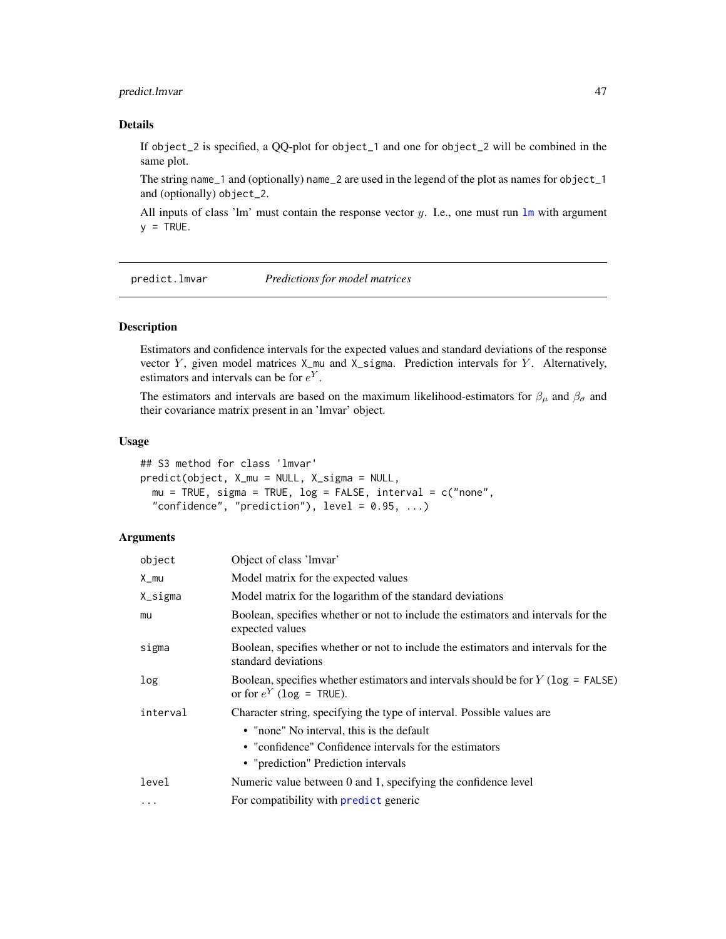# <span id="page-46-0"></span>predict.lmvar 47

# Details

If object\_2 is specified, a QQ-plot for object\_1 and one for object\_2 will be combined in the same plot.

The string name\_1 and (optionally) name\_2 are used in the legend of the plot as names for object\_1 and (optionally) object\_2.

All inputs of class '[lm](#page-0-0)' must contain the response vector y. I.e., one must run  $\text{lm}$  with argument  $y = TRUE$ .

<span id="page-46-1"></span>predict.lmvar *Predictions for model matrices*

# Description

Estimators and confidence intervals for the expected values and standard deviations of the response vector  $Y$ , given model matrices  $X_{\text{mu}}$  and  $X_{\text{sigma}}$ . Prediction intervals for  $Y$ . Alternatively, estimators and intervals can be for  $e^Y$ .

The estimators and intervals are based on the maximum likelihood-estimators for  $\beta_{\mu}$  and  $\beta_{\sigma}$  and their covariance matrix present in an 'lmvar' object.

#### Usage

## S3 method for class 'lmvar' predict(object, X\_mu = NULL, X\_sigma = NULL, mu = TRUE, sigma = TRUE, log = FALSE, interval = c("none", "confidence", "prediction"), level =  $0.95, ...$ )

# Arguments

| object   | Object of class 'lmvar'                                                                                              |
|----------|----------------------------------------------------------------------------------------------------------------------|
| X_mu     | Model matrix for the expected values                                                                                 |
| X_sigma  | Model matrix for the logarithm of the standard deviations                                                            |
| mu       | Boolean, specifies whether or not to include the estimators and intervals for the<br>expected values                 |
| sigma    | Boolean, specifies whether or not to include the estimators and intervals for the<br>standard deviations             |
| log      | Boolean, specifies whether estimators and intervals should be for $Y$ ( $log =$ FALSE)<br>or for $e^Y$ (log = TRUE). |
| interval | Character string, specifying the type of interval. Possible values are                                               |
|          | • "none" No interval, this is the default                                                                            |
|          | • "confidence" Confidence intervals for the estimators                                                               |
|          | • "prediction" Prediction intervals                                                                                  |
| level    | Numeric value between 0 and 1, specifying the confidence level                                                       |
| $\cdots$ | For compatibility with predict generic                                                                               |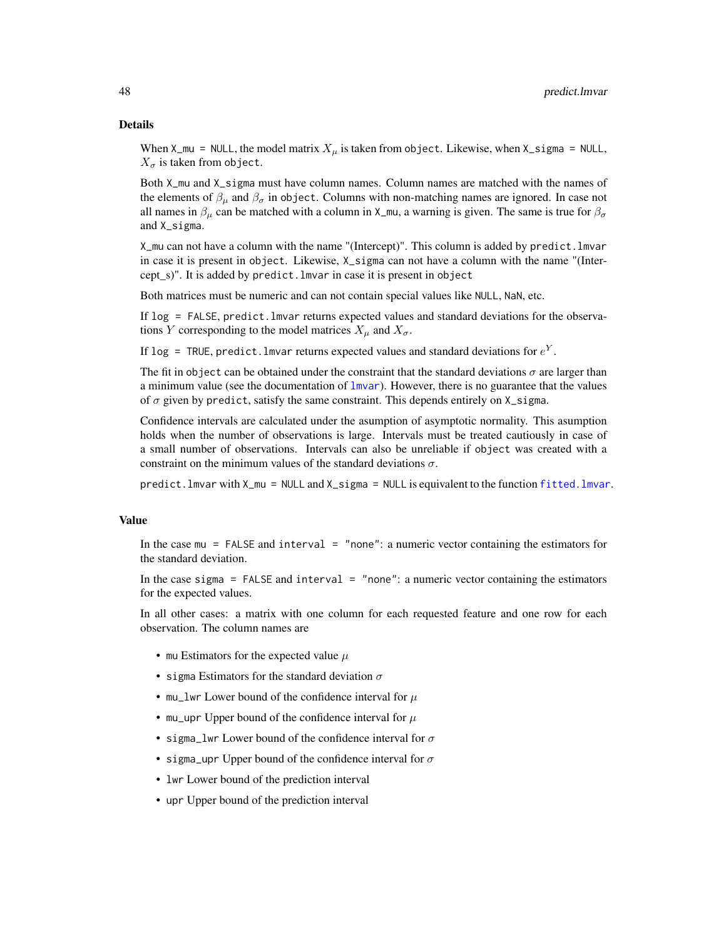#### <span id="page-47-0"></span>Details

When  $X_mu = NULL$ , the model matrix  $X_\mu$  is taken from object. Likewise, when  $X_s$  isigma = NULL,  $X_{\sigma}$  is taken from object.

Both X\_mu and X\_sigma must have column names. Column names are matched with the names of the elements of  $\beta_{\mu}$  and  $\beta_{\sigma}$  in object. Columns with non-matching names are ignored. In case not all names in  $\beta_{\mu}$  can be matched with a column in X\_mu, a warning is given. The same is true for  $\beta_{\sigma}$ and X sigma.

X\_mu can not have a column with the name "(Intercept)". This column is added by predict.lmvar in case it is present in object. Likewise, X\_sigma can not have a column with the name "(Intercept\_s)". It is added by predict.lmvar in case it is present in object

Both matrices must be numeric and can not contain special values like NULL, NaN, etc.

If log = FALSE, predict.lmvar returns expected values and standard deviations for the observations Y corresponding to the model matrices  $X_{\mu}$  and  $X_{\sigma}$ .

If log = TRUE, predict. lmvar returns expected values and standard deviations for  $e^Y$ .

The fit in object can be obtained under the constraint that the standard deviations  $\sigma$  are larger than a minimum value (see the documentation of [lmvar](#page-27-1)). However, there is no guarantee that the values of  $\sigma$  given by predict, satisfy the same constraint. This depends entirely on  $X$  sigma.

Confidence intervals are calculated under the asumption of asymptotic normality. This asumption holds when the number of observations is large. Intervals must be treated cautiously in case of a small number of observations. Intervals can also be unreliable if object was created with a constraint on the minimum values of the standard deviations  $\sigma$ .

predict.lmvar with X\_mu = NULL and X\_sigma = NULL is equivalent to the function [fitted.lmvar](#page-17-1).

# Value

In the case mu = FALSE and interval = "none": a numeric vector containing the estimators for the standard deviation.

In the case sigma = FALSE and interval = "none": a numeric vector containing the estimators for the expected values.

In all other cases: a matrix with one column for each requested feature and one row for each observation. The column names are

- mu Estimators for the expected value  $\mu$
- sigma Estimators for the standard deviation  $\sigma$
- mu\_lwr Lower bound of the confidence interval for  $\mu$
- mu\_upr Upper bound of the confidence interval for  $\mu$
- sigma\_lwr Lower bound of the confidence interval for  $\sigma$
- sigma\_upr Upper bound of the confidence interval for  $\sigma$
- lwr Lower bound of the prediction interval
- upr Upper bound of the prediction interval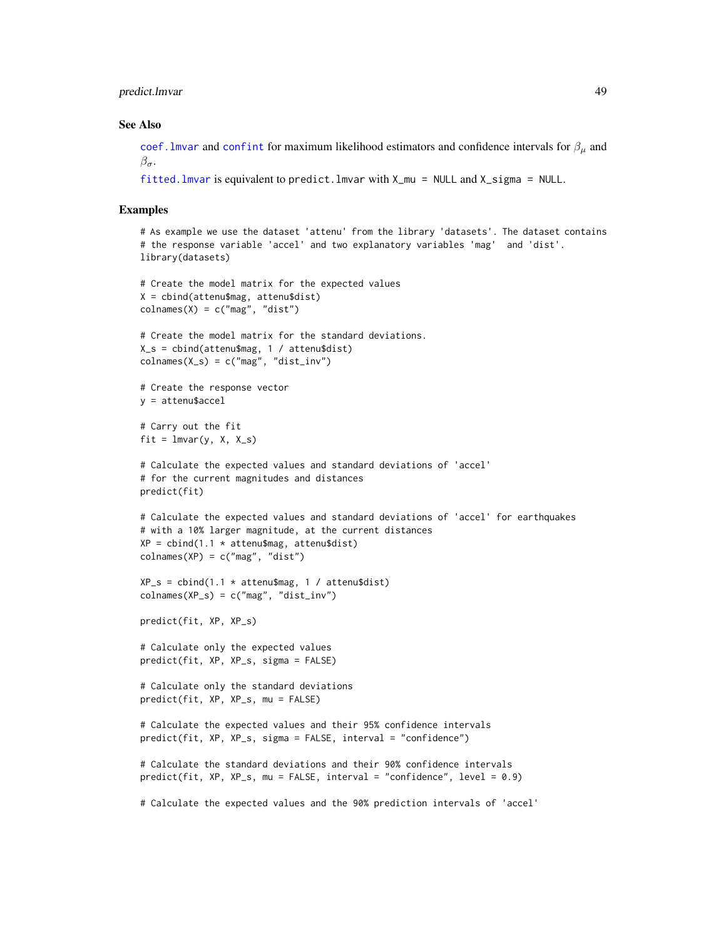<span id="page-48-0"></span>predict.lmvar 49

#### See Also

coef. Imvar and [confint](#page-0-0) for maximum likelihood estimators and confidence intervals for  $\beta_{\mu}$  and  $\beta_{\sigma}$ .

```
fitted.lmvar is equivalent to predict.lmvar with X_mu = NULL and X_sigma = NULL.
```
#### Examples

```
# As example we use the dataset 'attenu' from the library 'datasets'. The dataset contains
# the response variable 'accel' and two explanatory variables 'mag' and 'dist'.
library(datasets)
# Create the model matrix for the expected values
X = cbind(attenu$mag, attenu$dist)
colnames(X) = c("mag", "dist")# Create the model matrix for the standard deviations.
X_s = cbind(attenu$mag, 1 / attenu$dist)
colnames(X_s) = c("mag", "dist_inv")# Create the response vector
y = attenu$accel
# Carry out the fit
fit = Imvar(y, X, X_s)# Calculate the expected values and standard deviations of 'accel'
# for the current magnitudes and distances
predict(fit)
# Calculate the expected values and standard deviations of 'accel' for earthquakes
# with a 10% larger magnitude, at the current distances
XP = \text{cbind}(1.1 * \text{attenu$mag}, \text{attenu$dist})colnames(XP) = c("mag", "dist")XP_s = \text{cbind}(1.1 \times \text{attenu$mag}, 1 / \text{attenu$dist})colnames(XP_s) = c("mag", "dist_inv")predict(fit, XP, XP_s)
# Calculate only the expected values
predict(fit, XP, XP_s, sigma = FALSE)
# Calculate only the standard deviations
predict(fit, XP, XP_s, mu = FALSE)
# Calculate the expected values and their 95% confidence intervals
predict(fit, XP, XP_s, sigma = FALSE, interval = "confidence")
# Calculate the standard deviations and their 90% confidence intervals
predict(fit, XP, XP_s, mu = FALSE, interval = "confidence", level = 0.9)
# Calculate the expected values and the 90% prediction intervals of 'accel'
```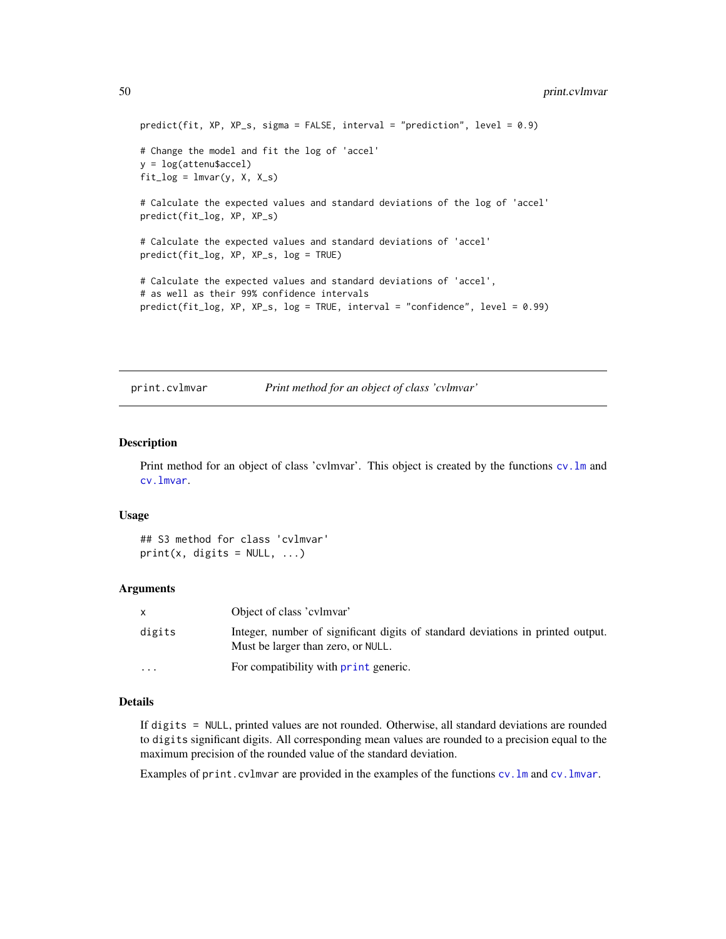```
predict(fit, XP, XP_s, sigma = FALSE, interval = "prediction", level = 0.9)
# Change the model and fit the log of 'accel'
y = log(attenu$accel)
fit\_{log} = lmvar(y, X, X_s)# Calculate the expected values and standard deviations of the log of 'accel'
predict(fit_log, XP, XP_s)
# Calculate the expected values and standard deviations of 'accel'
predict(fit_log, XP, XP_s, log = TRUE)
# Calculate the expected values and standard deviations of 'accel',
# as well as their 99% confidence intervals
predict(fit_log, XP, XP_s, log = TRUE, interval = "confidence", level = 0.99)
```
<span id="page-49-1"></span>print.cvlmvar *Print method for an object of class 'cvlmvar'*

# Description

Print method for an object of class 'cvlmvar'. This object is created by the functions [cv.lm](#page-7-1) and [cv.lmvar](#page-10-1).

# Usage

## S3 method for class 'cvlmvar'  $print(x, \text{ digits} = NULL, ...)$ 

#### **Arguments**

| $\mathsf{x}$ | Object of class 'cylmvar'                                                                                             |
|--------------|-----------------------------------------------------------------------------------------------------------------------|
| digits       | Integer, number of significant digits of standard deviations in printed output.<br>Must be larger than zero, or NULL. |
| $\cdots$     | For compatibility with print generic.                                                                                 |

# Details

If digits = NULL, printed values are not rounded. Otherwise, all standard deviations are rounded to digits significant digits. All corresponding mean values are rounded to a precision equal to the maximum precision of the rounded value of the standard deviation.

Examples of print.cvlmvar are provided in the examples of the functions [cv.lm](#page-7-1) and [cv.lmvar](#page-10-1).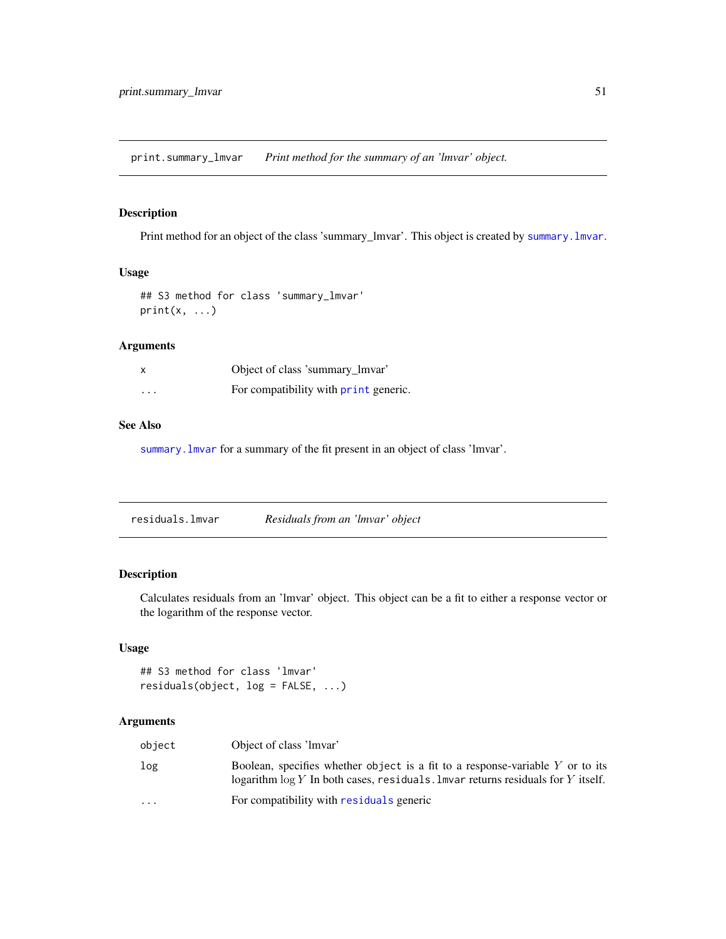<span id="page-50-1"></span><span id="page-50-0"></span>print.summary\_lmvar *Print method for the summary of an 'lmvar' object.*

# Description

Print method for an object of the class 'summary\_lmvar'. This object is created by [summary.lmvar](#page-51-1).

# Usage

```
## S3 method for class 'summary_lmvar'
print(x, \ldots)
```
# Arguments

|          | Object of class 'summary_lmvar'       |
|----------|---------------------------------------|
| $\cdots$ | For compatibility with print generic. |

### See Also

[summary.lmvar](#page-51-1) for a summary of the fit present in an object of class 'lmvar'.

| residuals.lmvar | Residuals from an 'lmvar' object |  |
|-----------------|----------------------------------|--|
|                 |                                  |  |

# Description

Calculates residuals from an 'lmvar' object. This object can be a fit to either a response vector or the logarithm of the response vector.

# Usage

```
## S3 method for class 'lmvar'
residuals(object, log = FALSE, ...)
```
# Arguments

| object                  | Object of class 'lmvar'                                                                                                                                             |
|-------------------------|---------------------------------------------------------------------------------------------------------------------------------------------------------------------|
| log                     | Boolean, specifies whether object is a fit to a response-variable $Y$ or to its<br>logarithm $\log Y$ In both cases, residuals. Invariately residuals for Y itself. |
| $\cdot$ $\cdot$ $\cdot$ | For compatibility with residuals generic                                                                                                                            |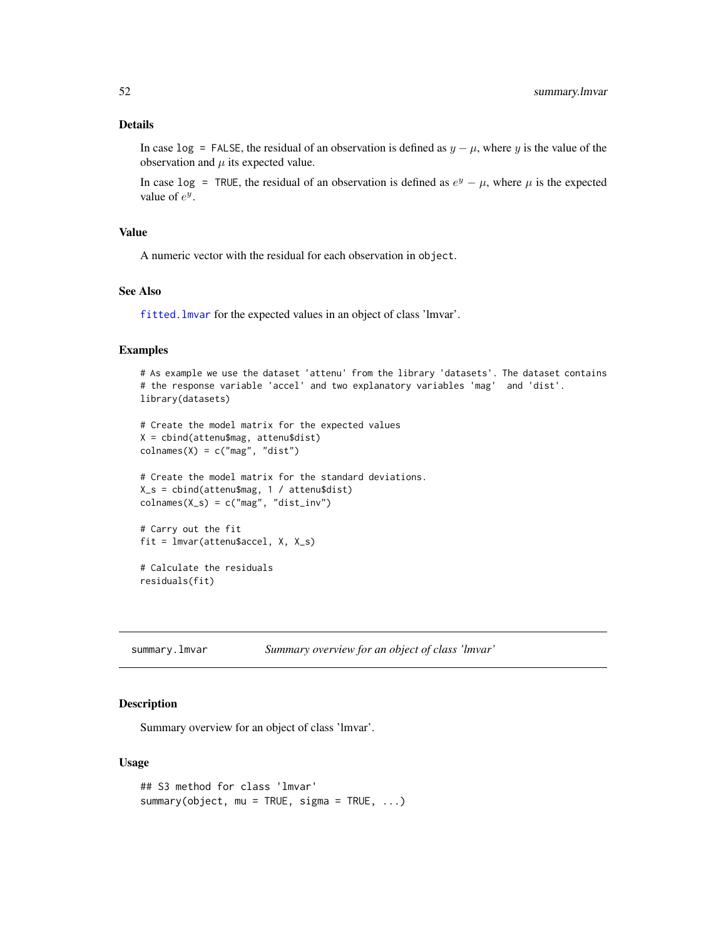<span id="page-51-0"></span>In case log = FALSE, the residual of an observation is defined as  $y - \mu$ , where y is the value of the observation and  $\mu$  its expected value.

In case log = TRUE, the residual of an observation is defined as  $e^y - \mu$ , where  $\mu$  is the expected value of  $e^y$ .

# Value

A numeric vector with the residual for each observation in object.

# See Also

[fitted.lmvar](#page-17-1) for the expected values in an object of class 'lmvar'.

# Examples

```
# As example we use the dataset 'attenu' from the library 'datasets'. The dataset contains
# the response variable 'accel' and two explanatory variables 'mag' and 'dist'.
library(datasets)
# Create the model matrix for the expected values
X = cbind(attenu$mag, attenu$dist)
colnames(X) = c("mag", "dist")# Create the model matrix for the standard deviations.
X_s = cbind(attenu$mag, 1 / attenu$dist)
colnames(X_s) = c("mag", "dist_inv")# Carry out the fit
fit = lmvar(attenu$accel, X, X_s)
# Calculate the residuals
```

```
residuals(fit)
```
<span id="page-51-1"></span>summary.lmvar *Summary overview for an object of class 'lmvar'*

# Description

Summary overview for an object of class 'lmvar'.

# Usage

```
## S3 method for class 'lmvar'
summary(object, mu = TRUE, sigma = TRUE, ...)
```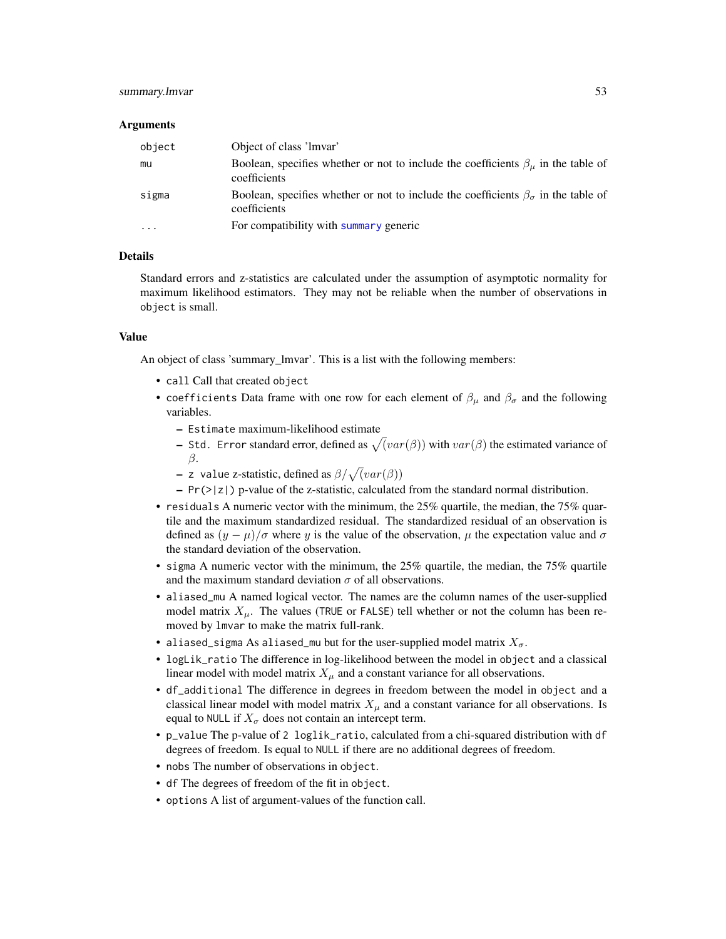# <span id="page-52-0"></span>summary. Imvar 53

#### Arguments

| object                  | Object of class 'lmvar'                                                                                        |
|-------------------------|----------------------------------------------------------------------------------------------------------------|
| mu                      | Boolean, specifies whether or not to include the coefficients $\beta_{\mu}$ in the table of<br>coefficients    |
| sigma                   | Boolean, specifies whether or not to include the coefficients $\beta_{\sigma}$ in the table of<br>coefficients |
| $\cdot$ $\cdot$ $\cdot$ | For compatibility with summary generic                                                                         |

# Details

Standard errors and z-statistics are calculated under the assumption of asymptotic normality for maximum likelihood estimators. They may not be reliable when the number of observations in object is small.

# Value

An object of class 'summary\_lmvar'. This is a list with the following members:

- call Call that created object
- coefficients Data frame with one row for each element of  $\beta_{\mu}$  and  $\beta_{\sigma}$  and the following variables.
	- Estimate maximum-likelihood estimate
	- Std. Error standard error, defined as  $\sqrt{(var(\beta))}$  with  $var(\beta)$  the estimated variance of β.
	- z value z-statistic, defined as  $\beta/\sqrt{(var(\beta))}$
	- $-$  Pr( $>|z|$ ) p-value of the z-statistic, calculated from the standard normal distribution.
- residuals A numeric vector with the minimum, the 25% quartile, the median, the 75% quartile and the maximum standardized residual. The standardized residual of an observation is defined as  $(y - \mu)/\sigma$  where y is the value of the observation,  $\mu$  the expectation value and  $\sigma$ the standard deviation of the observation.
- sigma A numeric vector with the minimum, the  $25\%$  quartile, the median, the 75% quartile and the maximum standard deviation  $\sigma$  of all observations.
- aliased\_mu A named logical vector. The names are the column names of the user-supplied model matrix  $X_{\mu}$ . The values (TRUE or FALSE) tell whether or not the column has been removed by lmvar to make the matrix full-rank.
- aliased\_sigma As aliased\_mu but for the user-supplied model matrix  $X_{\sigma}$ .
- logLik\_ratio The difference in log-likelihood between the model in object and a classical linear model with model matrix  $X_{\mu}$  and a constant variance for all observations.
- df\_additional The difference in degrees in freedom between the model in object and a classical linear model with model matrix  $X_\mu$  and a constant variance for all observations. Is equal to NULL if  $X_{\sigma}$  does not contain an intercept term.
- p\_value The p-value of 2 loglik\_ratio, calculated from a chi-squared distribution with df degrees of freedom. Is equal to NULL if there are no additional degrees of freedom.
- nobs The number of observations in object.
- df The degrees of freedom of the fit in object.
- options A list of argument-values of the function call.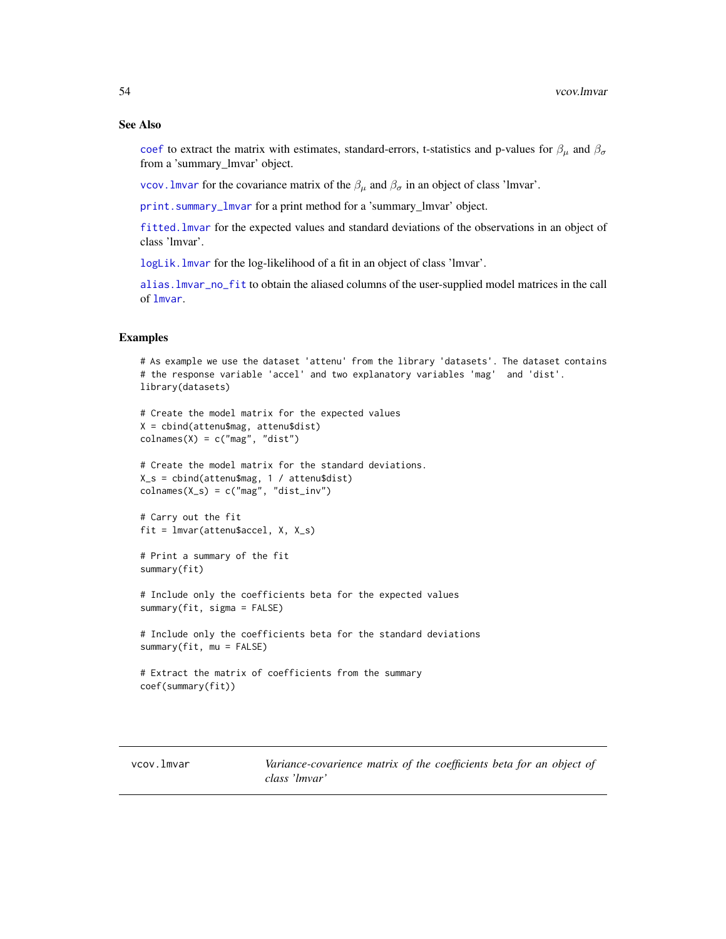#### See Also

[coef](#page-0-0) to extract the matrix with estimates, standard-errors, t-statistics and p-values for  $\beta_{\mu}$  and  $\beta_{\sigma}$ from a 'summary\_lmvar' object.

vcov. Imvar for the covariance matrix of the  $β<sub>μ</sub>$  and  $β<sub>σ</sub>$  in an object of class 'lmvar'.

[print.summary\\_lmvar](#page-50-1) for a print method for a 'summary\_lmvar' object.

[fitted.lmvar](#page-17-1) for the expected values and standard deviations of the observations in an object of class 'lmvar'.

[logLik.lmvar](#page-33-1) for the log-likelihood of a fit in an object of class 'lmvar'.

[alias.lmvar\\_no\\_fit](#page-2-1) to obtain the aliased columns of the user-supplied model matrices in the call of [lmvar](#page-27-1).

### Examples

```
# As example we use the dataset 'attenu' from the library 'datasets'. The dataset contains
# the response variable 'accel' and two explanatory variables 'mag' and 'dist'.
library(datasets)
```

```
# Create the model matrix for the expected values
X = cbind(attenu$mag, attenu$dist)
colnames(X) = c("mag", "dist")
```

```
# Create the model matrix for the standard deviations.
X_s = cbind(attenu$mag, 1 / attenu$dist)
colnames(X_s) = c("mag", "dist_inv")
```

```
# Carry out the fit
fit = lmvar(attenu$accel, X, X_s)
```

```
# Print a summary of the fit
summary(fit)
```
# Include only the coefficients beta for the expected values summary(fit, sigma = FALSE)

```
# Include only the coefficients beta for the standard deviations
summary(fit, mu = FALSE)
```

```
# Extract the matrix of coefficients from the summary
coef(summary(fit))
```
<span id="page-53-1"></span>vcov.lmvar *Variance-covarience matrix of the coefficients beta for an object of class 'lmvar'*

<span id="page-53-0"></span>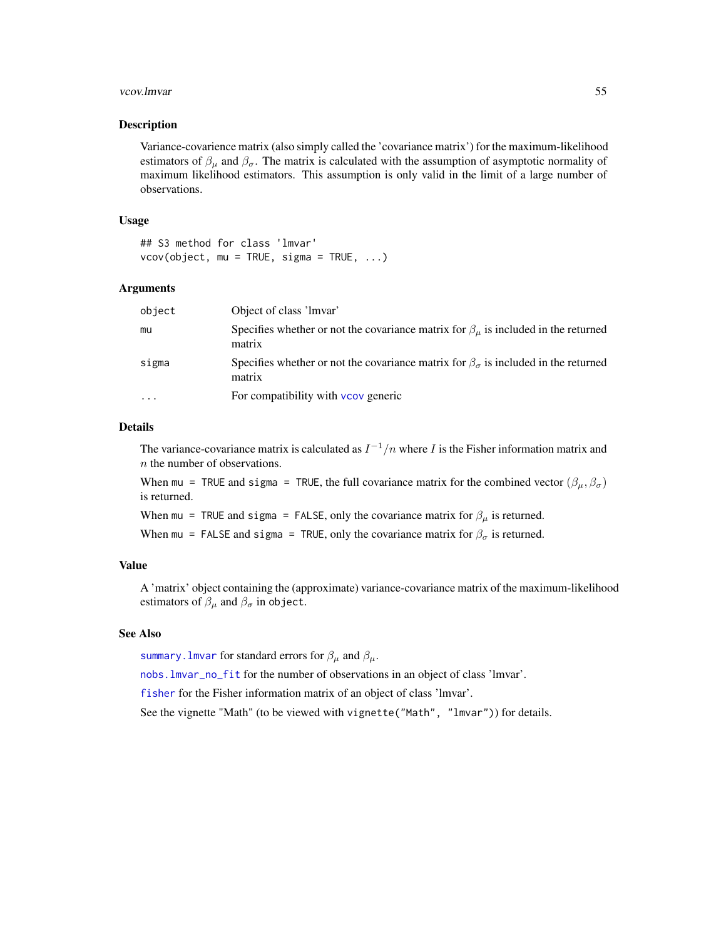#### <span id="page-54-0"></span>vcov.lmvar 55

# Description

Variance-covarience matrix (also simply called the 'covariance matrix') for the maximum-likelihood estimators of  $\beta_{\mu}$  and  $\beta_{\sigma}$ . The matrix is calculated with the assumption of asymptotic normality of maximum likelihood estimators. This assumption is only valid in the limit of a large number of observations.

# Usage

## S3 method for class 'lmvar'  $vcov(object, mu = TRUE, sigma = TRUE, ...)$ 

# Arguments

| object | Object of class 'lmvar'                                                                                   |
|--------|-----------------------------------------------------------------------------------------------------------|
| mu     | Specifies whether or not the covariance matrix for $\beta_u$ is included in the returned<br>matrix        |
| sigma  | Specifies whether or not the covariance matrix for $\beta_{\sigma}$ is included in the returned<br>matrix |
| .      | For compatibility with vcov generic                                                                       |

# Details

The variance-covariance matrix is calculated as  $I^{-1}/n$  where I is the Fisher information matrix and n the number of observations.

When mu = TRUE and sigma = TRUE, the full covariance matrix for the combined vector  $(\beta_{\mu}, \beta_{\sigma})$ is returned.

When mu = TRUE and sigma = FALSE, only the covariance matrix for  $\beta_{\mu}$  is returned.

When mu = FALSE and sigma = TRUE, only the covariance matrix for  $\beta_{\sigma}$  is returned.

### Value

A 'matrix' object containing the (approximate) variance-covariance matrix of the maximum-likelihood estimators of  $\beta_{\mu}$  and  $\beta_{\sigma}$  in object.

# See Also

summary. lmvar for standard errors for  $\beta_{\mu}$  and  $\beta_{\mu}$ .

[nobs.lmvar\\_no\\_fit](#page-34-1) for the number of observations in an object of class 'lmvar'.

[fisher](#page-16-1) for the Fisher information matrix of an object of class 'lmvar'.

See the vignette "Math" (to be viewed with vignette("Math", "lmvar")) for details.